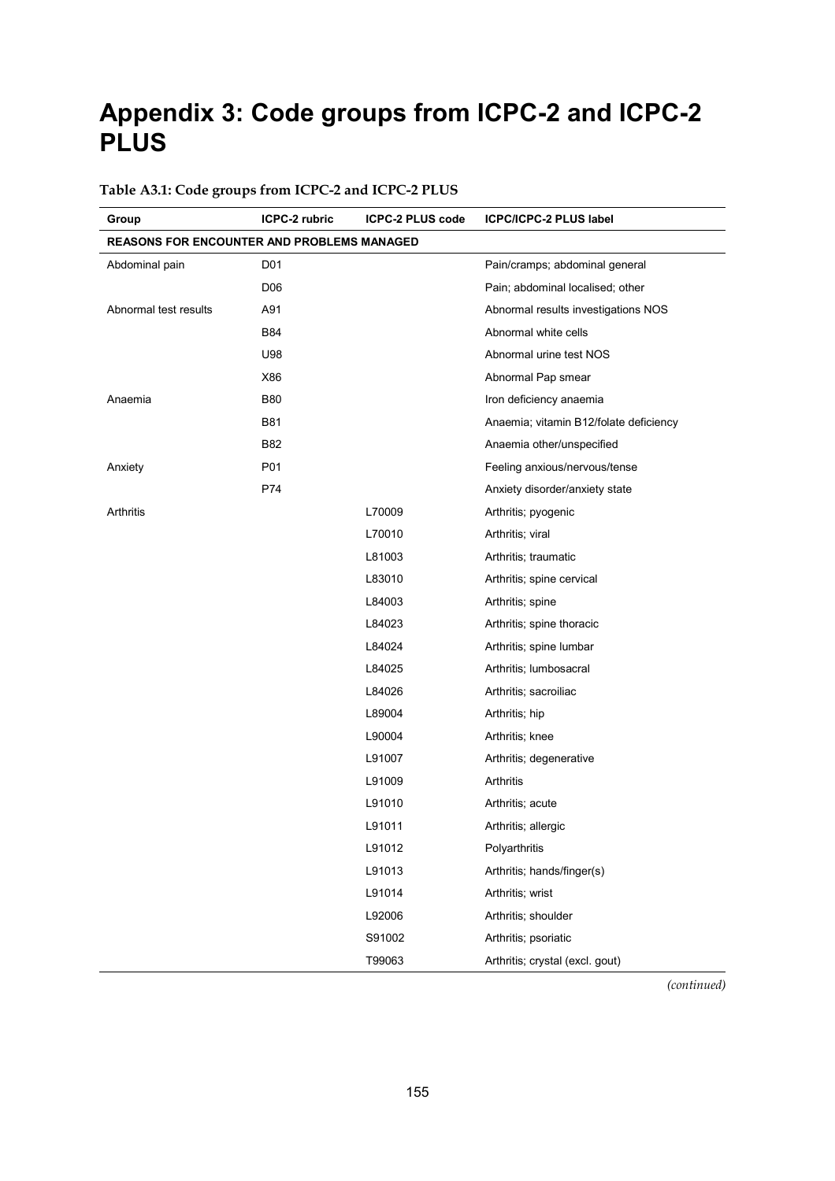# **Appendix 3: Code groups from ICPC-2 and ICPC-2 PLUS**

# **Group ICPC-2 rubric ICPC-2 PLUS code ICPC/ICPC-2 PLUS label REASONS FOR ENCOUNTER AND PROBLEMS MANAGED** Abdominal pain **Pain/cramps**; abdominal general abdominal general D06 Pain; abdominal localised; other Abnormal test results A91 Abnormal results investigations NOS B84 **B84** Abnormal white cells U98 Abnormal urine test NOS X86 Abnormal Pap smear Anaemia B80 B80 Iron deficiency anaemia B81 **B81 Anaemia**; vitamin B12/folate deficiency B82 **Anaemia other/unspecified** Anxiety **P01** P01 **Feeling anxious/nervous/tense** P74 Anxiety disorder/anxiety state Arthritis **Arthritis L70009** Arthritis; pyogenic L70010 **Arthritis**; viral L81003 **Arthritis**; traumatic L83010 **Arthritis**; spine cervical L84003 **Arthritis**; spine L84023 Arthritis; spine thoracic L84024 Arthritis; spine lumbar L84025 **Arthritis**; lumbosacral L84026 **Arthritis**; sacroiliac L89004 Arthritis; hip L90004 Arthritis; knee L91007 **Arthritis**; degenerative L91009 Arthritis L91010 Arthritis; acute L91011 **Arthritis**; allergic L91012 Polyarthritis L91013 Arthritis; hands/finger(s) L91014 Arthritis; wrist L92006 **Arthritis**; shoulder S91002 **Arthritis**; psoriatic T99063 Arthritis; crystal (excl. gout)

#### **Table A3.1: Code groups from ICPC-2 and ICPC-2 PLUS**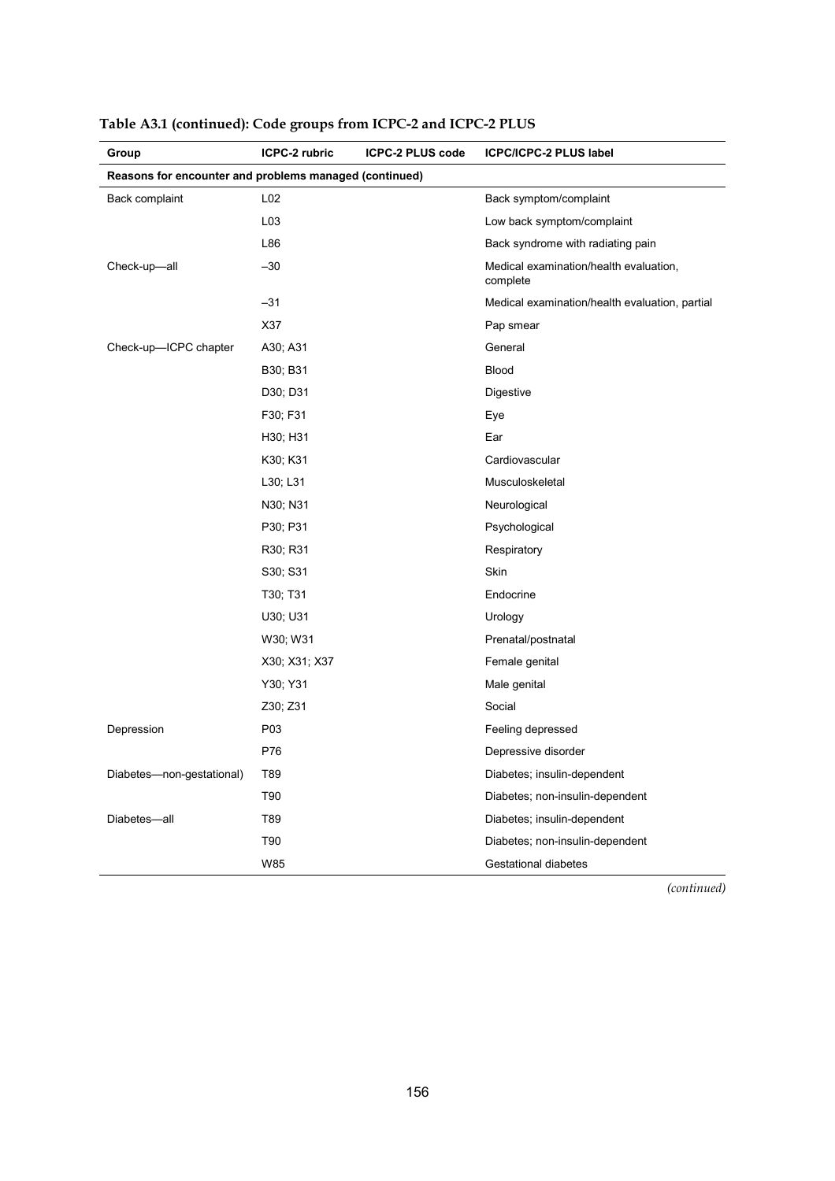| Group                                                  | ICPC-2 rubric | <b>ICPC-2 PLUS code</b> | ICPC/ICPC-2 PLUS label                             |
|--------------------------------------------------------|---------------|-------------------------|----------------------------------------------------|
| Reasons for encounter and problems managed (continued) |               |                         |                                                    |
| Back complaint                                         | L02           |                         | Back symptom/complaint                             |
|                                                        | L03           |                         | Low back symptom/complaint                         |
|                                                        | L86           |                         | Back syndrome with radiating pain                  |
| Check-up-all                                           | $-30$         |                         | Medical examination/health evaluation,<br>complete |
|                                                        | $-31$         |                         | Medical examination/health evaluation, partial     |
|                                                        | X37           |                         | Pap smear                                          |
| Check-up-ICPC chapter                                  | A30; A31      |                         | General                                            |
|                                                        | B30; B31      |                         | <b>Blood</b>                                       |
|                                                        | D30; D31      |                         | Digestive                                          |
|                                                        | F30; F31      |                         | Eye                                                |
|                                                        | H30; H31      |                         | Ear                                                |
|                                                        | K30; K31      |                         | Cardiovascular                                     |
|                                                        | L30; L31      |                         | Musculoskeletal                                    |
|                                                        | N30; N31      |                         | Neurological                                       |
|                                                        | P30; P31      |                         | Psychological                                      |
|                                                        | R30; R31      |                         | Respiratory                                        |
|                                                        | S30; S31      |                         | Skin                                               |
|                                                        | T30; T31      |                         | Endocrine                                          |
|                                                        | U30; U31      |                         | Urology                                            |
|                                                        | W30; W31      |                         | Prenatal/postnatal                                 |
|                                                        | X30; X31; X37 |                         | Female genital                                     |
|                                                        | Y30; Y31      |                         | Male genital                                       |
|                                                        | Z30; Z31      |                         | Social                                             |
| Depression                                             | P03           |                         | Feeling depressed                                  |
|                                                        | P76           |                         | Depressive disorder                                |
| Diabetes-non-gestational)                              | T89           |                         | Diabetes; insulin-dependent                        |
|                                                        | T90           |                         | Diabetes; non-insulin-dependent                    |
| Diabetes-all                                           | T89           |                         | Diabetes; insulin-dependent                        |
|                                                        | T90           |                         | Diabetes; non-insulin-dependent                    |
|                                                        | W85           |                         | <b>Gestational diabetes</b>                        |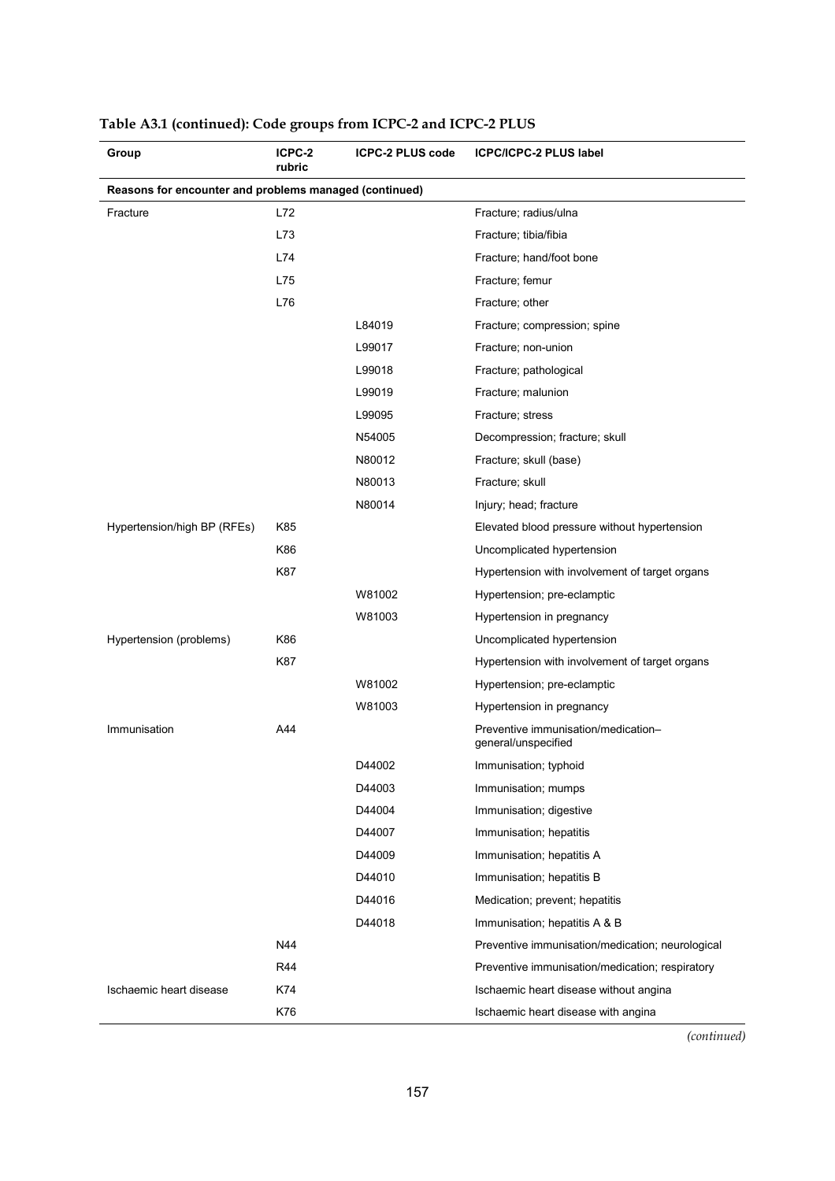| Group                                                  | ICPC-2<br>rubric | <b>ICPC-2 PLUS code</b><br><b>ICPC/ICPC-2 PLUS label</b> |                                                            |
|--------------------------------------------------------|------------------|----------------------------------------------------------|------------------------------------------------------------|
| Reasons for encounter and problems managed (continued) |                  |                                                          |                                                            |
| Fracture                                               | L72              |                                                          | Fracture; radius/ulna                                      |
|                                                        | L73              |                                                          | Fracture; tibia/fibia                                      |
|                                                        | L74              |                                                          | Fracture; hand/foot bone                                   |
|                                                        | L75              |                                                          | Fracture; femur                                            |
|                                                        | L76              |                                                          | Fracture; other                                            |
|                                                        |                  | L84019                                                   | Fracture; compression; spine                               |
|                                                        |                  | L99017                                                   | Fracture; non-union                                        |
|                                                        |                  | L99018                                                   | Fracture; pathological                                     |
|                                                        |                  | L99019                                                   | Fracture; malunion                                         |
|                                                        |                  | L99095                                                   | Fracture; stress                                           |
|                                                        |                  | N54005                                                   | Decompression; fracture; skull                             |
|                                                        |                  | N80012                                                   | Fracture; skull (base)                                     |
|                                                        |                  | N80013                                                   | Fracture; skull                                            |
|                                                        |                  | N80014                                                   | Injury; head; fracture                                     |
| Hypertension/high BP (RFEs)                            | K85              |                                                          | Elevated blood pressure without hypertension               |
|                                                        | K86              |                                                          | Uncomplicated hypertension                                 |
|                                                        | K87              |                                                          | Hypertension with involvement of target organs             |
|                                                        |                  | W81002                                                   | Hypertension; pre-eclamptic                                |
|                                                        |                  | W81003                                                   | Hypertension in pregnancy                                  |
| Hypertension (problems)                                | K86              |                                                          | Uncomplicated hypertension                                 |
|                                                        | K87              |                                                          | Hypertension with involvement of target organs             |
|                                                        |                  | W81002                                                   | Hypertension; pre-eclamptic                                |
|                                                        |                  | W81003                                                   | Hypertension in pregnancy                                  |
| Immunisation                                           | A44              |                                                          | Preventive immunisation/medication-<br>general/unspecified |
|                                                        |                  | D44002                                                   | Immunisation; typhoid                                      |
|                                                        |                  | D44003                                                   | Immunisation; mumps                                        |
|                                                        |                  | D44004                                                   | Immunisation; digestive                                    |
|                                                        |                  | D44007                                                   | Immunisation; hepatitis                                    |
|                                                        |                  | D44009                                                   | Immunisation; hepatitis A                                  |
|                                                        |                  | D44010                                                   | Immunisation; hepatitis B                                  |
|                                                        |                  | D44016                                                   | Medication; prevent; hepatitis                             |
|                                                        |                  | D44018                                                   | Immunisation; hepatitis A & B                              |
|                                                        | N44              |                                                          | Preventive immunisation/medication; neurological           |
|                                                        | R44              |                                                          | Preventive immunisation/medication; respiratory            |
| Ischaemic heart disease                                | K74              |                                                          | Ischaemic heart disease without angina                     |
|                                                        | K76              |                                                          | Ischaemic heart disease with angina                        |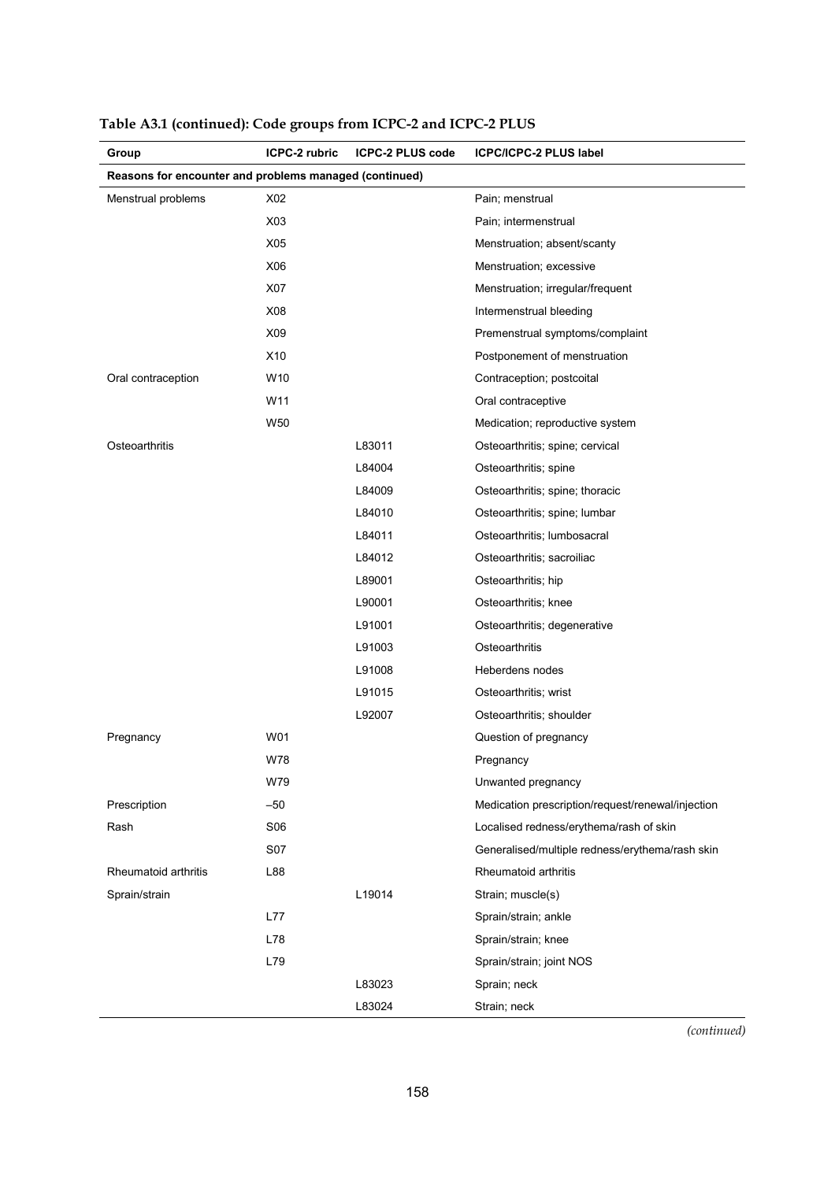| Group                                                  | ICPC-2 rubric   | <b>ICPC-2 PLUS code</b> | <b>ICPC/ICPC-2 PLUS label</b>                     |  |
|--------------------------------------------------------|-----------------|-------------------------|---------------------------------------------------|--|
| Reasons for encounter and problems managed (continued) |                 |                         |                                                   |  |
| Menstrual problems                                     | X02             |                         | Pain; menstrual                                   |  |
|                                                        | X03             |                         | Pain; intermenstrual                              |  |
|                                                        | X05             |                         | Menstruation; absent/scanty                       |  |
|                                                        | X06             |                         | Menstruation; excessive                           |  |
|                                                        | X07             |                         | Menstruation; irregular/frequent                  |  |
|                                                        | X08             |                         | Intermenstrual bleeding                           |  |
|                                                        | X09             |                         | Premenstrual symptoms/complaint                   |  |
|                                                        | X10             |                         | Postponement of menstruation                      |  |
| Oral contraception                                     | W <sub>10</sub> |                         | Contraception; postcoital                         |  |
|                                                        | W11             |                         | Oral contraceptive                                |  |
|                                                        | W50             |                         | Medication; reproductive system                   |  |
| Osteoarthritis                                         |                 | L83011                  | Osteoarthritis; spine; cervical                   |  |
|                                                        |                 | L84004                  | Osteoarthritis; spine                             |  |
|                                                        |                 | L84009                  | Osteoarthritis; spine; thoracic                   |  |
|                                                        |                 | L84010                  | Osteoarthritis; spine; lumbar                     |  |
|                                                        |                 | L84011                  | Osteoarthritis; lumbosacral                       |  |
|                                                        |                 | L84012                  | Osteoarthritis; sacroiliac                        |  |
|                                                        |                 | L89001                  | Osteoarthritis; hip                               |  |
|                                                        |                 | L90001                  | Osteoarthritis; knee                              |  |
|                                                        |                 | L91001                  | Osteoarthritis; degenerative                      |  |
|                                                        |                 | L91003                  | Osteoarthritis                                    |  |
|                                                        |                 | L91008                  | Heberdens nodes                                   |  |
|                                                        |                 | L91015                  | Osteoarthritis; wrist                             |  |
|                                                        |                 | L92007                  | Osteoarthritis; shoulder                          |  |
| Pregnancy                                              | W01             |                         | Question of pregnancy                             |  |
|                                                        | <b>W78</b>      |                         | Pregnancy                                         |  |
|                                                        | W79             |                         | Unwanted pregnancy                                |  |
| Prescription                                           | $-50$           |                         | Medication prescription/request/renewal/injection |  |
| Rash                                                   | <b>S06</b>      |                         | Localised redness/erythema/rash of skin           |  |
|                                                        | <b>S07</b>      |                         | Generalised/multiple redness/erythema/rash skin   |  |
| Rheumatoid arthritis                                   | L88             |                         | Rheumatoid arthritis                              |  |
| Sprain/strain                                          |                 | L19014                  | Strain; muscle(s)                                 |  |
|                                                        | L77             |                         | Sprain/strain; ankle                              |  |
|                                                        | L78             |                         | Sprain/strain; knee                               |  |
|                                                        | L79             |                         | Sprain/strain; joint NOS                          |  |
|                                                        |                 | L83023                  | Sprain; neck                                      |  |
|                                                        |                 | L83024                  | Strain; neck                                      |  |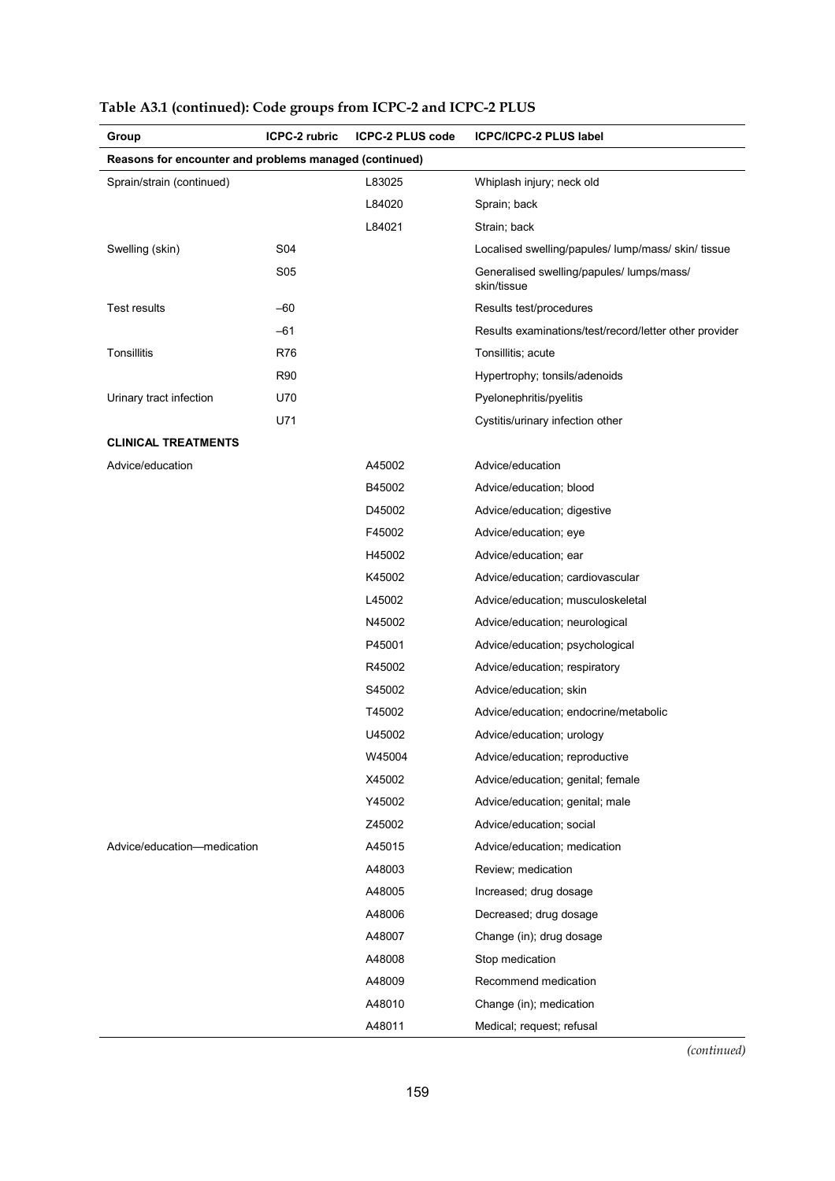| Group                                                  | ICPC-2 rubric | <b>ICPC-2 PLUS code</b> | <b>ICPC/ICPC-2 PLUS label</b>                            |  |
|--------------------------------------------------------|---------------|-------------------------|----------------------------------------------------------|--|
| Reasons for encounter and problems managed (continued) |               |                         |                                                          |  |
| Sprain/strain (continued)                              |               | L83025                  | Whiplash injury; neck old                                |  |
|                                                        |               | L84020                  | Sprain; back                                             |  |
|                                                        |               | L84021                  | Strain; back                                             |  |
| Swelling (skin)                                        | S04           |                         | Localised swelling/papules/ lump/mass/ skin/ tissue      |  |
|                                                        | <b>S05</b>    |                         | Generalised swelling/papules/ lumps/mass/<br>skin/tissue |  |
| <b>Test results</b>                                    | -60           |                         | Results test/procedures                                  |  |
|                                                        | -61           |                         | Results examinations/test/record/letter other provider   |  |
| Tonsillitis                                            | R76           |                         | Tonsillitis; acute                                       |  |
|                                                        | R90           |                         | Hypertrophy; tonsils/adenoids                            |  |
| Urinary tract infection                                | U70           |                         | Pyelonephritis/pyelitis                                  |  |
|                                                        | U71           |                         | Cystitis/urinary infection other                         |  |
| <b>CLINICAL TREATMENTS</b>                             |               |                         |                                                          |  |
| Advice/education                                       |               | A45002                  | Advice/education                                         |  |
|                                                        |               | B45002                  | Advice/education; blood                                  |  |
|                                                        |               | D45002                  | Advice/education; digestive                              |  |
|                                                        |               | F45002                  | Advice/education; eye                                    |  |
|                                                        |               | H45002                  | Advice/education; ear                                    |  |
|                                                        |               | K45002                  | Advice/education; cardiovascular                         |  |
|                                                        |               | L45002                  | Advice/education; musculoskeletal                        |  |
|                                                        |               | N45002                  | Advice/education; neurological                           |  |
|                                                        |               | P45001                  | Advice/education; psychological                          |  |
|                                                        |               | R45002                  | Advice/education; respiratory                            |  |
|                                                        |               | S45002                  | Advice/education; skin                                   |  |
|                                                        |               | T45002                  | Advice/education; endocrine/metabolic                    |  |
|                                                        |               | U45002                  | Advice/education; urology                                |  |
|                                                        |               | W45004                  | Advice/education; reproductive                           |  |
|                                                        |               | X45002                  | Advice/education; genital; female                        |  |
|                                                        |               | Y45002                  | Advice/education; genital; male                          |  |
|                                                        |               | Z45002                  | Advice/education; social                                 |  |
| Advice/education-medication                            |               | A45015                  | Advice/education; medication                             |  |
|                                                        |               | A48003                  | Review; medication                                       |  |
|                                                        |               | A48005                  | Increased; drug dosage                                   |  |
|                                                        |               | A48006                  | Decreased; drug dosage                                   |  |
|                                                        |               | A48007                  | Change (in); drug dosage                                 |  |
|                                                        |               | A48008                  | Stop medication                                          |  |
|                                                        |               | A48009                  | Recommend medication                                     |  |
|                                                        |               | A48010                  | Change (in); medication                                  |  |
|                                                        |               | A48011                  | Medical; request; refusal                                |  |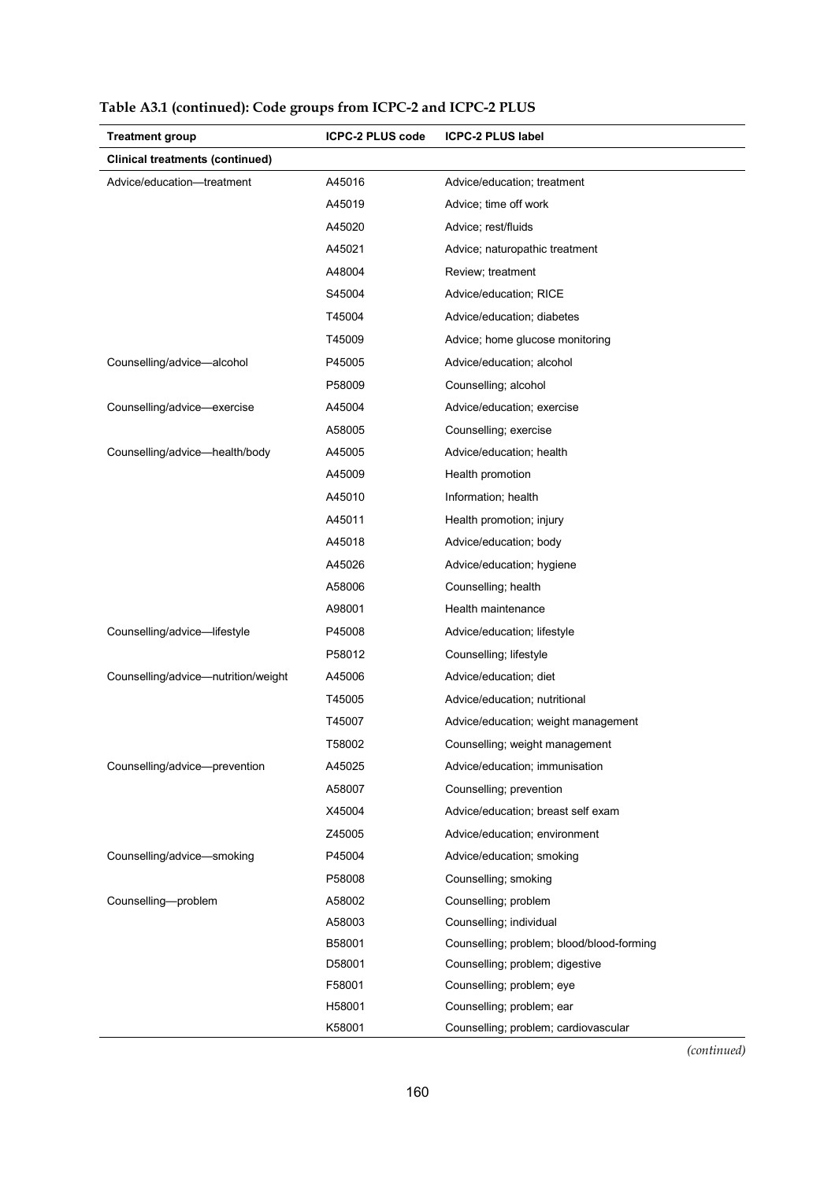| <b>Treatment group</b>                 | <b>ICPC-2 PLUS code</b> | <b>ICPC-2 PLUS label</b>                  |  |  |
|----------------------------------------|-------------------------|-------------------------------------------|--|--|
| <b>Clinical treatments (continued)</b> |                         |                                           |  |  |
| Advice/education-treatment             | A45016                  | Advice/education; treatment               |  |  |
|                                        | A45019                  | Advice; time off work                     |  |  |
|                                        | A45020                  | Advice; rest/fluids                       |  |  |
|                                        | A45021                  | Advice; naturopathic treatment            |  |  |
|                                        | A48004                  | Review; treatment                         |  |  |
|                                        | S45004                  | Advice/education; RICE                    |  |  |
|                                        | T45004                  | Advice/education; diabetes                |  |  |
|                                        | T45009                  | Advice; home glucose monitoring           |  |  |
| Counselling/advice-alcohol             | P45005                  | Advice/education; alcohol                 |  |  |
|                                        | P58009                  | Counselling; alcohol                      |  |  |
| Counselling/advice-exercise            | A45004                  | Advice/education; exercise                |  |  |
|                                        | A58005                  | Counselling; exercise                     |  |  |
| Counselling/advice-health/body         | A45005                  | Advice/education; health                  |  |  |
|                                        | A45009                  | Health promotion                          |  |  |
|                                        | A45010                  | Information; health                       |  |  |
|                                        | A45011                  | Health promotion; injury                  |  |  |
|                                        | A45018                  | Advice/education; body                    |  |  |
|                                        | A45026                  | Advice/education; hygiene                 |  |  |
|                                        | A58006                  | Counselling; health                       |  |  |
|                                        | A98001                  | Health maintenance                        |  |  |
| Counselling/advice-lifestyle           | P45008                  | Advice/education; lifestyle               |  |  |
|                                        | P58012                  | Counselling; lifestyle                    |  |  |
| Counselling/advice-nutrition/weight    | A45006                  | Advice/education; diet                    |  |  |
|                                        | T45005                  | Advice/education; nutritional             |  |  |
|                                        | T45007                  | Advice/education; weight management       |  |  |
|                                        | T58002                  | Counselling; weight management            |  |  |
| Counselling/advice-prevention          | A45025                  | Advice/education; immunisation            |  |  |
|                                        | A58007                  | Counselling; prevention                   |  |  |
|                                        | X45004                  | Advice/education; breast self exam        |  |  |
|                                        | Z45005                  | Advice/education; environment             |  |  |
| Counselling/advice-smoking             | P45004                  | Advice/education; smoking                 |  |  |
|                                        | P58008                  | Counselling; smoking                      |  |  |
| Counselling-problem                    | A58002                  | Counselling; problem                      |  |  |
|                                        | A58003                  | Counselling; individual                   |  |  |
|                                        | B58001                  | Counselling; problem; blood/blood-forming |  |  |
|                                        | D58001                  | Counselling; problem; digestive           |  |  |
|                                        | F58001                  | Counselling; problem; eye                 |  |  |
|                                        | H58001                  | Counselling; problem; ear                 |  |  |
|                                        | K58001                  | Counselling; problem; cardiovascular      |  |  |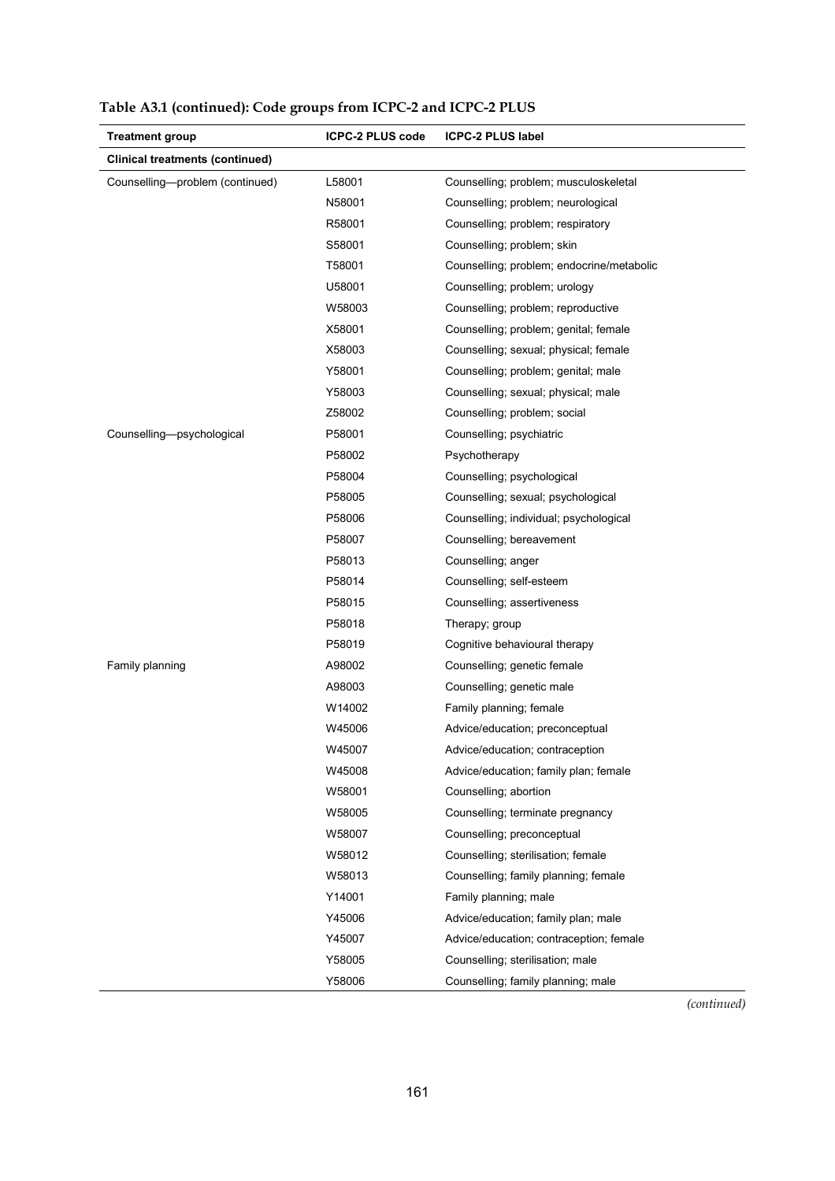| <b>Treatment group</b>                 | <b>ICPC-2 PLUS code</b> | <b>ICPC-2 PLUS label</b>                  |
|----------------------------------------|-------------------------|-------------------------------------------|
| <b>Clinical treatments (continued)</b> |                         |                                           |
| Counselling-problem (continued)        | L58001                  | Counselling; problem; musculoskeletal     |
|                                        | N58001                  | Counselling; problem; neurological        |
|                                        | R58001                  | Counselling; problem; respiratory         |
|                                        | S58001                  | Counselling; problem; skin                |
|                                        | T58001                  | Counselling; problem; endocrine/metabolic |
|                                        | U58001                  | Counselling; problem; urology             |
|                                        | W58003                  | Counselling; problem; reproductive        |
|                                        | X58001                  | Counselling; problem; genital; female     |
|                                        | X58003                  | Counselling; sexual; physical; female     |
|                                        | Y58001                  | Counselling; problem; genital; male       |
|                                        | Y58003                  | Counselling; sexual; physical; male       |
|                                        | Z58002                  | Counselling; problem; social              |
| Counselling-psychological              | P58001                  | Counselling; psychiatric                  |
|                                        | P58002                  | Psychotherapy                             |
|                                        | P58004                  | Counselling; psychological                |
|                                        | P58005                  | Counselling; sexual; psychological        |
|                                        | P58006                  | Counselling; individual; psychological    |
|                                        | P58007                  | Counselling; bereavement                  |
|                                        | P58013                  | Counselling; anger                        |
|                                        | P58014                  | Counselling; self-esteem                  |
|                                        | P58015                  | Counselling; assertiveness                |
|                                        | P58018                  | Therapy; group                            |
|                                        | P58019                  | Cognitive behavioural therapy             |
| Family planning                        | A98002                  | Counselling; genetic female               |
|                                        | A98003                  | Counselling; genetic male                 |
|                                        | W14002                  | Family planning; female                   |
|                                        | W45006                  | Advice/education; preconceptual           |
|                                        | W45007                  | Advice/education; contraception           |
|                                        | W45008                  | Advice/education; family plan; female     |
|                                        | W58001                  | Counselling; abortion                     |
|                                        | W58005                  | Counselling; terminate pregnancy          |
|                                        | W58007                  | Counselling; preconceptual                |
|                                        | W58012                  | Counselling; sterilisation; female        |
|                                        | W58013                  | Counselling; family planning; female      |
|                                        | Y14001                  | Family planning; male                     |
|                                        | Y45006                  | Advice/education; family plan; male       |
|                                        | Y45007                  | Advice/education; contraception; female   |
|                                        | Y58005                  | Counselling; sterilisation; male          |
|                                        | Y58006                  | Counselling; family planning; male        |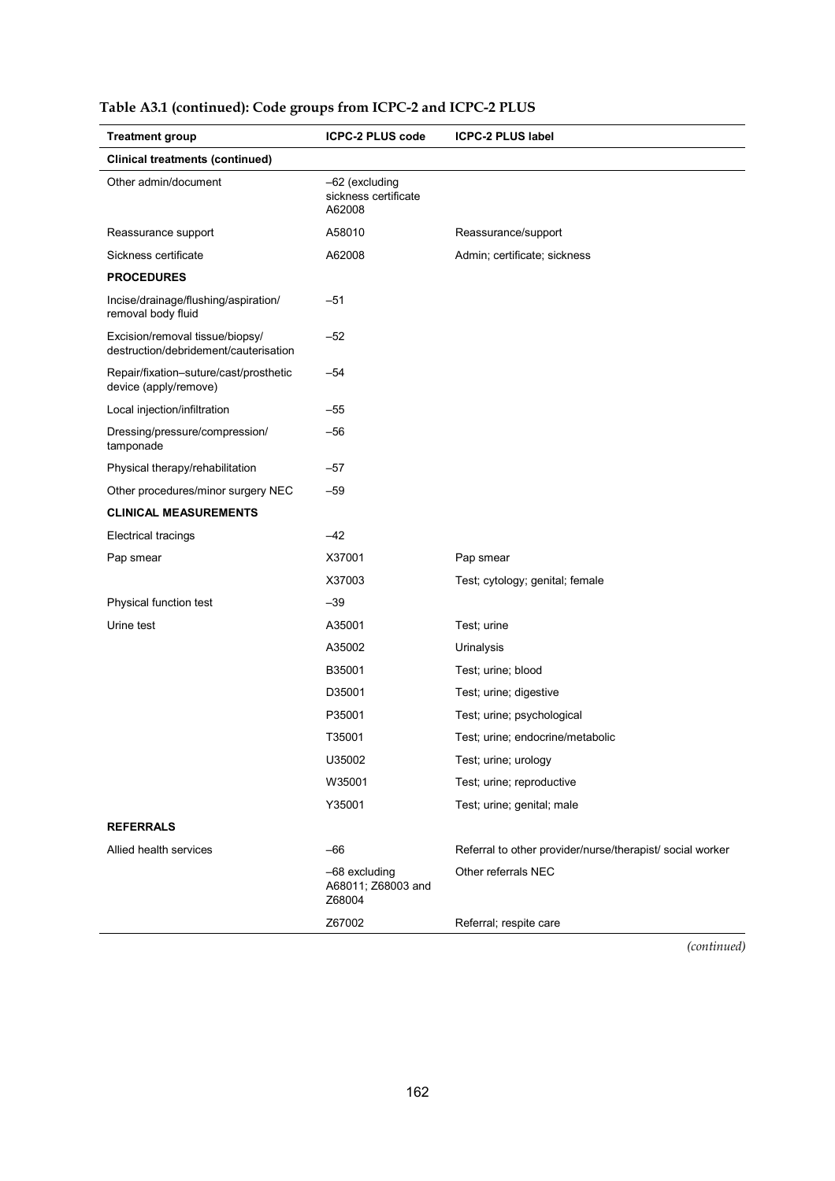| <b>Treatment group</b>                                                   | <b>ICPC-2 PLUS code</b>                          | <b>ICPC-2 PLUS label</b>                                  |  |
|--------------------------------------------------------------------------|--------------------------------------------------|-----------------------------------------------------------|--|
| <b>Clinical treatments (continued)</b>                                   |                                                  |                                                           |  |
| Other admin/document                                                     | -62 (excluding<br>sickness certificate<br>A62008 |                                                           |  |
| Reassurance support                                                      | A58010                                           | Reassurance/support                                       |  |
| Sickness certificate                                                     | A62008                                           | Admin; certificate; sickness                              |  |
| <b>PROCEDURES</b>                                                        |                                                  |                                                           |  |
| Incise/drainage/flushing/aspiration/<br>removal body fluid               | $-51$                                            |                                                           |  |
| Excision/removal tissue/biopsy/<br>destruction/debridement/cauterisation | $-52$                                            |                                                           |  |
| Repair/fixation-suture/cast/prosthetic<br>device (apply/remove)          | $-54$                                            |                                                           |  |
| Local injection/infiltration                                             | $-55$                                            |                                                           |  |
| Dressing/pressure/compression/<br>tamponade                              | $-56$                                            |                                                           |  |
| Physical therapy/rehabilitation                                          | $-57$                                            |                                                           |  |
| Other procedures/minor surgery NEC                                       | $-59$                                            |                                                           |  |
| <b>CLINICAL MEASUREMENTS</b>                                             |                                                  |                                                           |  |
| <b>Electrical tracings</b>                                               | $-42$                                            |                                                           |  |
| Pap smear                                                                | X37001                                           | Pap smear                                                 |  |
|                                                                          | X37003                                           | Test; cytology; genital; female                           |  |
| Physical function test                                                   | $-39$                                            |                                                           |  |
| Urine test                                                               | A35001                                           | Test; urine                                               |  |
|                                                                          | A35002                                           | Urinalysis                                                |  |
|                                                                          | B35001                                           | Test; urine; blood                                        |  |
|                                                                          | D35001                                           | Test; urine; digestive                                    |  |
|                                                                          | P35001                                           | Test; urine; psychological                                |  |
|                                                                          | T35001                                           | Test; urine; endocrine/metabolic                          |  |
|                                                                          | U35002                                           | Test; urine; urology                                      |  |
|                                                                          | W35001                                           | Test; urine; reproductive                                 |  |
|                                                                          | Y35001                                           | Test; urine; genital; male                                |  |
| <b>REFERRALS</b>                                                         |                                                  |                                                           |  |
| Allied health services                                                   | -66                                              | Referral to other provider/nurse/therapist/ social worker |  |
|                                                                          | -68 excluding<br>A68011; Z68003 and<br>Z68004    | Other referrals NEC                                       |  |
|                                                                          | Z67002                                           | Referral; respite care                                    |  |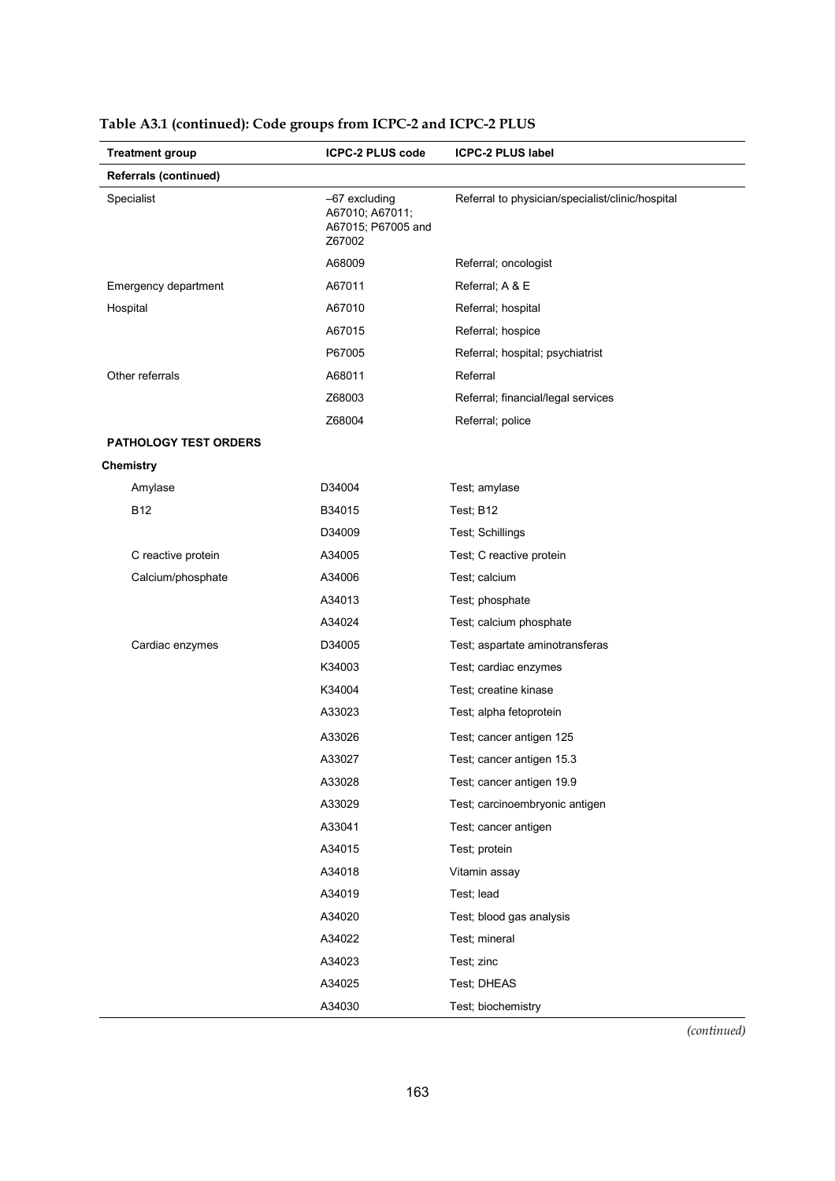|                  | <b>Treatment group</b>       | <b>ICPC-2 PLUS code</b>                                          | <b>ICPC-2 PLUS label</b>                         |  |
|------------------|------------------------------|------------------------------------------------------------------|--------------------------------------------------|--|
|                  | <b>Referrals (continued)</b> |                                                                  |                                                  |  |
| Specialist       |                              | -67 excluding<br>A67010; A67011;<br>A67015; P67005 and<br>Z67002 | Referral to physician/specialist/clinic/hospital |  |
|                  |                              | A68009                                                           | Referral; oncologist                             |  |
|                  | Emergency department         | A67011                                                           | Referral; A & E                                  |  |
| Hospital         |                              | A67010                                                           | Referral; hospital                               |  |
|                  |                              | A67015                                                           | Referral; hospice                                |  |
|                  |                              | P67005                                                           | Referral; hospital; psychiatrist                 |  |
| Other referrals  |                              | A68011                                                           | Referral                                         |  |
|                  |                              | Z68003                                                           | Referral; financial/legal services               |  |
|                  |                              | Z68004                                                           | Referral; police                                 |  |
|                  | <b>PATHOLOGY TEST ORDERS</b> |                                                                  |                                                  |  |
| <b>Chemistry</b> |                              |                                                                  |                                                  |  |
|                  | Amylase                      | D34004                                                           | Test; amylase                                    |  |
| <b>B12</b>       |                              | B34015                                                           | Test: B12                                        |  |
|                  |                              | D34009                                                           | Test; Schillings                                 |  |
|                  | C reactive protein           | A34005                                                           | Test; C reactive protein                         |  |
|                  | Calcium/phosphate            | A34006                                                           | Test; calcium                                    |  |
|                  |                              | A34013                                                           | Test; phosphate                                  |  |
|                  |                              | A34024                                                           | Test; calcium phosphate                          |  |
|                  | Cardiac enzymes              | D34005                                                           | Test; aspartate aminotransferas                  |  |
|                  |                              | K34003                                                           | Test; cardiac enzymes                            |  |
|                  |                              | K34004                                                           | Test; creatine kinase                            |  |
|                  |                              | A33023                                                           | Test; alpha fetoprotein                          |  |
|                  |                              | A33026                                                           | Test; cancer antigen 125                         |  |
|                  |                              | A33027                                                           | Test; cancer antigen 15.3                        |  |
|                  |                              | A33028                                                           | Test; cancer antigen 19.9                        |  |
|                  |                              | A33029                                                           | Test; carcinoembryonic antigen                   |  |
|                  |                              | A33041                                                           | Test; cancer antigen                             |  |
|                  |                              | A34015                                                           | Test; protein                                    |  |
|                  |                              | A34018                                                           | Vitamin assay                                    |  |
|                  |                              | A34019                                                           | Test; lead                                       |  |
|                  |                              | A34020                                                           | Test; blood gas analysis                         |  |
|                  |                              | A34022                                                           | Test; mineral                                    |  |
|                  |                              | A34023                                                           | Test; zinc                                       |  |
|                  |                              | A34025                                                           | Test; DHEAS                                      |  |
|                  |                              | A34030                                                           | Test; biochemistry                               |  |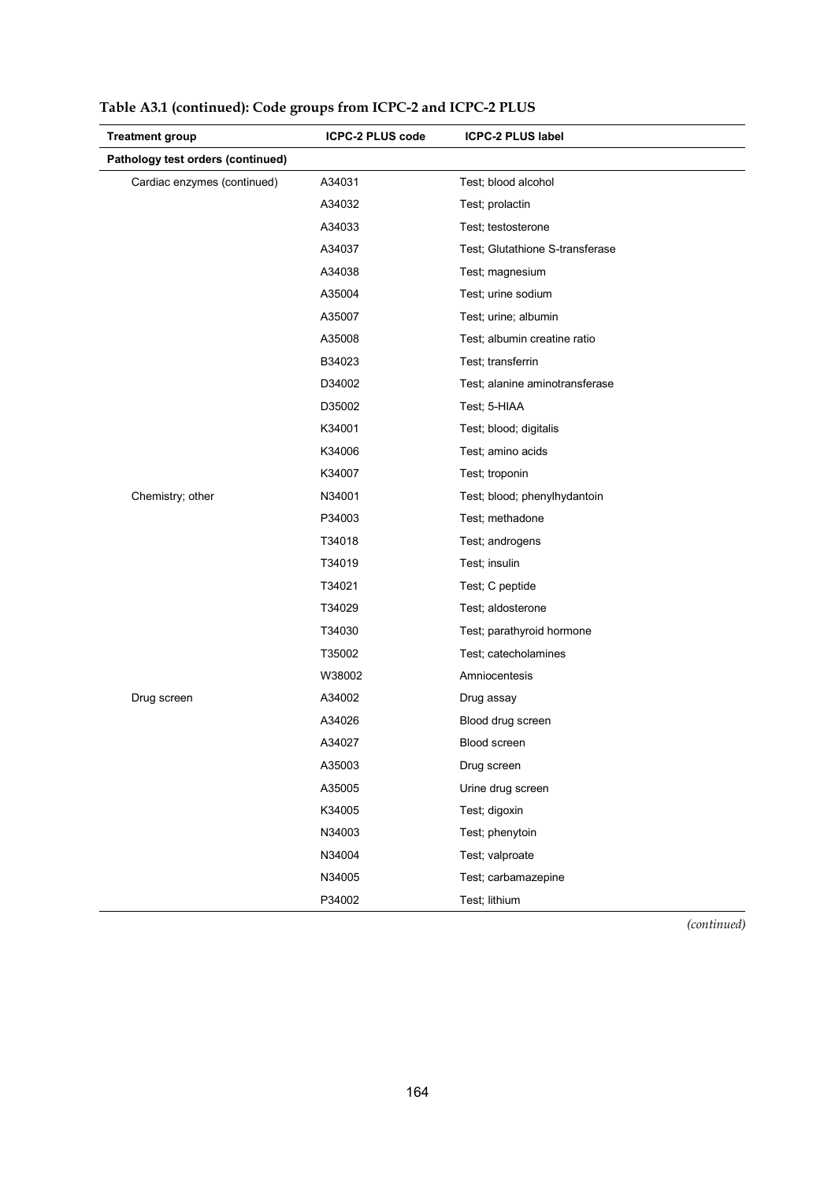| <b>Treatment group</b>            | <b>ICPC-2 PLUS code</b> | <b>ICPC-2 PLUS label</b>        |
|-----------------------------------|-------------------------|---------------------------------|
| Pathology test orders (continued) |                         |                                 |
| Cardiac enzymes (continued)       | A34031                  | Test; blood alcohol             |
|                                   | A34032                  | Test; prolactin                 |
|                                   | A34033                  | Test; testosterone              |
|                                   | A34037                  | Test; Glutathione S-transferase |
|                                   | A34038                  | Test; magnesium                 |
|                                   | A35004                  | Test; urine sodium              |
|                                   | A35007                  | Test; urine; albumin            |
|                                   | A35008                  | Test; albumin creatine ratio    |
|                                   | B34023                  | Test; transferrin               |
|                                   | D34002                  | Test; alanine aminotransferase  |
|                                   | D35002                  | Test; 5-HIAA                    |
|                                   | K34001                  | Test; blood; digitalis          |
|                                   | K34006                  | Test; amino acids               |
|                                   | K34007                  | Test; troponin                  |
| Chemistry; other                  | N34001                  | Test; blood; phenylhydantoin    |
|                                   | P34003                  | Test; methadone                 |
|                                   | T34018                  | Test; androgens                 |
|                                   | T34019                  | Test; insulin                   |
|                                   | T34021                  | Test; C peptide                 |
|                                   | T34029                  | Test; aldosterone               |
|                                   | T34030                  | Test; parathyroid hormone       |
|                                   | T35002                  | Test; catecholamines            |
|                                   | W38002                  | Amniocentesis                   |
| Drug screen                       | A34002                  | Drug assay                      |
|                                   | A34026                  | Blood drug screen               |
|                                   | A34027                  | Blood screen                    |
|                                   | A35003                  | Drug screen                     |
|                                   | A35005                  | Urine drug screen               |
|                                   | K34005                  | Test; digoxin                   |
|                                   | N34003                  | Test; phenytoin                 |
|                                   | N34004                  | Test; valproate                 |
|                                   | N34005                  | Test; carbamazepine             |
|                                   | P34002                  | Test; lithium                   |

**Table A3.1 (continued): Code groups from ICPC-2 and ICPC-2 PLUS**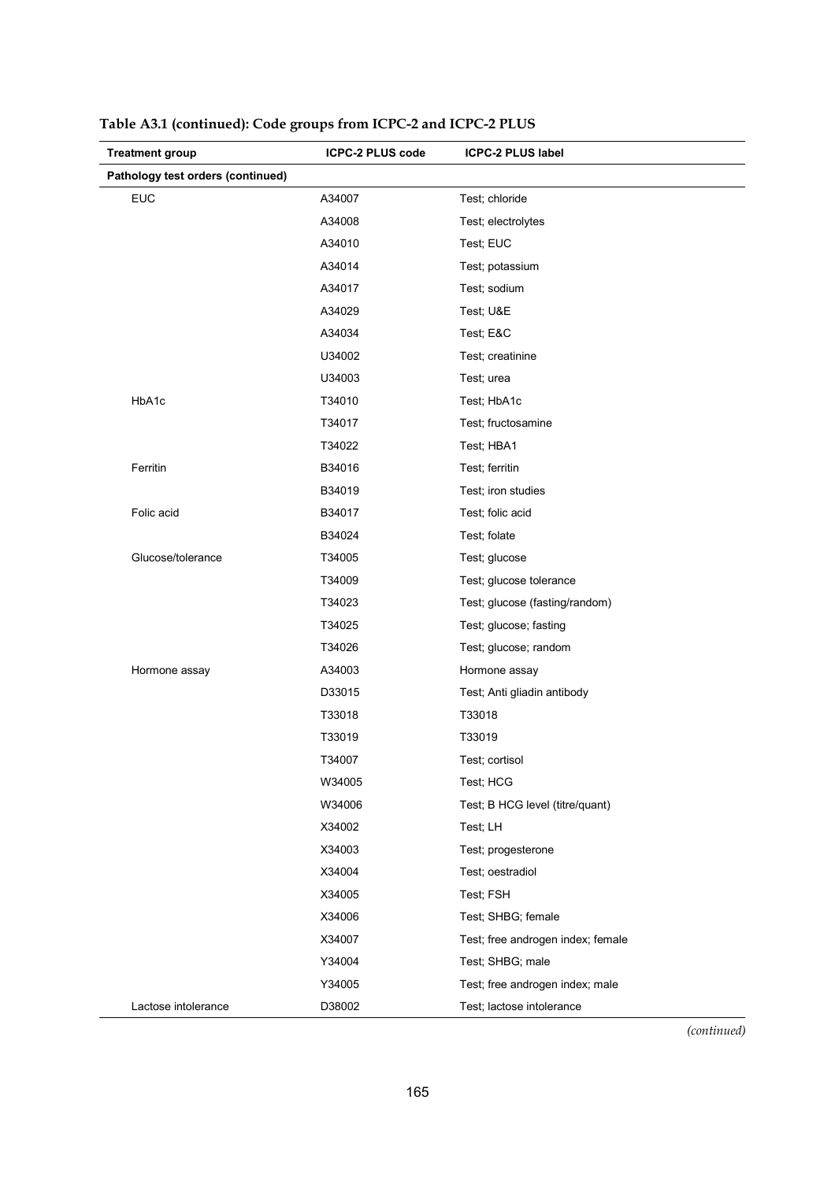| <b>Treatment group</b>            | <b>ICPC-2 PLUS code</b> | <b>ICPC-2 PLUS label</b>          |
|-----------------------------------|-------------------------|-----------------------------------|
| Pathology test orders (continued) |                         |                                   |
| <b>EUC</b>                        | A34007                  | Test; chloride                    |
|                                   | A34008                  | Test; electrolytes                |
|                                   | A34010                  | Test; EUC                         |
|                                   | A34014                  | Test; potassium                   |
|                                   | A34017                  | Test; sodium                      |
|                                   | A34029                  | Test; U&E                         |
|                                   | A34034                  | Test; E&C                         |
|                                   | U34002                  | Test; creatinine                  |
|                                   | U34003                  | Test; urea                        |
| HbA1c                             | T34010                  | Test; HbA1c                       |
|                                   | T34017                  | Test; fructosamine                |
|                                   | T34022                  | Test; HBA1                        |
| Ferritin                          | B34016                  | Test; ferritin                    |
|                                   | B34019                  | Test; iron studies                |
| Folic acid                        | B34017                  | Test; folic acid                  |
|                                   | B34024                  | Test; folate                      |
| Glucose/tolerance                 | T34005                  | Test; glucose                     |
|                                   | T34009                  | Test; glucose tolerance           |
|                                   | T34023                  | Test; glucose (fasting/random)    |
|                                   | T34025                  | Test; glucose; fasting            |
|                                   | T34026                  | Test; glucose; random             |
| Hormone assay                     | A34003                  | Hormone assay                     |
|                                   | D33015                  | Test; Anti gliadin antibody       |
|                                   | T33018                  | T33018                            |
|                                   | T33019                  | T33019                            |
|                                   | T34007                  | Test; cortisol                    |
|                                   | W34005                  | Test; HCG                         |
|                                   | W34006                  | Test; B HCG level (titre/quant)   |
|                                   | X34002                  | Test; LH                          |
|                                   | X34003                  | Test; progesterone                |
|                                   | X34004                  | Test; oestradiol                  |
|                                   | X34005                  | Test; FSH                         |
|                                   | X34006                  | Test; SHBG; female                |
|                                   | X34007                  | Test; free androgen index; female |
|                                   | Y34004                  | Test; SHBG; male                  |
|                                   | Y34005                  | Test; free androgen index; male   |
| Lactose intolerance               | D38002                  | Test; lactose intolerance         |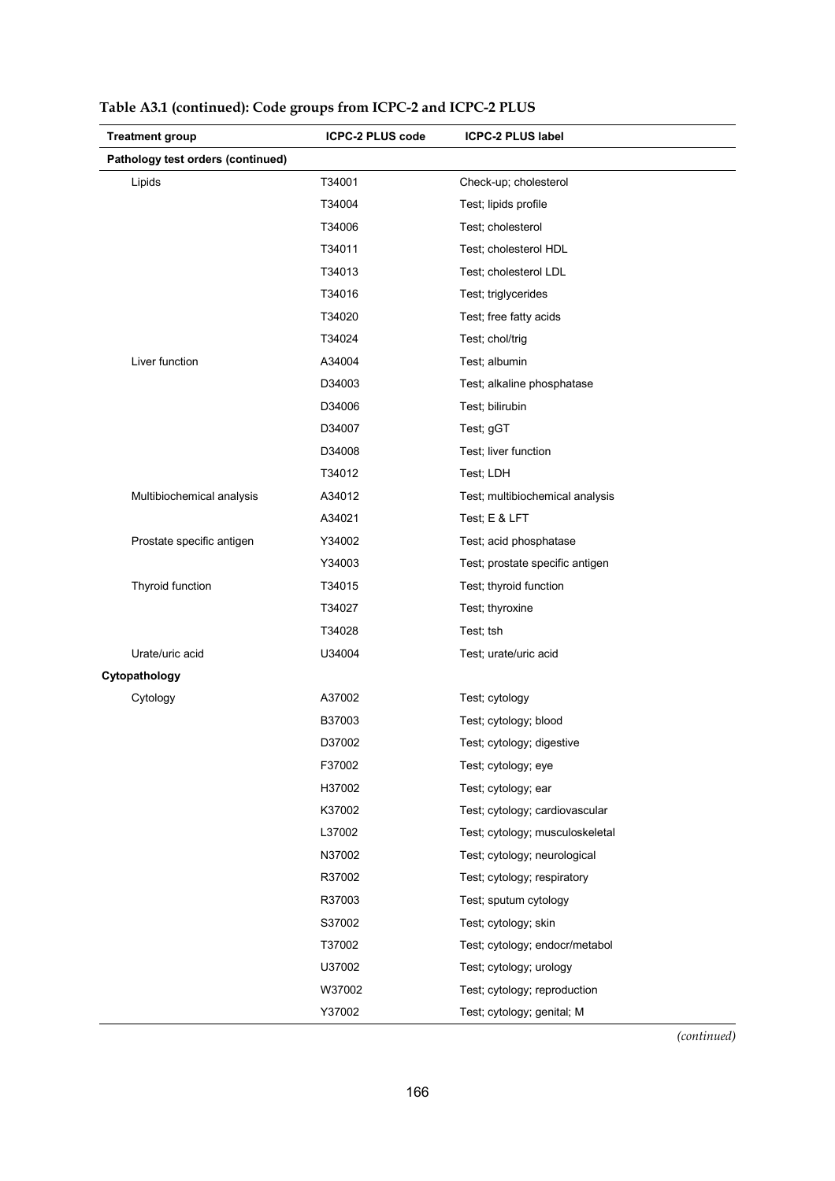| <b>Treatment group</b>            | <b>ICPC-2 PLUS code</b> | <b>ICPC-2 PLUS label</b>        |
|-----------------------------------|-------------------------|---------------------------------|
| Pathology test orders (continued) |                         |                                 |
| Lipids                            | T34001                  | Check-up; cholesterol           |
|                                   | T34004                  | Test; lipids profile            |
|                                   | T34006                  | Test; cholesterol               |
|                                   | T34011                  | Test; cholesterol HDL           |
|                                   | T34013                  | Test; cholesterol LDL           |
|                                   | T34016                  | Test; triglycerides             |
|                                   | T34020                  | Test; free fatty acids          |
|                                   | T34024                  | Test; chol/trig                 |
| Liver function                    | A34004                  | Test; albumin                   |
|                                   | D34003                  | Test; alkaline phosphatase      |
|                                   | D34006                  | Test; bilirubin                 |
|                                   | D34007                  | Test; gGT                       |
|                                   | D34008                  | Test; liver function            |
|                                   | T34012                  | Test; LDH                       |
| Multibiochemical analysis         | A34012                  | Test; multibiochemical analysis |
|                                   | A34021                  | Test; E & LFT                   |
| Prostate specific antigen         | Y34002                  | Test; acid phosphatase          |
|                                   | Y34003                  | Test; prostate specific antigen |
| Thyroid function                  | T34015                  | Test; thyroid function          |
|                                   | T34027                  | Test; thyroxine                 |
|                                   | T34028                  | Test; tsh                       |
| Urate/uric acid                   | U34004                  | Test; urate/uric acid           |
| Cytopathology                     |                         |                                 |
| Cytology                          | A37002                  | Test; cytology                  |
|                                   | B37003                  | Test; cytology; blood           |
|                                   | D37002                  | Test; cytology; digestive       |
|                                   | F37002                  | Test; cytology; eye             |
|                                   | H37002                  | Test; cytology; ear             |
|                                   | K37002                  | Test; cytology; cardiovascular  |
|                                   | L37002                  | Test; cytology; musculoskeletal |
|                                   | N37002                  | Test; cytology; neurological    |
|                                   | R37002                  | Test; cytology; respiratory     |
|                                   | R37003                  | Test; sputum cytology           |
|                                   | S37002                  | Test; cytology; skin            |
|                                   | T37002                  | Test; cytology; endocr/metabol  |
|                                   | U37002                  | Test; cytology; urology         |
|                                   | W37002                  | Test; cytology; reproduction    |
|                                   | Y37002                  | Test; cytology; genital; M      |

|  |  |  |  | Table A3.1 (continued): Code groups from ICPC-2 and ICPC-2 PLUS |
|--|--|--|--|-----------------------------------------------------------------|
|--|--|--|--|-----------------------------------------------------------------|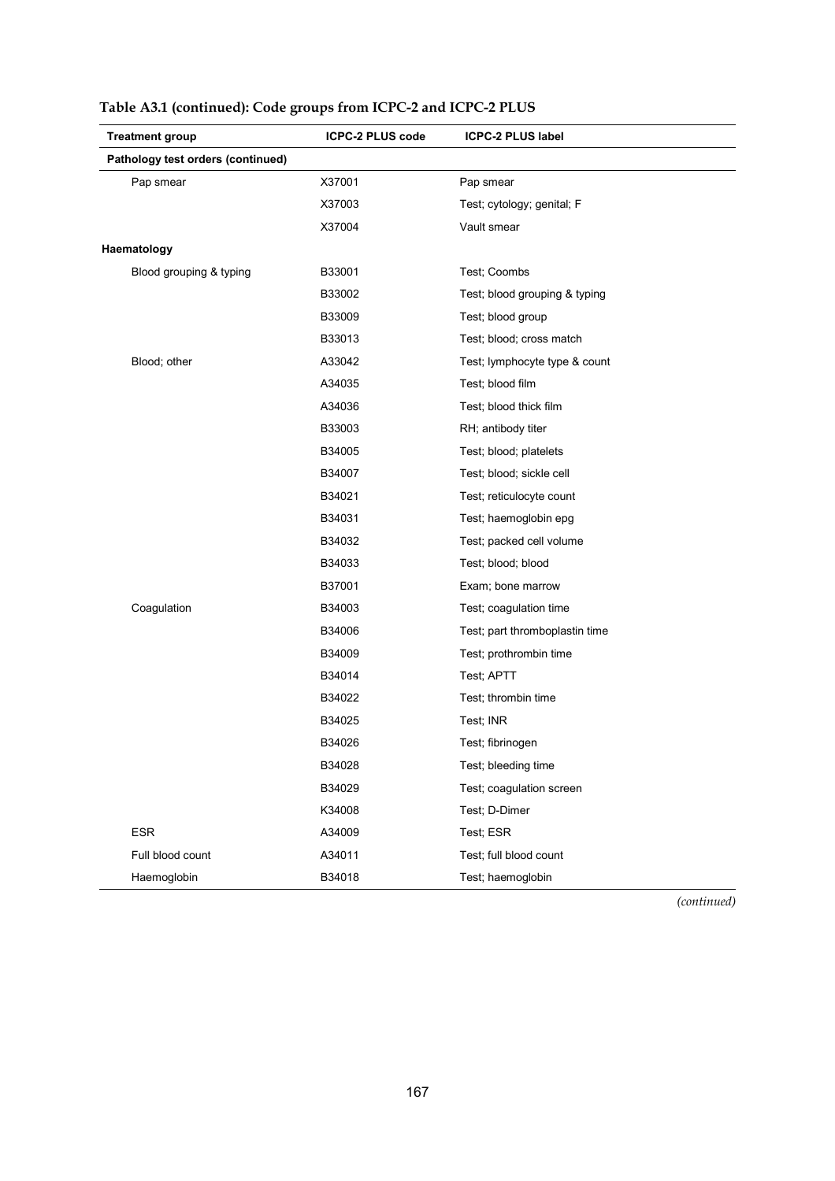| <b>Treatment group</b>            | ICPC-2 PLUS code | <b>ICPC-2 PLUS label</b>       |
|-----------------------------------|------------------|--------------------------------|
| Pathology test orders (continued) |                  |                                |
| Pap smear                         | X37001           | Pap smear                      |
|                                   | X37003           | Test; cytology; genital; F     |
|                                   | X37004           | Vault smear                    |
| Haematology                       |                  |                                |
| Blood grouping & typing           | B33001           | Test; Coombs                   |
|                                   | B33002           | Test; blood grouping & typing  |
|                                   | B33009           | Test; blood group              |
|                                   | B33013           | Test; blood; cross match       |
| Blood; other                      | A33042           | Test; lymphocyte type & count  |
|                                   | A34035           | Test; blood film               |
|                                   | A34036           | Test; blood thick film         |
|                                   | B33003           | RH; antibody titer             |
|                                   | B34005           | Test; blood; platelets         |
|                                   | B34007           | Test; blood; sickle cell       |
|                                   | B34021           | Test; reticulocyte count       |
|                                   | B34031           | Test; haemoglobin epg          |
|                                   | B34032           | Test; packed cell volume       |
|                                   | B34033           | Test; blood; blood             |
|                                   | B37001           | Exam; bone marrow              |
| Coagulation                       | B34003           | Test; coagulation time         |
|                                   | B34006           | Test; part thromboplastin time |
|                                   | B34009           | Test; prothrombin time         |
|                                   | B34014           | Test; APTT                     |
|                                   | B34022           | Test; thrombin time            |
|                                   | B34025           | Test: INR                      |
|                                   | B34026           | Test; fibrinogen               |
|                                   | B34028           | Test; bleeding time            |
|                                   | B34029           | Test; coagulation screen       |
|                                   | K34008           | Test; D-Dimer                  |
| <b>ESR</b>                        | A34009           | Test; ESR                      |
| Full blood count                  | A34011           | Test; full blood count         |
| Haemoglobin                       | B34018           | Test; haemoglobin              |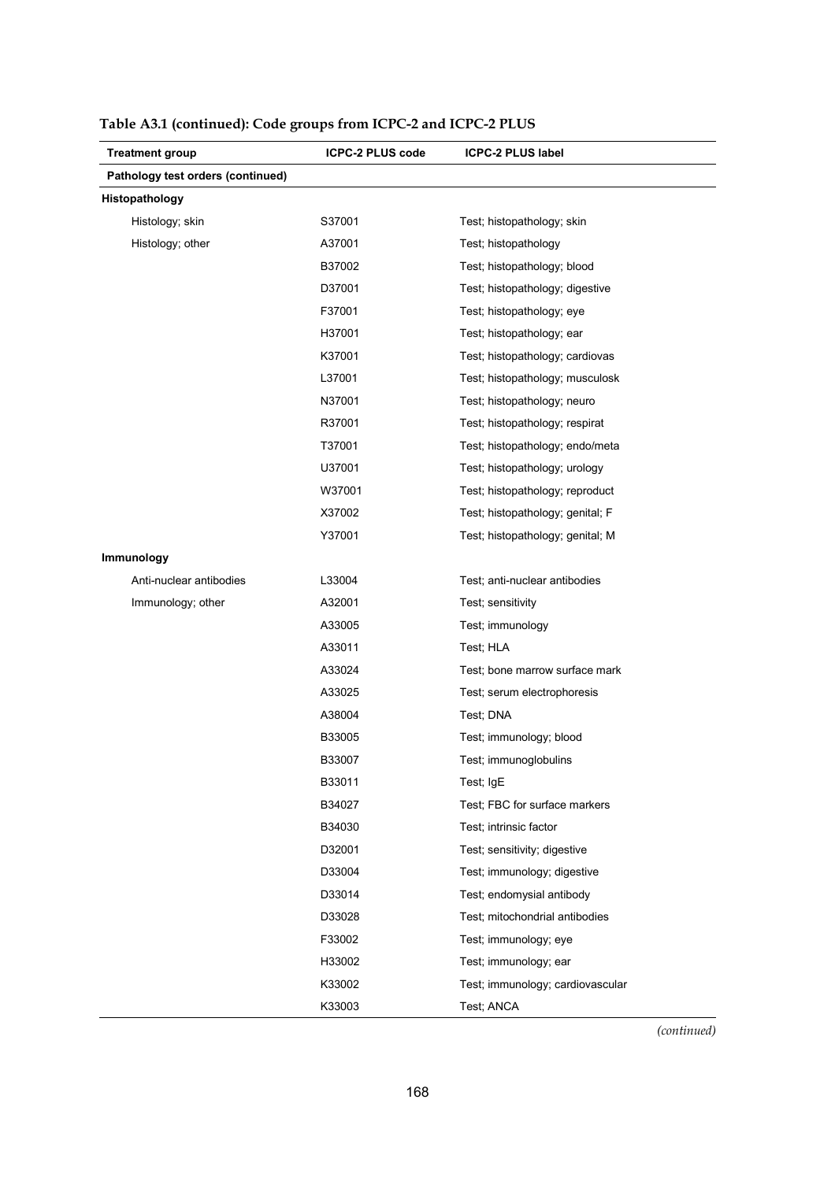| <b>Treatment group</b>            | <b>ICPC-2 PLUS code</b> | <b>ICPC-2 PLUS label</b>         |
|-----------------------------------|-------------------------|----------------------------------|
| Pathology test orders (continued) |                         |                                  |
| Histopathology                    |                         |                                  |
| Histology; skin                   | S37001                  | Test; histopathology; skin       |
| Histology; other                  | A37001                  | Test; histopathology             |
|                                   | B37002                  | Test; histopathology; blood      |
|                                   | D37001                  | Test; histopathology; digestive  |
|                                   | F37001                  | Test; histopathology; eye        |
|                                   | H37001                  | Test; histopathology; ear        |
|                                   | K37001                  | Test; histopathology; cardiovas  |
|                                   | L37001                  | Test; histopathology; musculosk  |
|                                   | N37001                  | Test; histopathology; neuro      |
|                                   | R37001                  | Test; histopathology; respirat   |
|                                   | T37001                  | Test; histopathology; endo/meta  |
|                                   | U37001                  | Test; histopathology; urology    |
|                                   | W37001                  | Test; histopathology; reproduct  |
|                                   | X37002                  | Test; histopathology; genital; F |
|                                   | Y37001                  | Test; histopathology; genital; M |
| Immunology                        |                         |                                  |
| Anti-nuclear antibodies           | L33004                  | Test; anti-nuclear antibodies    |
| Immunology; other                 | A32001                  | Test; sensitivity                |
|                                   | A33005                  | Test; immunology                 |
|                                   | A33011                  | Test; HLA                        |
|                                   | A33024                  | Test; bone marrow surface mark   |
|                                   | A33025                  | Test; serum electrophoresis      |
|                                   | A38004                  | Test; DNA                        |
|                                   | B33005                  | Test; immunology; blood          |
|                                   | B33007                  | Test; immunoglobulins            |
|                                   | B33011                  | Test; IgE                        |
|                                   | B34027                  | Test; FBC for surface markers    |
|                                   | B34030                  | Test; intrinsic factor           |
|                                   | D32001                  | Test; sensitivity; digestive     |
|                                   | D33004                  | Test; immunology; digestive      |
|                                   | D33014                  | Test; endomysial antibody        |
|                                   | D33028                  | Test: mitochondrial antibodies   |
|                                   | F33002                  | Test; immunology; eye            |
|                                   | H33002                  | Test; immunology; ear            |
|                                   | K33002                  | Test; immunology; cardiovascular |
|                                   | K33003                  | Test; ANCA                       |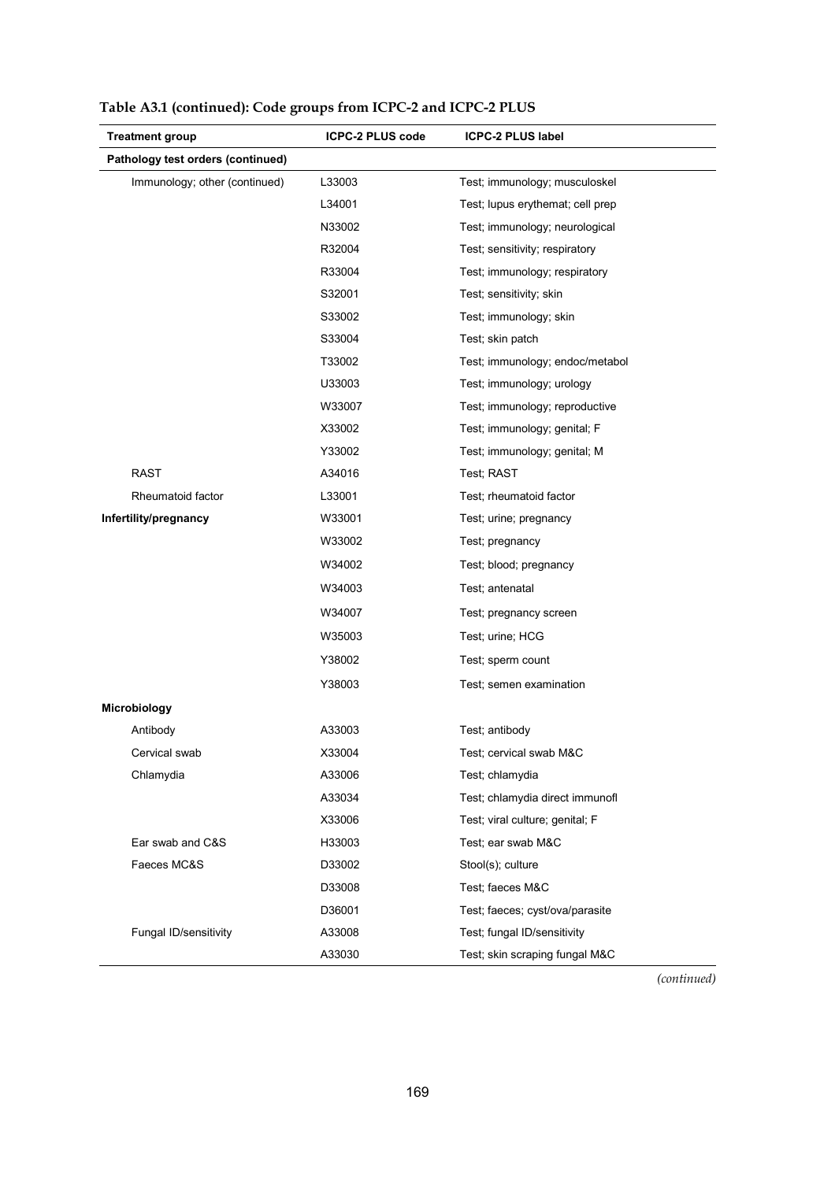| <b>Treatment group</b>            | <b>ICPC-2 PLUS code</b> | <b>ICPC-2 PLUS label</b>         |
|-----------------------------------|-------------------------|----------------------------------|
| Pathology test orders (continued) |                         |                                  |
| Immunology; other (continued)     | L33003                  | Test; immunology; musculoskel    |
|                                   | L34001                  | Test; lupus erythemat; cell prep |
|                                   | N33002                  | Test; immunology; neurological   |
|                                   | R32004                  | Test; sensitivity; respiratory   |
|                                   | R33004                  | Test; immunology; respiratory    |
|                                   | S32001                  | Test; sensitivity; skin          |
|                                   | S33002                  | Test; immunology; skin           |
|                                   | S33004                  | Test; skin patch                 |
|                                   | T33002                  | Test; immunology; endoc/metabol  |
|                                   | U33003                  | Test; immunology; urology        |
|                                   | W33007                  | Test; immunology; reproductive   |
|                                   | X33002                  | Test; immunology; genital; F     |
|                                   | Y33002                  | Test; immunology; genital; M     |
| <b>RAST</b>                       | A34016                  | Test; RAST                       |
| Rheumatoid factor                 | L33001                  | Test: rheumatoid factor          |
| Infertility/pregnancy             | W33001                  | Test; urine; pregnancy           |
|                                   | W33002                  | Test; pregnancy                  |
|                                   | W34002                  | Test; blood; pregnancy           |
|                                   | W34003                  | Test; antenatal                  |
|                                   | W34007                  | Test; pregnancy screen           |
|                                   | W35003                  | Test; urine; HCG                 |
|                                   | Y38002                  | Test; sperm count                |
|                                   | Y38003                  | Test; semen examination          |
| Microbiology                      |                         |                                  |
| Antibody                          | A33003                  | Test; antibody                   |
| Cervical swab                     | X33004                  | Test; cervical swab M&C          |
| Chlamydia                         | A33006                  | Test: chlamydia                  |
|                                   | A33034                  | Test; chlamydia direct immunofl  |
|                                   | X33006                  | Test; viral culture; genital; F  |
| Ear swab and C&S                  | H33003                  | Test; ear swab M&C               |
| Faeces MC&S                       | D33002                  | Stool(s); culture                |
|                                   | D33008                  | Test; faeces M&C                 |
|                                   | D36001                  | Test; faeces; cyst/ova/parasite  |
| Fungal ID/sensitivity             | A33008                  | Test; fungal ID/sensitivity      |
|                                   | A33030                  | Test; skin scraping fungal M&C   |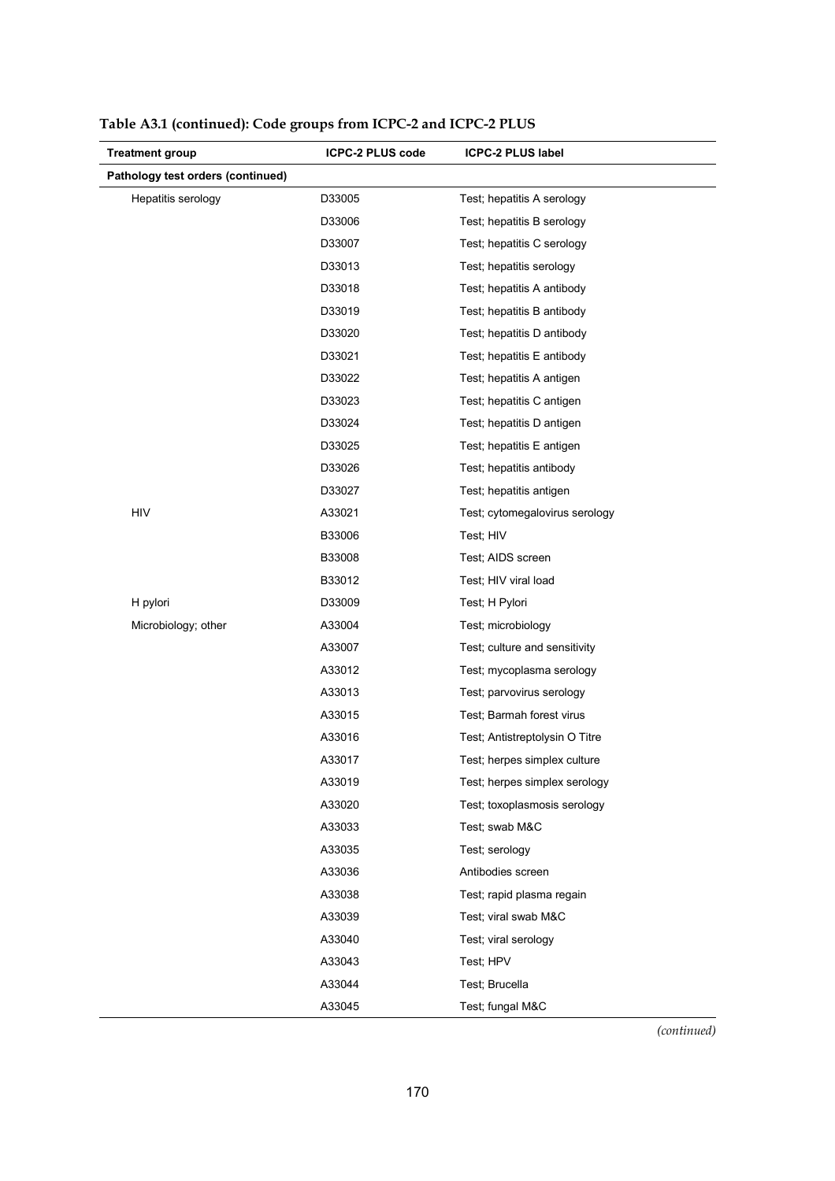| <b>Treatment group</b>            | <b>ICPC-2 PLUS code</b> | <b>ICPC-2 PLUS label</b>       |
|-----------------------------------|-------------------------|--------------------------------|
| Pathology test orders (continued) |                         |                                |
| Hepatitis serology                | D33005                  | Test; hepatitis A serology     |
|                                   | D33006                  | Test; hepatitis B serology     |
|                                   | D33007                  | Test; hepatitis C serology     |
|                                   | D33013                  | Test; hepatitis serology       |
|                                   | D33018                  | Test; hepatitis A antibody     |
|                                   | D33019                  | Test; hepatitis B antibody     |
|                                   | D33020                  | Test; hepatitis D antibody     |
|                                   | D33021                  | Test; hepatitis E antibody     |
|                                   | D33022                  | Test; hepatitis A antigen      |
|                                   | D33023                  | Test; hepatitis C antigen      |
|                                   | D33024                  | Test; hepatitis D antigen      |
|                                   | D33025                  | Test; hepatitis E antigen      |
|                                   | D33026                  | Test; hepatitis antibody       |
|                                   | D33027                  | Test; hepatitis antigen        |
| <b>HIV</b>                        | A33021                  | Test; cytomegalovirus serology |
|                                   | B33006                  | Test; HIV                      |
|                                   | B33008                  | Test; AIDS screen              |
|                                   | B33012                  | Test; HIV viral load           |
| H pylori                          | D33009                  | Test; H Pylori                 |
| Microbiology; other               | A33004                  | Test; microbiology             |
|                                   | A33007                  | Test; culture and sensitivity  |
|                                   | A33012                  | Test; mycoplasma serology      |
|                                   | A33013                  | Test; parvovirus serology      |
|                                   | A33015                  | Test; Barmah forest virus      |
|                                   | A33016                  | Test; Antistreptolysin O Titre |
|                                   | A33017                  | Test; herpes simplex culture   |
|                                   | A33019                  | Test; herpes simplex serology  |
|                                   | A33020                  | Test; toxoplasmosis serology   |
|                                   | A33033                  | Test; swab M&C                 |
|                                   | A33035                  | Test; serology                 |
|                                   | A33036                  | Antibodies screen              |
|                                   | A33038                  | Test; rapid plasma regain      |
|                                   | A33039                  | Test; viral swab M&C           |
|                                   | A33040                  | Test; viral serology           |
|                                   | A33043                  | Test; HPV                      |
|                                   | A33044                  | Test; Brucella                 |
|                                   | A33045                  | Test; fungal M&C               |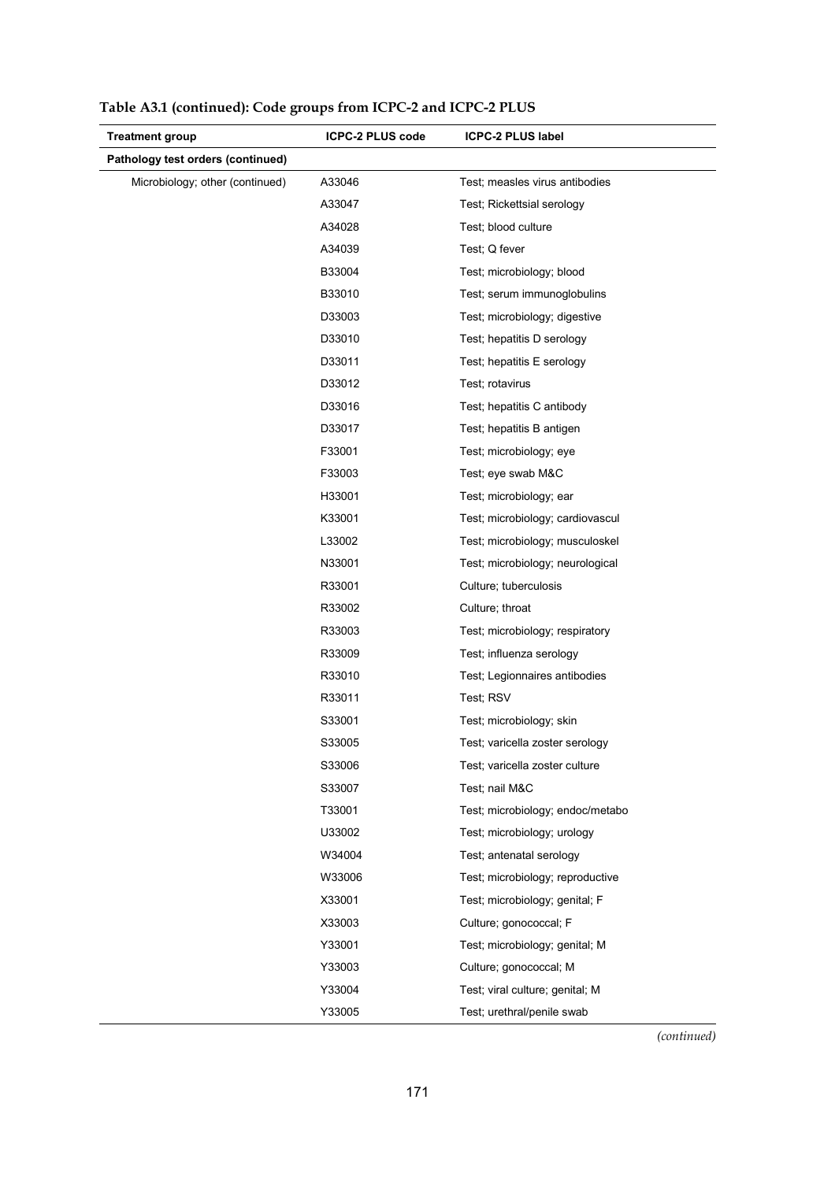| <b>Treatment group</b>            | <b>ICPC-2 PLUS code</b> | <b>ICPC-2 PLUS label</b>         |
|-----------------------------------|-------------------------|----------------------------------|
| Pathology test orders (continued) |                         |                                  |
| Microbiology; other (continued)   | A33046                  | Test; measles virus antibodies   |
|                                   | A33047                  | Test; Rickettsial serology       |
|                                   | A34028                  | Test; blood culture              |
|                                   | A34039                  | Test; Q fever                    |
|                                   | B33004                  | Test; microbiology; blood        |
|                                   | B33010                  | Test; serum immunoglobulins      |
|                                   | D33003                  | Test; microbiology; digestive    |
|                                   | D33010                  | Test; hepatitis D serology       |
|                                   | D33011                  | Test; hepatitis E serology       |
|                                   | D33012                  | Test; rotavirus                  |
|                                   | D33016                  | Test; hepatitis C antibody       |
|                                   | D33017                  | Test; hepatitis B antigen        |
|                                   | F33001                  | Test; microbiology; eye          |
|                                   | F33003                  | Test; eye swab M&C               |
|                                   | H33001                  | Test; microbiology; ear          |
|                                   | K33001                  | Test; microbiology; cardiovascul |
|                                   | L33002                  | Test; microbiology; musculoskel  |
|                                   | N33001                  | Test; microbiology; neurological |
|                                   | R33001                  | Culture; tuberculosis            |
|                                   | R33002                  | Culture; throat                  |
|                                   | R33003                  | Test; microbiology; respiratory  |
|                                   | R33009                  | Test; influenza serology         |
|                                   | R33010                  | Test; Legionnaires antibodies    |
|                                   | R33011                  | Test; RSV                        |
|                                   | S33001                  | Test; microbiology; skin         |
|                                   | S33005                  | Test; varicella zoster serology  |
|                                   | S33006                  | Test; varicella zoster culture   |
|                                   | S33007                  | Test; nail M&C                   |
|                                   | T33001                  | Test; microbiology; endoc/metabo |
|                                   | U33002                  | Test; microbiology; urology      |
|                                   | W34004                  | Test; antenatal serology         |
|                                   | W33006                  | Test; microbiology; reproductive |
|                                   | X33001                  | Test; microbiology; genital; F   |
|                                   | X33003                  | Culture; gonococcal; F           |
|                                   | Y33001                  | Test; microbiology; genital; M   |
|                                   | Y33003                  | Culture; gonococcal; M           |
|                                   | Y33004                  | Test; viral culture; genital; M  |
|                                   | Y33005                  | Test; urethral/penile swab       |

**Table A3.1 (continued): Code groups from ICPC-2 and ICPC-2 PLUS**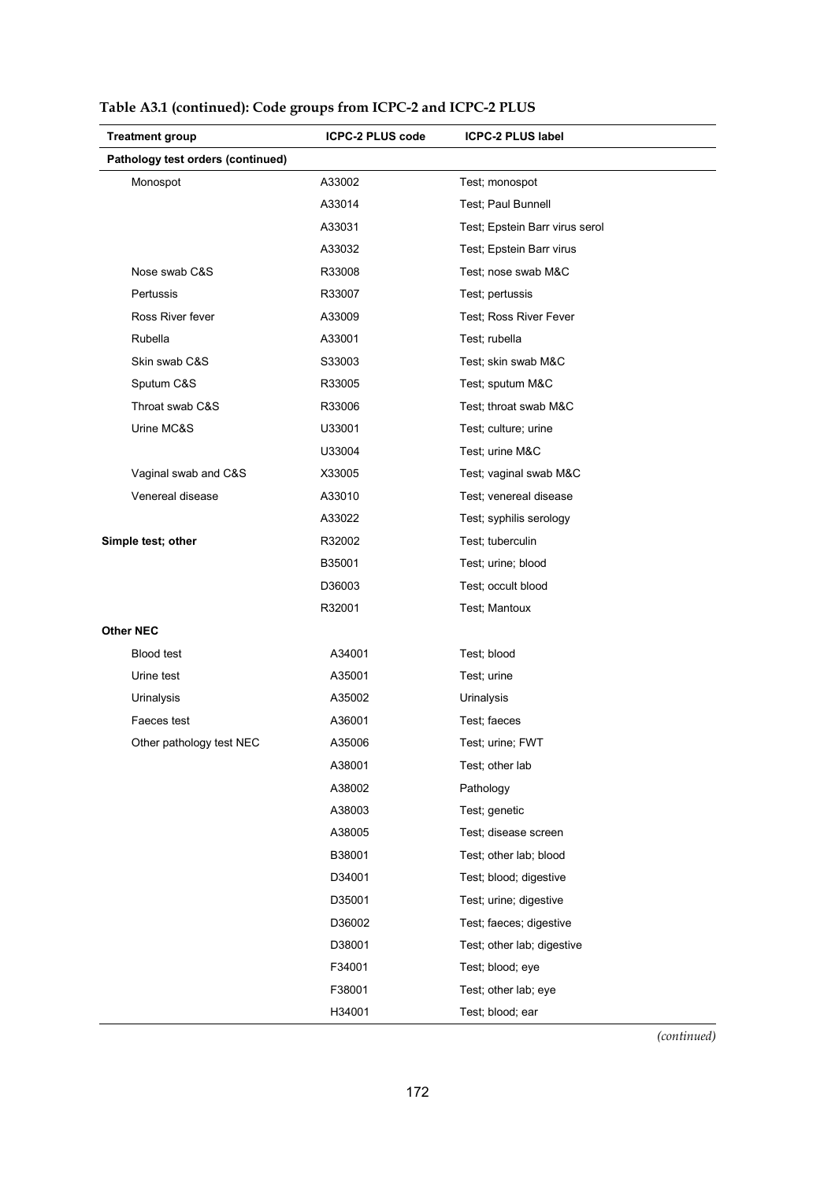| <b>Treatment group</b>            | <b>ICPC-2 PLUS code</b> | <b>ICPC-2 PLUS label</b>       |
|-----------------------------------|-------------------------|--------------------------------|
| Pathology test orders (continued) |                         |                                |
| Monospot                          | A33002                  | Test; monospot                 |
|                                   | A33014                  | Test; Paul Bunnell             |
|                                   | A33031                  | Test; Epstein Barr virus serol |
|                                   | A33032                  | Test; Epstein Barr virus       |
| Nose swab C&S                     | R33008                  | Test; nose swab M&C            |
| Pertussis                         | R33007                  | Test; pertussis                |
| Ross River fever                  | A33009                  | Test; Ross River Fever         |
| Rubella                           | A33001                  | Test; rubella                  |
| Skin swab C&S                     | S33003                  | Test; skin swab M&C            |
| Sputum C&S                        | R33005                  | Test; sputum M&C               |
| Throat swab C&S                   | R33006                  | Test; throat swab M&C          |
| Urine MC&S                        | U33001                  | Test; culture; urine           |
|                                   | U33004                  | Test; urine M&C                |
| Vaginal swab and C&S              | X33005                  | Test; vaginal swab M&C         |
| Venereal disease                  | A33010                  | Test; venereal disease         |
|                                   | A33022                  | Test; syphilis serology        |
| Simple test; other                | R32002                  | Test; tuberculin               |
|                                   | B35001                  | Test; urine; blood             |
|                                   | D36003                  | Test; occult blood             |
|                                   | R32001                  | Test; Mantoux                  |
| <b>Other NEC</b>                  |                         |                                |
| Blood test                        | A34001                  | Test; blood                    |
| Urine test                        | A35001                  | Test; urine                    |
| Urinalysis                        | A35002                  | Urinalysis                     |
| Faeces test                       | A36001                  | Test; faeces                   |
| Other pathology test NEC          | A35006                  | Test; urine; FWT               |
|                                   | A38001                  | Test; other lab                |
|                                   | A38002                  | Pathology                      |
|                                   | A38003                  | Test; genetic                  |
|                                   | A38005                  | Test; disease screen           |
|                                   | B38001                  | Test; other lab; blood         |
|                                   | D34001                  | Test; blood; digestive         |
|                                   | D35001                  | Test; urine; digestive         |
|                                   | D36002                  | Test; faeces; digestive        |
|                                   | D38001                  | Test; other lab; digestive     |
|                                   | F34001                  | Test; blood; eye               |
|                                   | F38001                  | Test; other lab; eye           |
|                                   | H34001                  | Test; blood; ear               |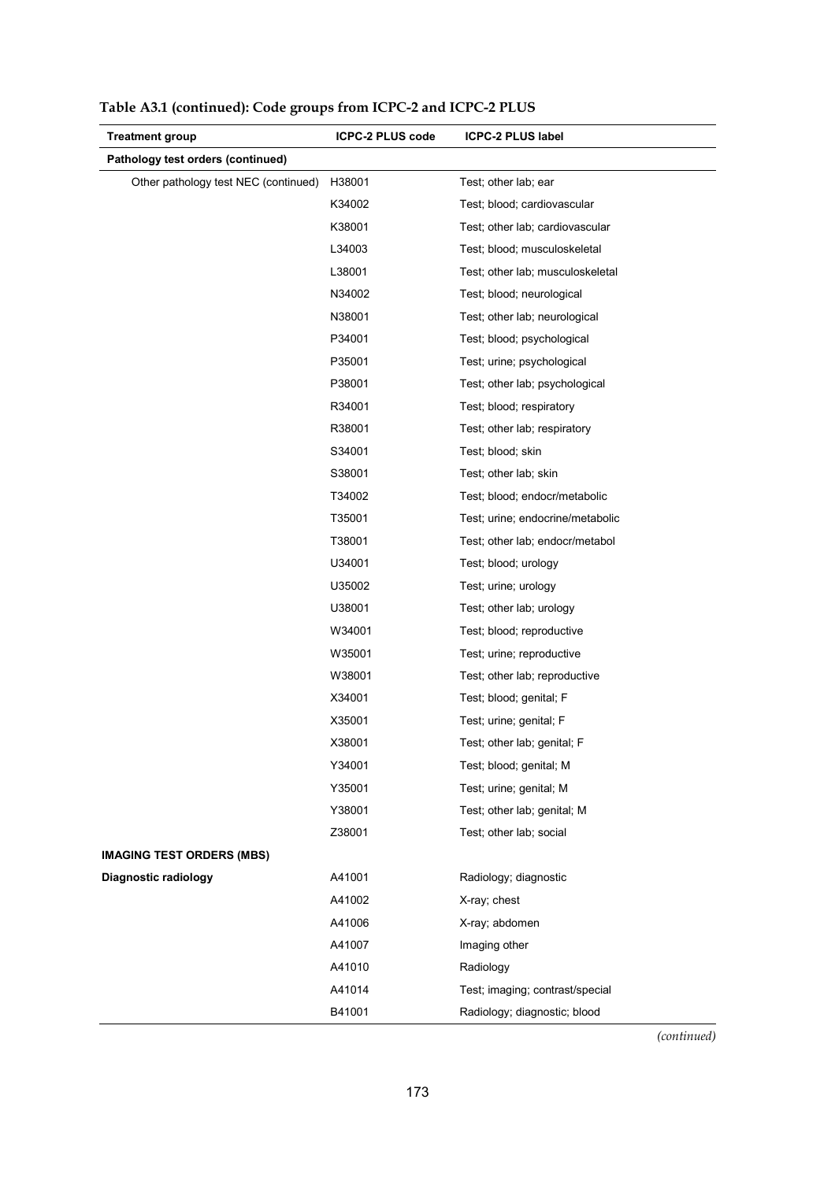| <b>Treatment group</b>               | <b>ICPC-2 PLUS code</b> | <b>ICPC-2 PLUS label</b>         |
|--------------------------------------|-------------------------|----------------------------------|
| Pathology test orders (continued)    |                         |                                  |
| Other pathology test NEC (continued) | H38001                  | Test; other lab; ear             |
|                                      | K34002                  | Test; blood; cardiovascular      |
|                                      | K38001                  | Test; other lab; cardiovascular  |
|                                      | L34003                  | Test; blood; musculoskeletal     |
|                                      | L38001                  | Test; other lab; musculoskeletal |
|                                      | N34002                  | Test; blood; neurological        |
|                                      | N38001                  | Test; other lab; neurological    |
|                                      | P34001                  | Test; blood; psychological       |
|                                      | P35001                  | Test; urine; psychological       |
|                                      | P38001                  | Test; other lab; psychological   |
|                                      | R34001                  | Test; blood; respiratory         |
|                                      | R38001                  | Test; other lab; respiratory     |
|                                      | S34001                  | Test; blood; skin                |
|                                      | S38001                  | Test; other lab; skin            |
|                                      | T34002                  | Test; blood; endocr/metabolic    |
|                                      | T35001                  | Test; urine; endocrine/metabolic |
|                                      | T38001                  | Test; other lab; endocr/metabol  |
|                                      | U34001                  | Test; blood; urology             |
|                                      | U35002                  | Test; urine; urology             |
|                                      | U38001                  | Test; other lab; urology         |
|                                      | W34001                  | Test; blood; reproductive        |
|                                      | W35001                  | Test; urine; reproductive        |
|                                      | W38001                  | Test; other lab; reproductive    |
|                                      | X34001                  | Test; blood; genital; F          |
|                                      | X35001                  | Test; urine; genital; F          |
|                                      | X38001                  | Test; other lab; genital; F      |
|                                      | Y34001                  | Test; blood; genital; M          |
|                                      | Y35001                  | Test; urine; genital; M          |
|                                      | Y38001                  | Test; other lab; genital; M      |
|                                      | Z38001                  | Test; other lab; social          |
| <b>IMAGING TEST ORDERS (MBS)</b>     |                         |                                  |
| Diagnostic radiology                 | A41001                  | Radiology; diagnostic            |
|                                      | A41002                  | X-ray; chest                     |
|                                      | A41006                  | X-ray; abdomen                   |
|                                      | A41007                  | Imaging other                    |
|                                      | A41010                  | Radiology                        |
|                                      | A41014                  | Test; imaging; contrast/special  |
|                                      | B41001                  | Radiology; diagnostic; blood     |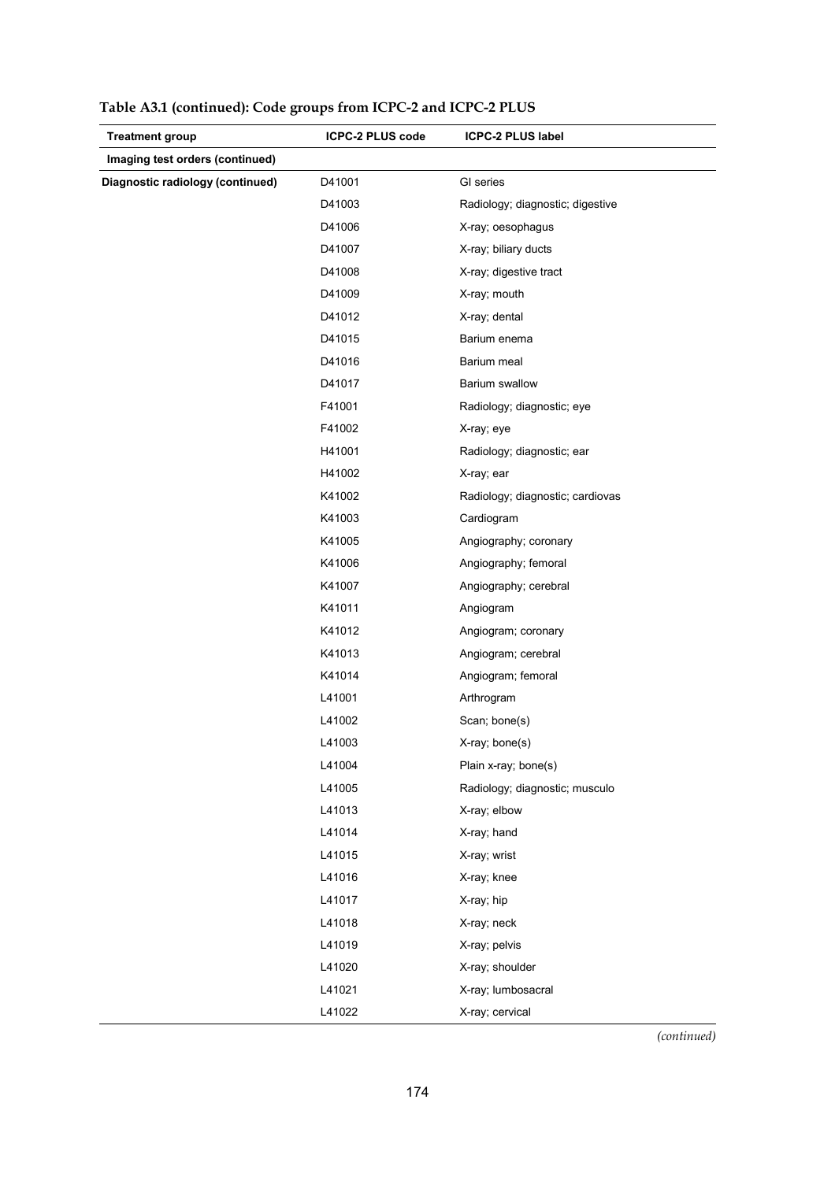| <b>Treatment group</b>           | <b>ICPC-2 PLUS code</b> | <b>ICPC-2 PLUS label</b>         |
|----------------------------------|-------------------------|----------------------------------|
| Imaging test orders (continued)  |                         |                                  |
| Diagnostic radiology (continued) | D41001                  | GI series                        |
|                                  | D41003                  | Radiology; diagnostic; digestive |
|                                  | D41006                  | X-ray; oesophagus                |
|                                  | D41007                  | X-ray; biliary ducts             |
|                                  | D41008                  | X-ray; digestive tract           |
|                                  | D41009                  | X-ray; mouth                     |
|                                  | D41012                  | X-ray; dental                    |
|                                  | D41015                  | Barium enema                     |
|                                  | D41016                  | Barium meal                      |
|                                  | D41017                  | Barium swallow                   |
|                                  | F41001                  | Radiology; diagnostic; eye       |
|                                  | F41002                  | X-ray; eye                       |
|                                  | H41001                  | Radiology; diagnostic; ear       |
|                                  | H41002                  | X-ray; ear                       |
|                                  | K41002                  | Radiology; diagnostic; cardiovas |
|                                  | K41003                  | Cardiogram                       |
|                                  | K41005                  | Angiography; coronary            |
|                                  | K41006                  | Angiography; femoral             |
|                                  | K41007                  | Angiography; cerebral            |
|                                  | K41011                  | Angiogram                        |
|                                  | K41012                  | Angiogram; coronary              |
|                                  | K41013                  | Angiogram; cerebral              |
|                                  | K41014                  | Angiogram; femoral               |
|                                  | L41001                  | Arthrogram                       |
|                                  | L41002                  | Scan; bone(s)                    |
|                                  | L41003                  | X-ray; bone(s)                   |
|                                  | L41004                  | Plain x-ray; bone(s)             |
|                                  | L41005                  | Radiology; diagnostic; musculo   |
|                                  | L41013                  | X-ray; elbow                     |
|                                  | L41014                  | X-ray; hand                      |
|                                  | L41015                  | X-ray; wrist                     |
|                                  | L41016                  | X-ray; knee                      |
|                                  | L41017                  | X-ray; hip                       |
|                                  | L41018                  | X-ray; neck                      |
|                                  | L41019                  | X-ray; pelvis                    |
|                                  | L41020                  | X-ray; shoulder                  |
|                                  | L41021                  | X-ray; lumbosacral               |
|                                  | L41022                  | X-ray; cervical                  |

**Table A3.1 (continued): Code groups from ICPC-2 and ICPC-2 PLUS**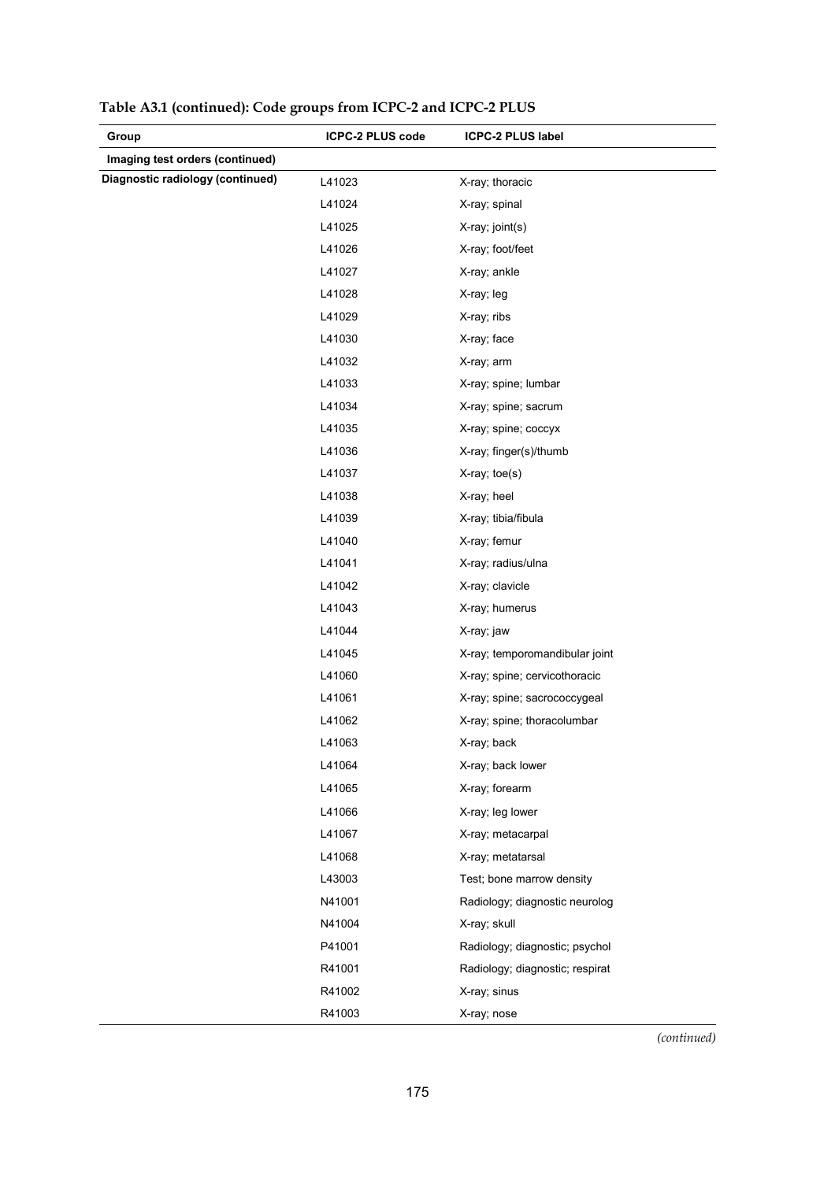| Group                            | <b>ICPC-2 PLUS code</b> | <b>ICPC-2 PLUS label</b>        |
|----------------------------------|-------------------------|---------------------------------|
| Imaging test orders (continued)  |                         |                                 |
| Diagnostic radiology (continued) | L41023                  | X-ray; thoracic                 |
|                                  | L41024                  | X-ray; spinal                   |
|                                  | L41025                  | X-ray; joint(s)                 |
|                                  | L41026                  | X-ray; foot/feet                |
|                                  | L41027                  | X-ray; ankle                    |
|                                  | L41028                  | X-ray; leg                      |
|                                  | L41029                  | X-ray; ribs                     |
|                                  | L41030                  | X-ray; face                     |
|                                  | L41032                  | X-ray; arm                      |
|                                  | L41033                  | X-ray; spine; lumbar            |
|                                  | L41034                  | X-ray; spine; sacrum            |
|                                  | L41035                  | X-ray; spine; coccyx            |
|                                  | L41036                  | X-ray; finger(s)/thumb          |
|                                  | L41037                  | X-ray; toe(s)                   |
|                                  | L41038                  | X-ray; heel                     |
|                                  | L41039                  | X-ray; tibia/fibula             |
|                                  | L41040                  | X-ray; femur                    |
|                                  | L41041                  | X-ray; radius/ulna              |
|                                  | L41042                  | X-ray; clavicle                 |
|                                  | L41043                  | X-ray; humerus                  |
|                                  | L41044                  | X-ray; jaw                      |
|                                  | L41045                  | X-ray; temporomandibular joint  |
|                                  | L41060                  | X-ray; spine; cervicothoracic   |
|                                  | L41061                  | X-ray; spine; sacrococcygeal    |
|                                  | L41062                  | X-ray; spine; thoracolumbar     |
|                                  | L41063                  | X-ray; back                     |
|                                  | L41064                  | X-ray; back lower               |
|                                  | L41065                  | X-ray; forearm                  |
|                                  | L41066                  | X-ray; leg lower                |
|                                  | L41067                  | X-ray; metacarpal               |
|                                  | L41068                  | X-ray; metatarsal               |
|                                  | L43003                  | Test; bone marrow density       |
|                                  | N41001                  | Radiology; diagnostic neurolog  |
|                                  | N41004                  | X-ray; skull                    |
|                                  | P41001                  | Radiology; diagnostic; psychol  |
|                                  | R41001                  | Radiology; diagnostic; respirat |
|                                  | R41002                  | X-ray; sinus                    |
|                                  | R41003                  | X-ray; nose                     |

**Table A3.1 (continued): Code groups from ICPC-2 and ICPC-2 PLUS**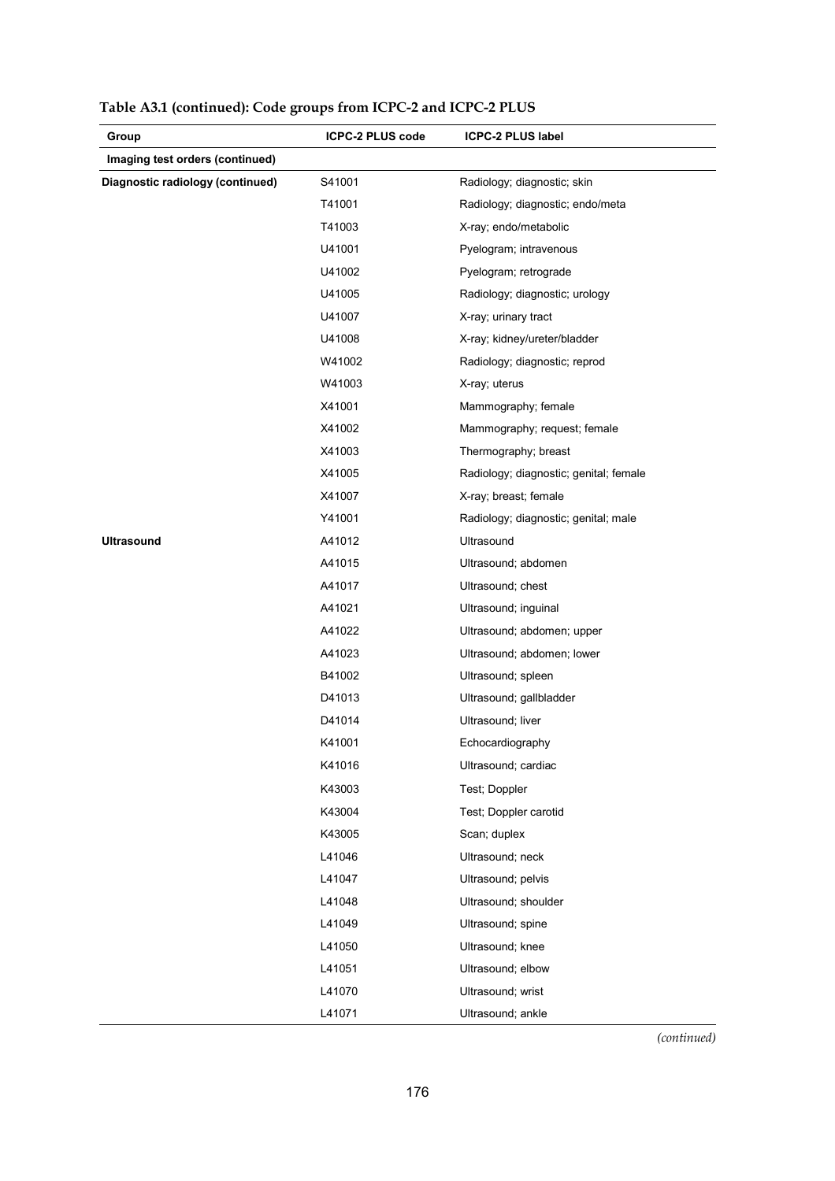| Group                            | <b>ICPC-2 PLUS code</b> | <b>ICPC-2 PLUS label</b>               |
|----------------------------------|-------------------------|----------------------------------------|
| Imaging test orders (continued)  |                         |                                        |
| Diagnostic radiology (continued) | S41001                  | Radiology; diagnostic; skin            |
|                                  | T41001                  | Radiology; diagnostic; endo/meta       |
|                                  | T41003                  | X-ray; endo/metabolic                  |
|                                  | U41001                  | Pyelogram; intravenous                 |
|                                  | U41002                  | Pyelogram; retrograde                  |
|                                  | U41005                  | Radiology; diagnostic; urology         |
|                                  | U41007                  | X-ray; urinary tract                   |
|                                  | U41008                  | X-ray; kidney/ureter/bladder           |
|                                  | W41002                  | Radiology; diagnostic; reprod          |
|                                  | W41003                  | X-ray; uterus                          |
|                                  | X41001                  | Mammography; female                    |
|                                  | X41002                  | Mammography; request; female           |
|                                  | X41003                  | Thermography; breast                   |
|                                  | X41005                  | Radiology; diagnostic; genital; female |
|                                  | X41007                  | X-ray; breast; female                  |
|                                  | Y41001                  | Radiology; diagnostic; genital; male   |
| <b>Ultrasound</b>                | A41012                  | Ultrasound                             |
|                                  | A41015                  | Ultrasound; abdomen                    |
|                                  | A41017                  | Ultrasound; chest                      |
|                                  | A41021                  | Ultrasound; inguinal                   |
|                                  | A41022                  | Ultrasound; abdomen; upper             |
|                                  | A41023                  | Ultrasound; abdomen; lower             |
|                                  | B41002                  | Ultrasound; spleen                     |
|                                  | D41013                  | Ultrasound; gallbladder                |
|                                  | D41014                  | Ultrasound; liver                      |
|                                  | K41001                  | Echocardiography                       |
|                                  | K41016                  | Ultrasound; cardiac                    |
|                                  | K43003                  | Test; Doppler                          |
|                                  | K43004                  | Test; Doppler carotid                  |
|                                  | K43005                  | Scan; duplex                           |
|                                  | L41046                  | Ultrasound; neck                       |
|                                  | L41047                  | Ultrasound; pelvis                     |
|                                  | L41048                  | Ultrasound; shoulder                   |
|                                  | L41049                  | Ultrasound; spine                      |
|                                  | L41050                  | Ultrasound; knee                       |
|                                  | L41051                  | Ultrasound; elbow                      |
|                                  | L41070                  | Ultrasound; wrist                      |
|                                  | L41071                  | Ultrasound; ankle                      |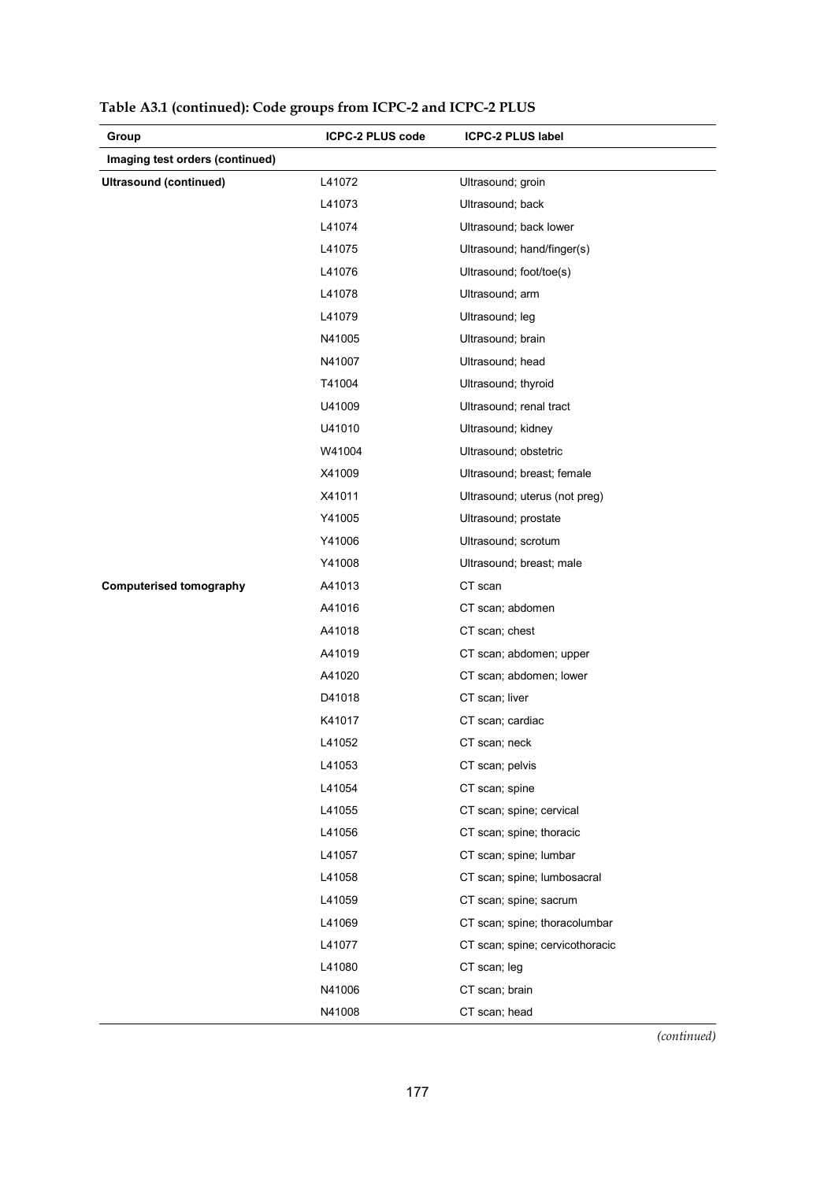| Group                           | <b>ICPC-2 PLUS code</b> | <b>ICPC-2 PLUS label</b>        |
|---------------------------------|-------------------------|---------------------------------|
| Imaging test orders (continued) |                         |                                 |
| <b>Ultrasound (continued)</b>   | L41072                  | Ultrasound; groin               |
|                                 | L41073                  | Ultrasound; back                |
|                                 | L41074                  | Ultrasound; back lower          |
|                                 | L41075                  | Ultrasound; hand/finger(s)      |
|                                 | L41076                  | Ultrasound; foot/toe(s)         |
|                                 | L41078                  | Ultrasound; arm                 |
|                                 | L41079                  | Ultrasound; leg                 |
|                                 | N41005                  | Ultrasound; brain               |
|                                 | N41007                  | Ultrasound; head                |
|                                 | T41004                  | Ultrasound; thyroid             |
|                                 | U41009                  | Ultrasound; renal tract         |
|                                 | U41010                  | Ultrasound; kidney              |
|                                 | W41004                  | Ultrasound; obstetric           |
|                                 | X41009                  | Ultrasound; breast; female      |
|                                 | X41011                  | Ultrasound; uterus (not preg)   |
|                                 | Y41005                  | Ultrasound; prostate            |
|                                 | Y41006                  | Ultrasound; scrotum             |
|                                 | Y41008                  | Ultrasound; breast; male        |
| <b>Computerised tomography</b>  | A41013                  | CT scan                         |
|                                 | A41016                  | CT scan; abdomen                |
|                                 | A41018                  | CT scan; chest                  |
|                                 | A41019                  | CT scan; abdomen; upper         |
|                                 | A41020                  | CT scan; abdomen; lower         |
|                                 | D41018                  | CT scan; liver                  |
|                                 | K41017                  | CT scan; cardiac                |
|                                 | L41052                  | CT scan; neck                   |
|                                 | L41053                  | CT scan; pelvis                 |
|                                 | L41054                  | CT scan; spine                  |
|                                 | L41055                  | CT scan; spine; cervical        |
|                                 | L41056                  | CT scan; spine; thoracic        |
|                                 | L41057                  | CT scan; spine; lumbar          |
|                                 | L41058                  | CT scan; spine; lumbosacral     |
|                                 | L41059                  | CT scan; spine; sacrum          |
|                                 | L41069                  | CT scan; spine; thoracolumbar   |
|                                 | L41077                  | CT scan; spine; cervicothoracic |
|                                 | L41080                  | CT scan; leg                    |
|                                 | N41006                  | CT scan; brain                  |
|                                 | N41008                  | CT scan; head                   |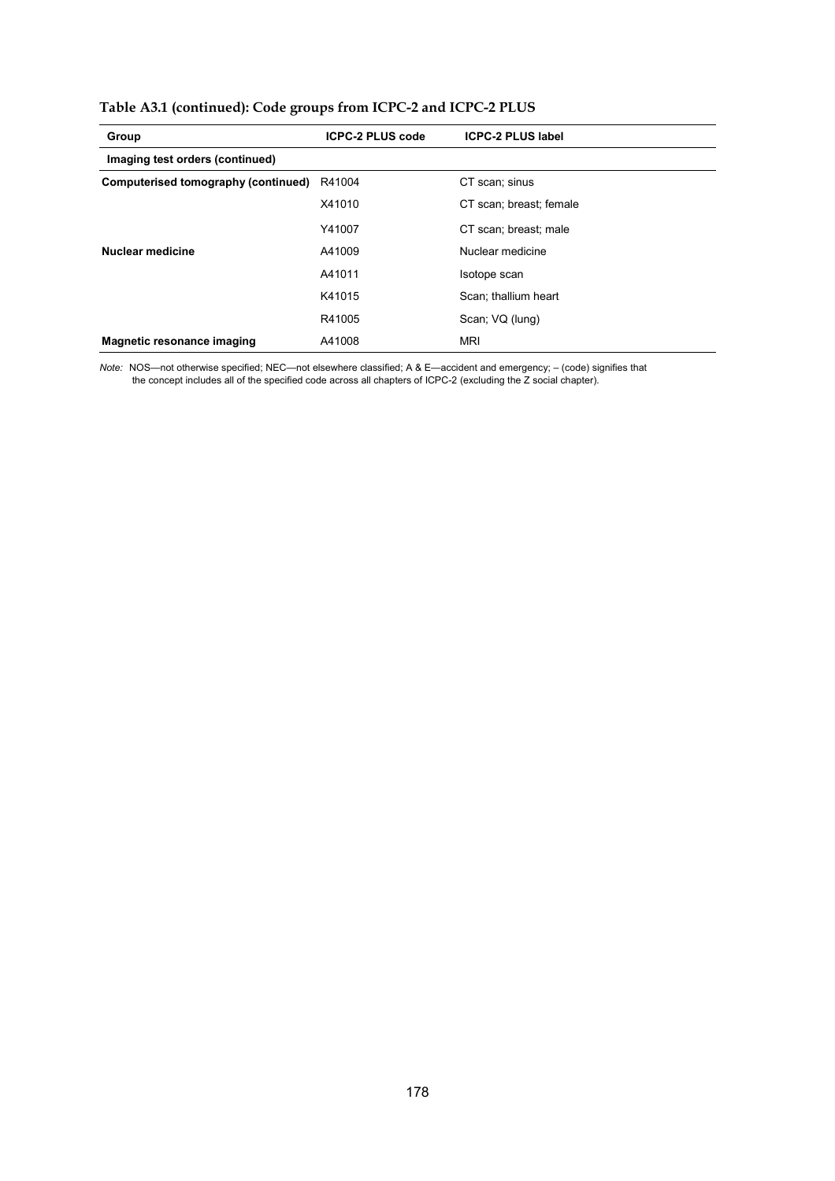| Group                               | <b>ICPC-2 PLUS code</b> | <b>ICPC-2 PLUS label</b> |
|-------------------------------------|-------------------------|--------------------------|
| Imaging test orders (continued)     |                         |                          |
| Computerised tomography (continued) | R41004                  | CT scan; sinus           |
|                                     | X41010                  | CT scan; breast; female  |
|                                     | Y41007                  | CT scan: breast: male    |
| Nuclear medicine                    | A41009                  | Nuclear medicine         |
|                                     | A41011                  | Isotope scan             |
|                                     | K41015                  | Scan; thallium heart     |
|                                     | R41005                  | Scan; VQ (lung)          |
| Magnetic resonance imaging          | A41008                  | <b>MRI</b>               |

*Note:* NOS—not otherwise specified; NEC—not elsewhere classified; A & E—accident and emergency; – (code) signifies that the concept includes all of the specified code across all chapters of ICPC-2 (excluding the Z social chapter).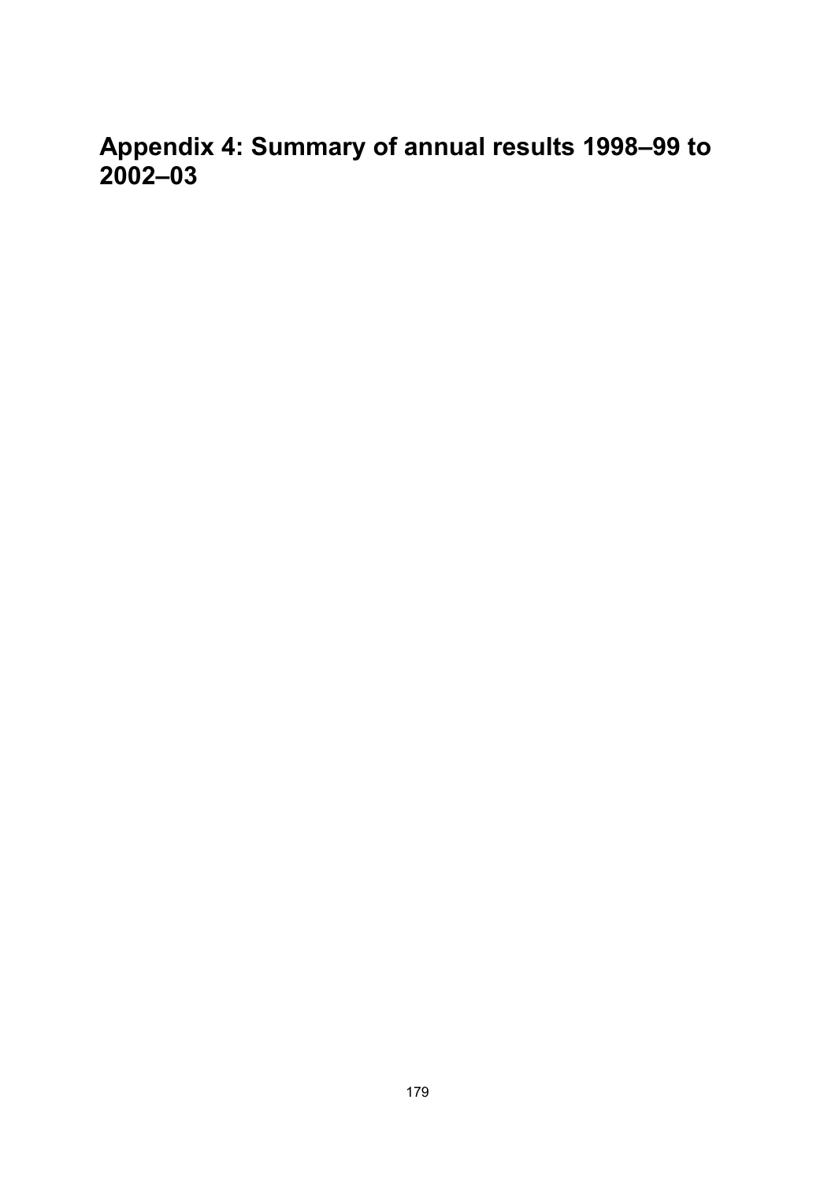**Appendix 4: Summary of annual results 1998–99 to 2002–03**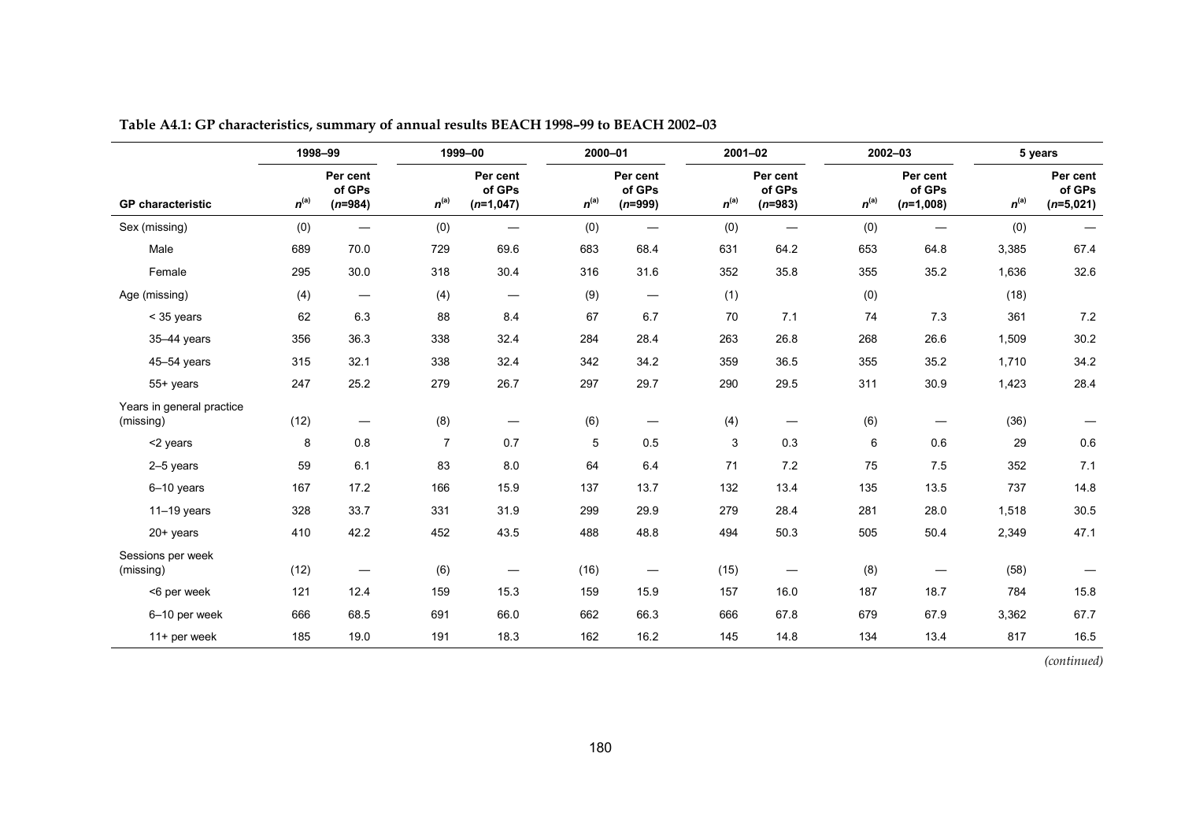|                                        | 1998-99   |                                 |                | 1999-00                           | 2000-01   |                                  | $2001 - 02$ |                                 |           | $2002 - 03$                       |           | 5 years                           |
|----------------------------------------|-----------|---------------------------------|----------------|-----------------------------------|-----------|----------------------------------|-------------|---------------------------------|-----------|-----------------------------------|-----------|-----------------------------------|
| <b>GP</b> characteristic               | $n^{(a)}$ | Per cent<br>of GPs<br>$(n=984)$ | $n^{(a)}$      | Per cent<br>of GPs<br>$(n=1,047)$ | $n^{(a)}$ | Per cent<br>of GPs<br>$(n=999)$  | $n^{(a)}$   | Per cent<br>of GPs<br>$(n=983)$ | $n^{(a)}$ | Per cent<br>of GPs<br>$(n=1,008)$ | $n^{(a)}$ | Per cent<br>of GPs<br>$(n=5,021)$ |
| Sex (missing)                          | (0)       | $\overline{\phantom{m}}$        | (0)            | $\overline{\phantom{0}}$          | (0)       | $\overbrace{\phantom{12322111}}$ | (0)         |                                 | (0)       | $\overline{\phantom{m}}$          | (0)       | $\overline{\phantom{m}}$          |
| Male                                   | 689       | 70.0                            | 729            | 69.6                              | 683       | 68.4                             | 631         | 64.2                            | 653       | 64.8                              | 3,385     | 67.4                              |
| Female                                 | 295       | 30.0                            | 318            | 30.4                              | 316       | 31.6                             | 352         | 35.8                            | 355       | 35.2                              | 1,636     | 32.6                              |
| Age (missing)                          | (4)       | $\overline{\phantom{m}}$        | (4)            | $\hspace{0.1mm}-\hspace{0.1mm}$   | (9)       | $\overline{\phantom{m}}$         | (1)         |                                 | (0)       |                                   | (18)      |                                   |
| $<$ 35 years                           | 62        | 6.3                             | 88             | 8.4                               | 67        | 6.7                              | 70          | 7.1                             | 74        | 7.3                               | 361       | 7.2                               |
| 35-44 years                            | 356       | 36.3                            | 338            | 32.4                              | 284       | 28.4                             | 263         | 26.8                            | 268       | 26.6                              | 1,509     | 30.2                              |
| 45-54 years                            | 315       | 32.1                            | 338            | 32.4                              | 342       | 34.2                             | 359         | 36.5                            | 355       | 35.2                              | 1,710     | 34.2                              |
| 55+ years                              | 247       | 25.2                            | 279            | 26.7                              | 297       | 29.7                             | 290         | 29.5                            | 311       | 30.9                              | 1,423     | 28.4                              |
| Years in general practice<br>(missing) | (12)      | $\qquad \qquad$                 | (8)            | $\hspace{0.1mm}-\hspace{0.1mm}$   | (6)       | $\overbrace{\phantom{12322111}}$ | (4)         |                                 | (6)       | $\overline{\phantom{m}}$          | (36)      |                                   |
| <2 years                               | 8         | 0.8                             | $\overline{7}$ | 0.7                               | 5         | 0.5                              | 3           | 0.3                             | 6         | 0.6                               | 29        | 0.6                               |
| 2-5 years                              | 59        | 6.1                             | 83             | 8.0                               | 64        | 6.4                              | 71          | 7.2                             | 75        | 7.5                               | 352       | 7.1                               |
| 6-10 years                             | 167       | 17.2                            | 166            | 15.9                              | 137       | 13.7                             | 132         | 13.4                            | 135       | 13.5                              | 737       | 14.8                              |
| $11-19$ years                          | 328       | 33.7                            | 331            | 31.9                              | 299       | 29.9                             | 279         | 28.4                            | 281       | 28.0                              | 1,518     | 30.5                              |
| $20+$ years                            | 410       | 42.2                            | 452            | 43.5                              | 488       | 48.8                             | 494         | 50.3                            | 505       | 50.4                              | 2,349     | 47.1                              |
| Sessions per week<br>(missing)         | (12)      |                                 | (6)            | —                                 | (16)      | —                                | (15)        |                                 | (8)       |                                   | (58)      |                                   |
| <6 per week                            | 121       | 12.4                            | 159            | 15.3                              | 159       | 15.9                             | 157         | 16.0                            | 187       | 18.7                              | 784       | 15.8                              |
| 6-10 per week                          | 666       | 68.5                            | 691            | 66.0                              | 662       | 66.3                             | 666         | 67.8                            | 679       | 67.9                              | 3,362     | 67.7                              |
| 11+ per week                           | 185       | 19.0                            | 191            | 18.3                              | 162       | 16.2                             | 145         | 14.8                            | 134       | 13.4                              | 817       | 16.5                              |

**Table A4.1: GP characteristics, summary of annual results BEACH 1998–99 to BEACH 2002–03**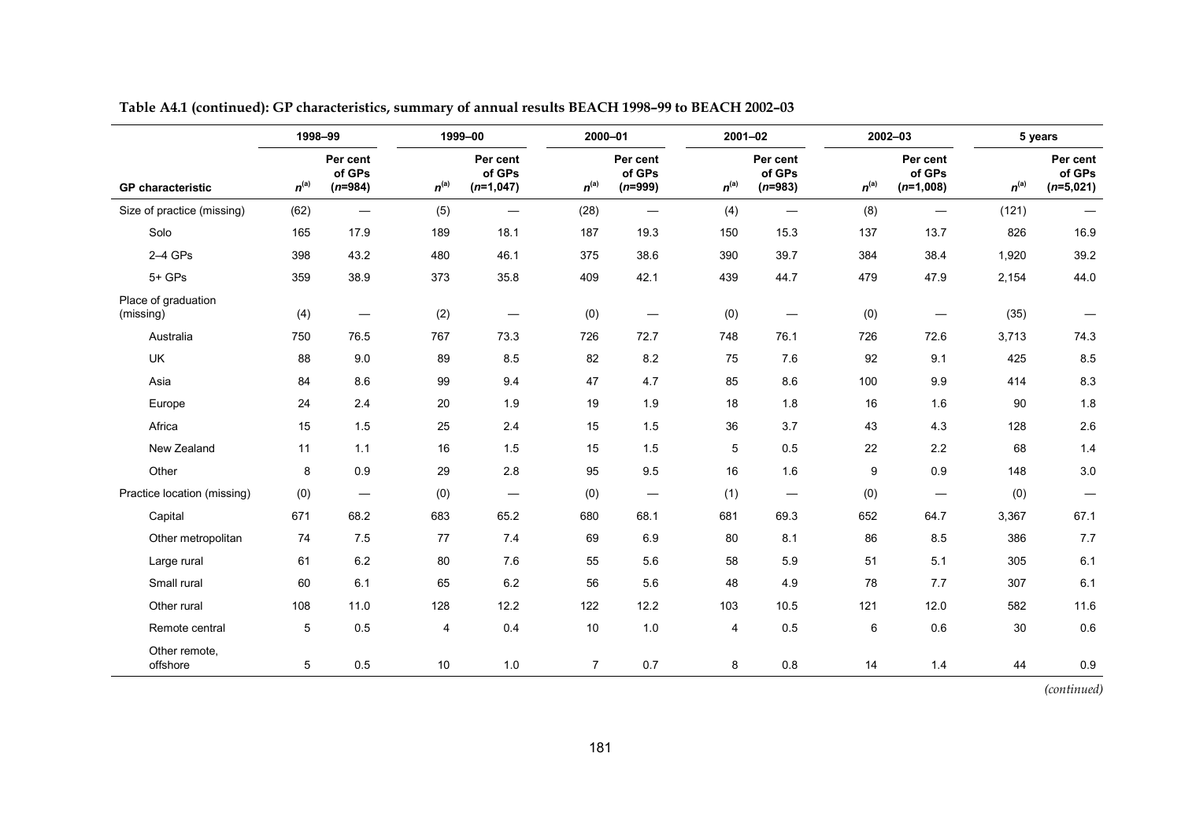|                                  | 1998-99   |                                   |                | 1999-00                           | 2000-01        |                                  | 2001-02   |                                 |           | 2002-03                           |           | 5 years                           |
|----------------------------------|-----------|-----------------------------------|----------------|-----------------------------------|----------------|----------------------------------|-----------|---------------------------------|-----------|-----------------------------------|-----------|-----------------------------------|
| <b>GP</b> characteristic         | $n^{(a)}$ | Per cent<br>of GPs<br>$(n=984)$   | $n^{(a)}$      | Per cent<br>of GPs<br>$(n=1,047)$ | $n^{(a)}$      | Per cent<br>of GPs<br>$(n=999)$  | $n^{(a)}$ | Per cent<br>of GPs<br>$(n=983)$ | $n^{(a)}$ | Per cent<br>of GPs<br>$(n=1,008)$ | $n^{(a)}$ | Per cent<br>of GPs<br>$(n=5,021)$ |
| Size of practice (missing)       | (62)      | $\overline{\phantom{m}}$          | (5)            | $\overline{\phantom{0}}$          | (28)           | $\overline{\phantom{m}}$         | (4)       | $\overline{\phantom{0}}$        | (8)       | $\overbrace{\phantom{12322111}}$  | (121)     | $\qquad \qquad -$                 |
| Solo                             | 165       | 17.9                              | 189            | 18.1                              | 187            | 19.3                             | 150       | 15.3                            | 137       | 13.7                              | 826       | 16.9                              |
| $2-4$ GPs                        | 398       | 43.2                              | 480            | 46.1                              | 375            | 38.6                             | 390       | 39.7                            | 384       | 38.4                              | 1,920     | 39.2                              |
| $5+$ GPs                         | 359       | 38.9                              | 373            | 35.8                              | 409            | 42.1                             | 439       | 44.7                            | 479       | 47.9                              | 2,154     | 44.0                              |
| Place of graduation<br>(missing) | (4)       | $\overbrace{\phantom{123221111}}$ | (2)            |                                   | (0)            |                                  | (0)       |                                 | (0)       |                                   | (35)      |                                   |
| Australia                        | 750       | 76.5                              | 767            | 73.3                              | 726            | 72.7                             | 748       | 76.1                            | 726       | 72.6                              | 3,713     | 74.3                              |
| UK                               | 88        | 9.0                               | 89             | 8.5                               | 82             | 8.2                              | 75        | 7.6                             | 92        | 9.1                               | 425       | 8.5                               |
| Asia                             | 84        | 8.6                               | 99             | 9.4                               | 47             | 4.7                              | 85        | 8.6                             | 100       | 9.9                               | 414       | 8.3                               |
| Europe                           | 24        | 2.4                               | 20             | 1.9                               | 19             | 1.9                              | 18        | 1.8                             | 16        | 1.6                               | 90        | 1.8                               |
| Africa                           | 15        | 1.5                               | 25             | $2.4\,$                           | 15             | 1.5                              | 36        | 3.7                             | 43        | 4.3                               | 128       | $2.6\,$                           |
| New Zealand                      | 11        | $1.1$                             | 16             | 1.5                               | 15             | 1.5                              | 5         | 0.5                             | 22        | $2.2\,$                           | 68        | $1.4$                             |
| Other                            | 8         | 0.9                               | 29             | 2.8                               | 95             | 9.5                              | 16        | 1.6                             | 9         | 0.9                               | 148       | $3.0\,$                           |
| Practice location (missing)      | (0)       | $\overline{\phantom{0}}$          | (0)            |                                   | (0)            | $\overbrace{\phantom{12321111}}$ | (1)       |                                 | (0)       | —                                 | (0)       | $\qquad \qquad -$                 |
| Capital                          | 671       | 68.2                              | 683            | 65.2                              | 680            | 68.1                             | 681       | 69.3                            | 652       | 64.7                              | 3,367     | 67.1                              |
| Other metropolitan               | 74        | 7.5                               | 77             | 7.4                               | 69             | 6.9                              | 80        | 8.1                             | 86        | 8.5                               | 386       | 7.7                               |
| Large rural                      | 61        | 6.2                               | 80             | 7.6                               | 55             | 5.6                              | 58        | 5.9                             | 51        | 5.1                               | 305       | 6.1                               |
| Small rural                      | 60        | 6.1                               | 65             | 6.2                               | 56             | 5.6                              | 48        | 4.9                             | 78        | 7.7                               | 307       | 6.1                               |
| Other rural                      | 108       | 11.0                              | 128            | 12.2                              | 122            | 12.2                             | 103       | 10.5                            | 121       | 12.0                              | 582       | 11.6                              |
| Remote central                   | 5         | 0.5                               | $\overline{4}$ | 0.4                               | 10             | 1.0                              | 4         | 0.5                             | 6         | 0.6                               | 30        | 0.6                               |
| Other remote,<br>offshore        | 5         | 0.5                               | $10$           | 1.0                               | $\overline{7}$ | 0.7                              | 8         | $0.8\,$                         | 14        | 1.4                               | 44        | 0.9                               |

**Table A4.1 (continued): GP characteristics, summary of annual results BEACH 1998–99 to BEACH 2002–03**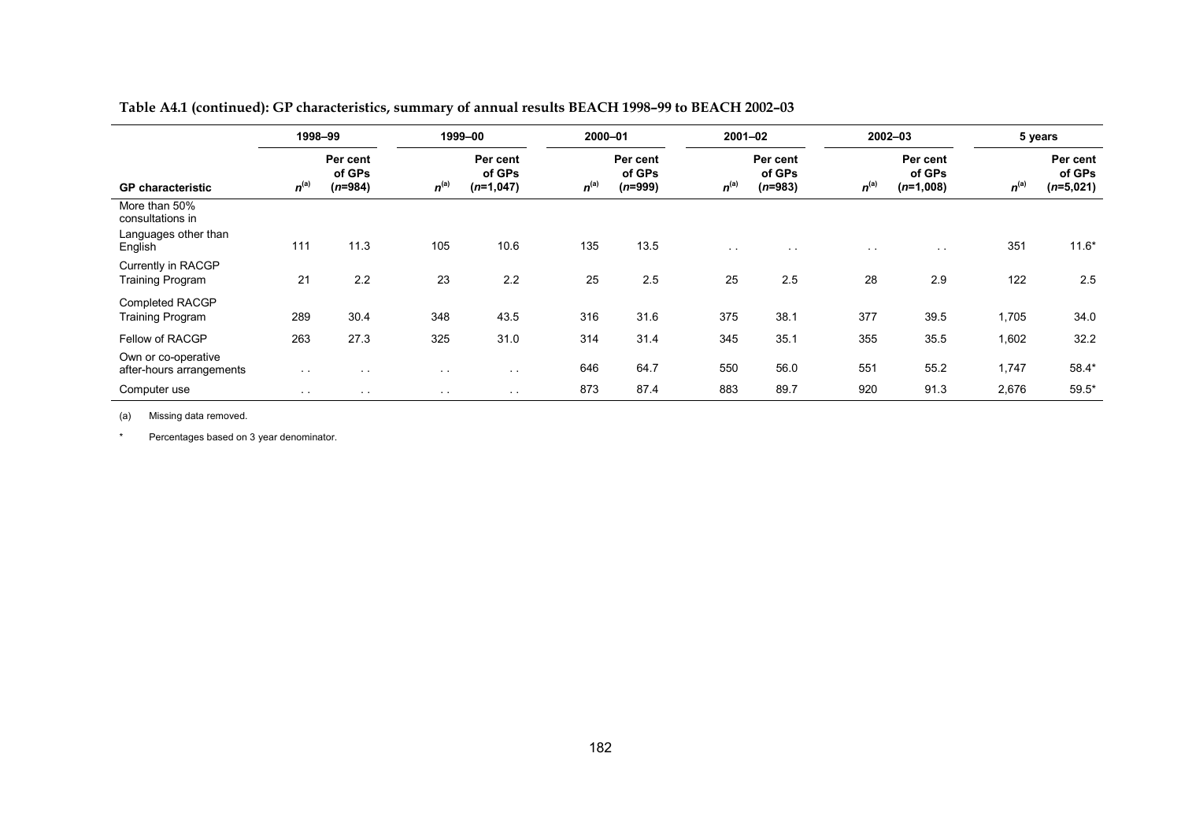|  |  | Table A4.1 (continued): GP characteristics, summary of annual results BEACH 1998-99 to BEACH 2002-03 |
|--|--|------------------------------------------------------------------------------------------------------|
|--|--|------------------------------------------------------------------------------------------------------|

|                                                                      | 1998-99   |                                 |               | 1999-00                           | 2000-01   |                                 | $2001 - 02$   |                                 |               | 2002-03                           |           | 5 years                           |
|----------------------------------------------------------------------|-----------|---------------------------------|---------------|-----------------------------------|-----------|---------------------------------|---------------|---------------------------------|---------------|-----------------------------------|-----------|-----------------------------------|
| <b>GP</b> characteristic                                             | $n^{(a)}$ | Per cent<br>of GPs<br>$(n=984)$ | $n^{(a)}$     | Per cent<br>of GPs<br>$(n=1,047)$ | $n^{(a)}$ | Per cent<br>of GPs<br>$(n=999)$ | $n^{(a)}$     | Per cent<br>of GPs<br>$(n=983)$ | $n^{(a)}$     | Per cent<br>of GPs<br>$(n=1,008)$ | $n^{(a)}$ | Per cent<br>of GPs<br>$(n=5,021)$ |
| More than 50%<br>consultations in<br>Languages other than<br>English | 111       | 11.3                            | 105           | 10.6                              | 135       | 13.5                            | $\sim$ $\sim$ | $\sim$ 10 $\pm$                 | $\sim$ $\sim$ | $\sim$ 10 $\pm$                   | 351       | $11.6*$                           |
| Currently in RACGP<br><b>Training Program</b>                        | 21        | 2.2                             | 23            | 2.2                               | 25        | 2.5                             | 25            | 2.5                             | 28            | 2.9                               | 122       | 2.5                               |
| Completed RACGP<br><b>Training Program</b>                           | 289       | 30.4                            | 348           | 43.5                              | 316       | 31.6                            | 375           | 38.1                            | 377           | 39.5                              | 1,705     | 34.0                              |
| Fellow of RACGP                                                      | 263       | 27.3                            | 325           | 31.0                              | 314       | 31.4                            | 345           | 35.1                            | 355           | 35.5                              | 1,602     | 32.2                              |
| Own or co-operative<br>after-hours arrangements                      | $\sim$    | $\sim$ $\sim$                   | $\sim$ $\sim$ | $\sim$                            | 646       | 64.7                            | 550           | 56.0                            | 551           | 55.2                              | 1,747     | 58.4*                             |
| Computer use                                                         | $\sim$    | $\sim$ $\sim$                   | $\sim$ $\sim$ | $\sim$ $\sim$                     | 873       | 87.4                            | 883           | 89.7                            | 920           | 91.3                              | 2,676     | $59.5*$                           |

(a) Missing data removed.

\*Percentages based on 3 year denominator.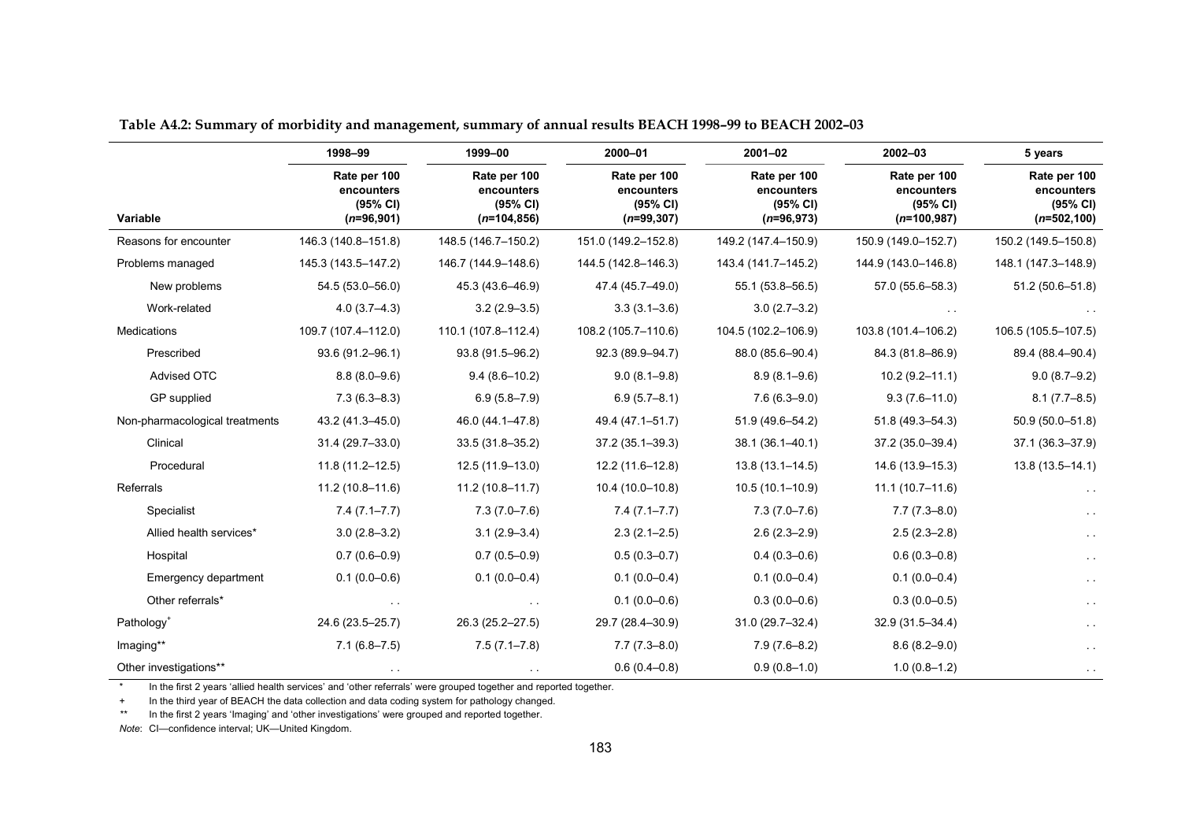|                                | 1998-99                                                | 1999-00                                                  | 2000-01                                                 | $2001 - 02$                                            | $2002 - 03$                                             | 5 years                                                  |  |
|--------------------------------|--------------------------------------------------------|----------------------------------------------------------|---------------------------------------------------------|--------------------------------------------------------|---------------------------------------------------------|----------------------------------------------------------|--|
| Variable                       | Rate per 100<br>encounters<br>(95% CI)<br>$(n=96,901)$ | Rate per 100<br>encounters<br>(95% CI)<br>$(n=104, 856)$ | Rate per 100<br>encounters<br>(95% CI)<br>$(n=99, 307)$ | Rate per 100<br>encounters<br>(95% CI)<br>$(n=96,973)$ | Rate per 100<br>encounters<br>(95% CI)<br>$(n=100,987)$ | Rate per 100<br>encounters<br>(95% CI)<br>$(n=502, 100)$ |  |
| Reasons for encounter          | 146.3 (140.8-151.8)                                    | 148.5 (146.7-150.2)                                      | 151.0 (149.2-152.8)                                     | 149.2 (147.4-150.9)                                    | 150.9 (149.0-152.7)                                     | 150.2 (149.5-150.8)                                      |  |
| Problems managed               | 145.3 (143.5-147.2)                                    | 146.7 (144.9-148.6)                                      | 144.5 (142.8-146.3)                                     | 143.4 (141.7-145.2)                                    | 144.9 (143.0-146.8)                                     | 148.1 (147.3-148.9)                                      |  |
| New problems                   | 54.5 (53.0-56.0)                                       | 45.3 (43.6-46.9)                                         | 47.4 (45.7-49.0)                                        | 55.1 (53.8-56.5)                                       | 57.0 (55.6-58.3)                                        | 51.2 (50.6-51.8)                                         |  |
| Work-related                   | $4.0(3.7 - 4.3)$                                       | $3.2(2.9 - 3.5)$                                         | $3.3(3.1 - 3.6)$                                        | $3.0(2.7 - 3.2)$                                       |                                                         |                                                          |  |
| <b>Medications</b>             | 109.7 (107.4-112.0)                                    | 110.1 (107.8-112.4)                                      | 108.2 (105.7-110.6)                                     | 104.5 (102.2-106.9)                                    | 103.8 (101.4-106.2)                                     | 106.5 (105.5-107.5)                                      |  |
| Prescribed                     | 93.6 (91.2-96.1)                                       | 93.8 (91.5-96.2)                                         | 92.3 (89.9-94.7)                                        | 88.0 (85.6-90.4)                                       | 84.3 (81.8-86.9)                                        | 89.4 (88.4-90.4)                                         |  |
| Advised OTC                    | $8.8(8.0 - 9.6)$                                       | $9.4(8.6 - 10.2)$                                        | $9.0(8.1 - 9.8)$                                        | $8.9(8.1 - 9.6)$                                       | $10.2(9.2 - 11.1)$                                      | $9.0(8.7 - 9.2)$                                         |  |
| GP supplied                    | $7.3(6.3 - 8.3)$                                       | $6.9(5.8 - 7.9)$                                         | $6.9(5.7 - 8.1)$                                        | $7.6(6.3 - 9.0)$                                       | $9.3(7.6 - 11.0)$                                       | $8.1(7.7 - 8.5)$                                         |  |
| Non-pharmacological treatments | 43.2 (41.3-45.0)                                       | 46.0 (44.1-47.8)                                         | 49.4 (47.1-51.7)                                        | 51.9 (49.6-54.2)                                       | 51.8 (49.3-54.3)                                        | $50.9(50.0 - 51.8)$                                      |  |
| Clinical                       | 31.4 (29.7-33.0)                                       | 33.5 (31.8-35.2)                                         | 37.2 (35.1-39.3)                                        | 38.1 (36.1-40.1)                                       | 37.2 (35.0-39.4)                                        | 37.1 (36.3-37.9)                                         |  |
| Procedural                     | $11.8(11.2 - 12.5)$                                    | 12.5 (11.9-13.0)                                         | 12.2 (11.6-12.8)                                        | $13.8(13.1 - 14.5)$                                    | 14.6 (13.9-15.3)                                        | 13.8 (13.5-14.1)                                         |  |
| Referrals                      | $11.2(10.8 - 11.6)$                                    | $11.2(10.8 - 11.7)$                                      | 10.4 (10.0-10.8)                                        | $10.5(10.1 - 10.9)$                                    | $11.1(10.7-11.6)$                                       |                                                          |  |
| Specialist                     | $7.4(7.1 - 7.7)$                                       | $7.3(7.0 - 7.6)$                                         | $7.4(7.1 - 7.7)$                                        | $7.3(7.0 - 7.6)$                                       | $7.7(7.3 - 8.0)$                                        |                                                          |  |
| Allied health services*        | $3.0(2.8 - 3.2)$                                       | $3.1(2.9 - 3.4)$                                         | $2.3(2.1 - 2.5)$                                        | $2.6(2.3 - 2.9)$                                       | $2.5(2.3 - 2.8)$                                        |                                                          |  |
| Hospital                       | $0.7(0.6 - 0.9)$                                       | $0.7(0.5 - 0.9)$                                         | $0.5(0.3 - 0.7)$                                        | $0.4(0.3 - 0.6)$                                       | $0.6(0.3 - 0.8)$                                        |                                                          |  |
| Emergency department           | $0.1(0.0-0.6)$                                         | $0.1(0.0 - 0.4)$                                         | $0.1(0.0 - 0.4)$                                        | $0.1(0.0 - 0.4)$                                       | $0.1(0.0-0.4)$                                          | $\sim 10$                                                |  |
| Other referrals*               |                                                        |                                                          | $0.1(0.0-0.6)$                                          | $0.3(0.0-0.6)$                                         | $0.3(0.0-0.5)$                                          |                                                          |  |
| Pathology <sup>+</sup>         | 24.6 (23.5-25.7)                                       | 26.3 (25.2-27.5)                                         | 29.7 (28.4-30.9)                                        | 31.0 (29.7-32.4)                                       | 32.9 (31.5-34.4)                                        |                                                          |  |
| Imaging**                      | $7.1(6.8 - 7.5)$                                       | $7.5(7.1 - 7.8)$                                         | $7.7(7.3 - 8.0)$                                        | $7.9(7.6-8.2)$                                         | $8.6(8.2 - 9.0)$                                        | $\sim$ $\sim$                                            |  |
| Other investigations**         |                                                        |                                                          | $0.6(0.4 - 0.8)$                                        | $0.9(0.8-1.0)$                                         | $1.0(0.8-1.2)$                                          |                                                          |  |

**Table A4.2: Summary of morbidity and management, summary of annual results BEACH 1998–99 to BEACH 2002–03**

In the first 2 years 'allied health services' and 'other referrals' were grouped together and reported together.

+ In the third year of BEACH the data collection and data coding system for pathology changed.

*\*\**In the first 2 years 'Imaging' and 'other investigations' were grouped and reported together.

*Note*: CI—confidence interval; UK—United Kingdom.

\*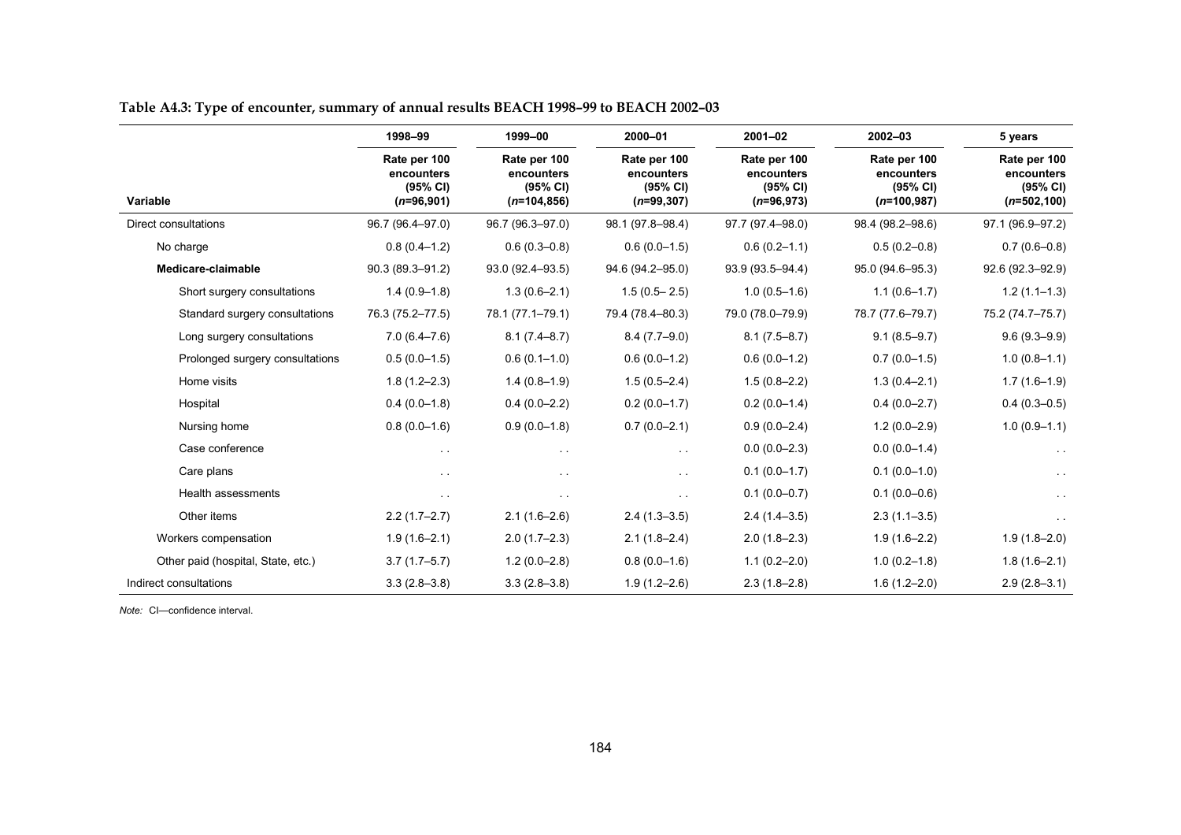|                                    | 1998-99                                                | 1999-00                                                  | 2000-01                                                | 2001-02                                                | 2002-03                                                 | 5 years                                                  |  |
|------------------------------------|--------------------------------------------------------|----------------------------------------------------------|--------------------------------------------------------|--------------------------------------------------------|---------------------------------------------------------|----------------------------------------------------------|--|
| Variable                           | Rate per 100<br>encounters<br>(95% CI)<br>$(n=96,901)$ | Rate per 100<br>encounters<br>(95% CI)<br>$(n=104, 856)$ | Rate per 100<br>encounters<br>(95% CI)<br>$(n=99,307)$ | Rate per 100<br>encounters<br>(95% CI)<br>$(n=96,973)$ | Rate per 100<br>encounters<br>(95% CI)<br>$(n=100,987)$ | Rate per 100<br>encounters<br>(95% CI)<br>$(n=502, 100)$ |  |
| Direct consultations               | 96.7 (96.4-97.0)                                       | 96.7 (96.3-97.0)                                         | 98.1 (97.8-98.4)                                       | 97.7 (97.4-98.0)                                       | 98.4 (98.2-98.6)                                        | 97.1 (96.9-97.2)                                         |  |
| No charge                          | $0.8(0.4 - 1.2)$                                       | $0.6(0.3 - 0.8)$                                         | $0.6(0.0-1.5)$                                         | $0.6(0.2 - 1.1)$                                       | $0.5(0.2 - 0.8)$                                        | $0.7(0.6 - 0.8)$                                         |  |
| Medicare-claimable                 | 90.3 (89.3-91.2)                                       | 93.0 (92.4-93.5)                                         | 94.6 (94.2-95.0)                                       | 93.9 (93.5-94.4)                                       | 95.0 (94.6-95.3)                                        | 92.6 (92.3-92.9)                                         |  |
| Short surgery consultations        | $1.4(0.9-1.8)$                                         | $1.3(0.6 - 2.1)$                                         | $1.5(0.5 - 2.5)$                                       | $1.0(0.5-1.6)$                                         | $1.1(0.6-1.7)$                                          | $1.2(1.1-1.3)$                                           |  |
| Standard surgery consultations     | 76.3 (75.2-77.5)                                       | 78.1 (77.1-79.1)                                         | 79.4 (78.4-80.3)                                       | 79.0 (78.0-79.9)                                       | 78.7 (77.6-79.7)                                        | 75.2 (74.7-75.7)                                         |  |
| Long surgery consultations         | $7.0(6.4 - 7.6)$                                       | $8.1(7.4 - 8.7)$                                         | $8.4(7.7-9.0)$                                         | $8.1(7.5 - 8.7)$                                       | $9.1(8.5 - 9.7)$                                        | $9.6(9.3 - 9.9)$                                         |  |
| Prolonged surgery consultations    | $0.5(0.0-1.5)$                                         | $0.6(0.1 - 1.0)$                                         | $0.6(0.0-1.2)$                                         | $0.6(0.0-1.2)$                                         | $0.7(0.0-1.5)$                                          | $1.0(0.8-1.1)$                                           |  |
| Home visits                        | $1.8(1.2 - 2.3)$                                       | $1.4(0.8-1.9)$                                           | $1.5(0.5 - 2.4)$                                       | $1.5(0.8 - 2.2)$                                       | $1.3(0.4 - 2.1)$                                        | $1.7(1.6-1.9)$                                           |  |
| Hospital                           | $0.4(0.0-1.8)$                                         | $0.4(0.0 - 2.2)$                                         | $0.2(0.0-1.7)$                                         | $0.2(0.0-1.4)$                                         | $0.4(0.0 - 2.7)$                                        | $0.4(0.3 - 0.5)$                                         |  |
| Nursing home                       | $0.8(0.0-1.6)$                                         | $0.9(0.0-1.8)$                                           | $0.7(0.0 - 2.1)$                                       | $0.9(0.0 - 2.4)$                                       | $1.2(0.0 - 2.9)$                                        | $1.0(0.9-1.1)$                                           |  |
| Case conference                    | $\sim$ $\sim$                                          | $\sim$ $\sim$                                            | $\sim$ 10 $\pm$                                        | $0.0(0.0-2.3)$                                         | $0.0(0.0-1.4)$                                          | $\sim$ $\sim$                                            |  |
| Care plans                         | $\sim$ $\sim$                                          | $\ddot{\phantom{1}}$                                     | $\sim$ $\sim$                                          | $0.1(0.0-1.7)$                                         | $0.1(0.0-1.0)$                                          |                                                          |  |
| Health assessments                 | $\sim$ $\sim$                                          | $\ddotsc$                                                | $\sim$ $\sim$                                          | $0.1(0.0 - 0.7)$                                       | $0.1(0.0-0.6)$                                          | $\sim$ $\sim$                                            |  |
| Other items                        | $2.2(1.7-2.7)$                                         | $2.1(1.6-2.6)$                                           | $2.4(1.3-3.5)$                                         | $2.4(1.4-3.5)$                                         | $2.3(1.1-3.5)$                                          |                                                          |  |
| Workers compensation               | $1.9(1.6 - 2.1)$                                       | $2.0(1.7-2.3)$                                           | $2.1(1.8-2.4)$                                         | $2.0(1.8-2.3)$                                         | $1.9(1.6 - 2.2)$                                        | $1.9(1.8 - 2.0)$                                         |  |
| Other paid (hospital, State, etc.) | $3.7(1.7-5.7)$                                         | $1.2(0.0 - 2.8)$                                         | $0.8(0.0-1.6)$                                         | $1.1(0.2 - 2.0)$                                       | $1.0(0.2 - 1.8)$                                        | $1.8(1.6-2.1)$                                           |  |
| Indirect consultations             | $3.3(2.8 - 3.8)$                                       | $3.3(2.8 - 3.8)$                                         | $1.9(1.2 - 2.6)$                                       | $2.3(1.8-2.8)$                                         | $1.6(1.2 - 2.0)$                                        | $2.9(2.8-3.1)$                                           |  |

**Table A4.3: Type of encounter, summary of annual results BEACH 1998–99 to BEACH 2002–03**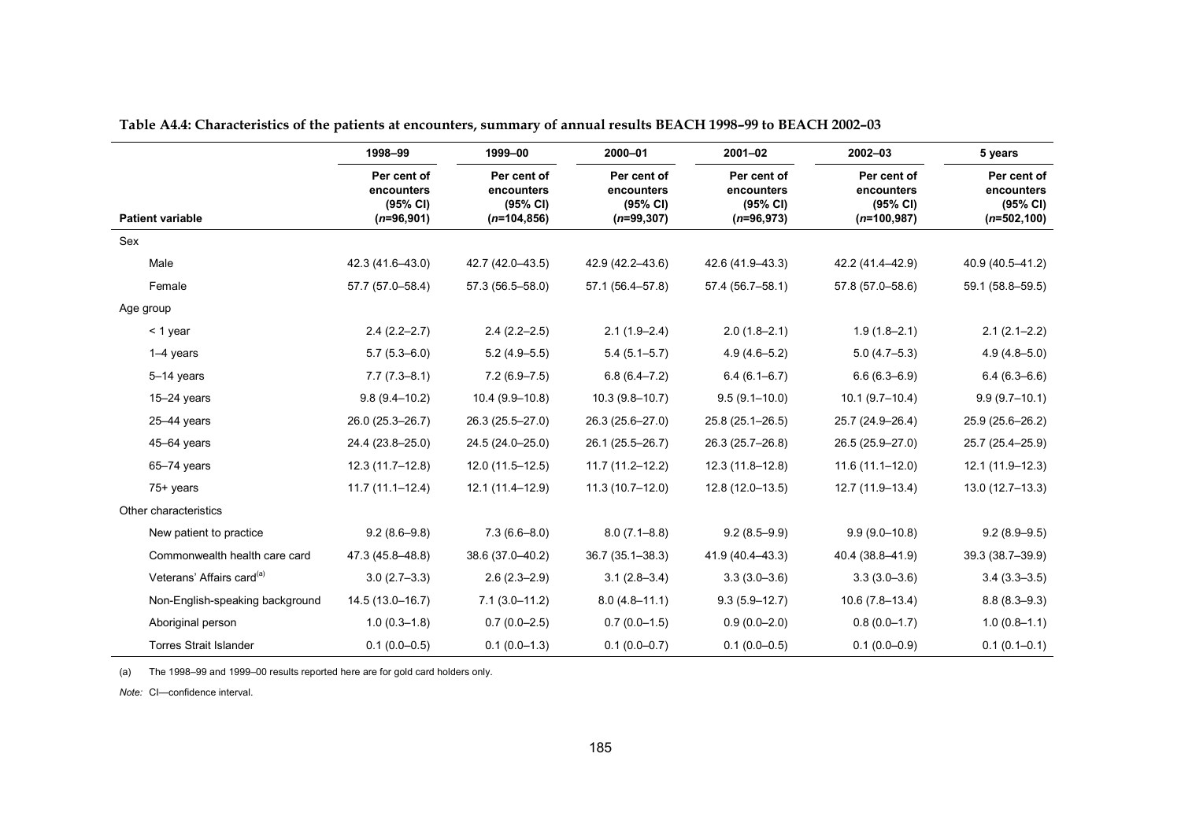|                                       | 1998-99                                               | 1999-00                                                 | 2000-01                                               | $2001 - 02$                                           | $2002 - 03$                                            | 5 years                                                 |
|---------------------------------------|-------------------------------------------------------|---------------------------------------------------------|-------------------------------------------------------|-------------------------------------------------------|--------------------------------------------------------|---------------------------------------------------------|
| <b>Patient variable</b>               | Per cent of<br>encounters<br>(95% CI)<br>$(n=96,901)$ | Per cent of<br>encounters<br>(95% CI)<br>$(n=104, 856)$ | Per cent of<br>encounters<br>(95% CI)<br>$(n=99,307)$ | Per cent of<br>encounters<br>(95% CI)<br>$(n=96,973)$ | Per cent of<br>encounters<br>(95% CI)<br>$(n=100,987)$ | Per cent of<br>encounters<br>(95% CI)<br>$(n=502, 100)$ |
| Sex                                   |                                                       |                                                         |                                                       |                                                       |                                                        |                                                         |
| Male                                  | 42.3 (41.6-43.0)                                      | 42.7 (42.0-43.5)                                        | 42.9 (42.2-43.6)                                      | 42.6 (41.9-43.3)                                      | 42.2 (41.4-42.9)                                       | 40.9 (40.5-41.2)                                        |
| Female                                | 57.7 (57.0-58.4)                                      | 57.3 (56.5-58.0)                                        | 57.1 (56.4-57.8)                                      | 57.4 (56.7-58.1)                                      | 57.8 (57.0-58.6)                                       | 59.1 (58.8-59.5)                                        |
| Age group                             |                                                       |                                                         |                                                       |                                                       |                                                        |                                                         |
| < 1 year                              | $2.4(2.2 - 2.7)$                                      | $2.4(2.2 - 2.5)$                                        | $2.1(1.9 - 2.4)$                                      | $2.0(1.8-2.1)$                                        | $1.9(1.8 - 2.1)$                                       | $2.1(2.1-2.2)$                                          |
| $1-4$ years                           | $5.7(5.3 - 6.0)$                                      | $5.2(4.9 - 5.5)$                                        | $5.4(5.1 - 5.7)$                                      | $4.9(4.6 - 5.2)$                                      | $5.0(4.7 - 5.3)$                                       | $4.9(4.8 - 5.0)$                                        |
| $5-14$ years                          | $7.7(7.3 - 8.1)$                                      | $7.2(6.9 - 7.5)$                                        | $6.8(6.4 - 7.2)$                                      | $6.4(6.1 - 6.7)$                                      | $6.6(6.3 - 6.9)$                                       | $6.4(6.3 - 6.6)$                                        |
| 15-24 years                           | $9.8(9.4 - 10.2)$                                     | $10.4(9.9-10.8)$                                        | $10.3(9.8 - 10.7)$                                    | $9.5(9.1 - 10.0)$                                     | $10.1 (9.7 - 10.4)$                                    | $9.9(9.7-10.1)$                                         |
| $25 - 44$ years                       | 26.0 (25.3-26.7)                                      | 26.3 (25.5-27.0)                                        | 26.3 (25.6-27.0)                                      | 25.8 (25.1-26.5)                                      | 25.7 (24.9-26.4)                                       | 25.9 (25.6-26.2)                                        |
| $45 - 64$ years                       | 24.4 (23.8-25.0)                                      | 24.5 (24.0-25.0)                                        | 26.1 (25.5-26.7)                                      | 26.3 (25.7-26.8)                                      | 26.5 (25.9-27.0)                                       | 25.7 (25.4-25.9)                                        |
| 65-74 years                           | $12.3(11.7-12.8)$                                     | 12.0 (11.5-12.5)                                        | $11.7(11.2 - 12.2)$                                   | 12.3 (11.8-12.8)                                      | $11.6(11.1 - 12.0)$                                    | 12.1 (11.9-12.3)                                        |
| 75+ years                             | $11.7(11.1 - 12.4)$                                   | 12.1 (11.4-12.9)                                        | $11.3(10.7-12.0)$                                     | 12.8 (12.0-13.5)                                      | 12.7 (11.9-13.4)                                       | $13.0(12.7 - 13.3)$                                     |
| Other characteristics                 |                                                       |                                                         |                                                       |                                                       |                                                        |                                                         |
| New patient to practice               | $9.2(8.6 - 9.8)$                                      | $7.3(6.6 - 8.0)$                                        | $8.0(7.1 - 8.8)$                                      | $9.2(8.5 - 9.9)$                                      | $9.9(9.0-10.8)$                                        | $9.2(8.9 - 9.5)$                                        |
| Commonwealth health care card         | 47.3 (45.8-48.8)                                      | 38.6 (37.0-40.2)                                        | $36.7(35.1 - 38.3)$                                   | 41.9 (40.4-43.3)                                      | 40.4 (38.8-41.9)                                       | 39.3 (38.7-39.9)                                        |
| Veterans' Affairs card <sup>(a)</sup> | $3.0(2.7-3.3)$                                        | $2.6(2.3 - 2.9)$                                        | $3.1(2.8 - 3.4)$                                      | $3.3(3.0 - 3.6)$                                      | $3.3(3.0 - 3.6)$                                       | $3.4(3.3 - 3.5)$                                        |
| Non-English-speaking background       | 14.5 (13.0-16.7)                                      | $7.1(3.0-11.2)$                                         | $8.0(4.8 - 11.1)$                                     | $9.3(5.9 - 12.7)$                                     | $10.6(7.8-13.4)$                                       | $8.8(8.3 - 9.3)$                                        |
| Aboriginal person                     | $1.0(0.3 - 1.8)$                                      | $0.7(0.0 - 2.5)$                                        | $0.7(0.0-1.5)$                                        | $0.9(0.0 - 2.0)$                                      | $0.8(0.0-1.7)$                                         | $1.0(0.8 - 1.1)$                                        |
| <b>Torres Strait Islander</b>         | $0.1(0.0 - 0.5)$                                      | $0.1(0.0-1.3)$                                          | $0.1(0.0 - 0.7)$                                      | $0.1(0.0-0.5)$                                        | $0.1(0.0-0.9)$                                         | $0.1(0.1 - 0.1)$                                        |

**Table A4.4: Characteristics of the patients at encounters, summary of annual results BEACH 1998–99 to BEACH 2002–03**

(a) The 1998–99 and 1999–00 results reported here are for gold card holders only.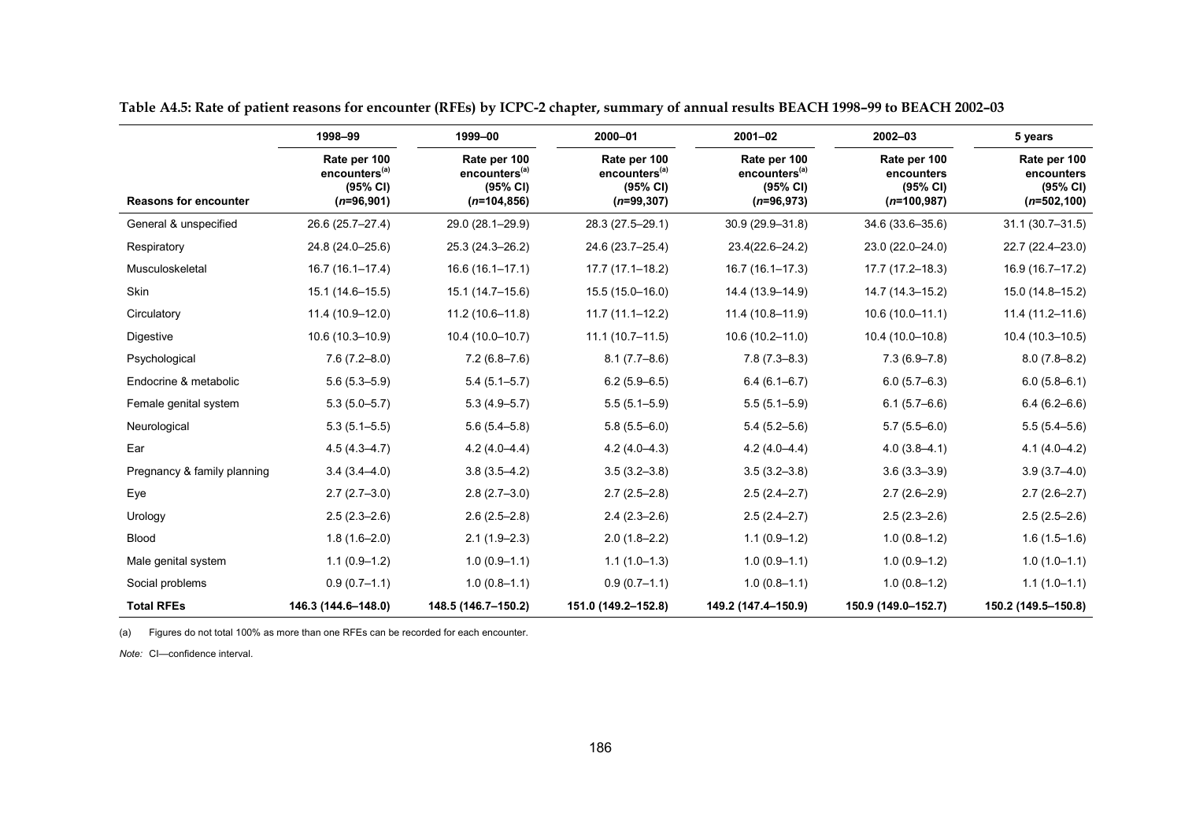|                              | 1998-99                                                               | 1999-00                                                                 | 2000-01                                                                | $2001 - 02$                                                           | $2002 - 03$                                             | 5 years                                                  |
|------------------------------|-----------------------------------------------------------------------|-------------------------------------------------------------------------|------------------------------------------------------------------------|-----------------------------------------------------------------------|---------------------------------------------------------|----------------------------------------------------------|
| <b>Reasons for encounter</b> | Rate per 100<br>encounters <sup>(a)</sup><br>(95% CI)<br>$(n=96,901)$ | Rate per 100<br>encounters <sup>(a)</sup><br>(95% CI)<br>$(n=104, 856)$ | Rate per 100<br>encounters <sup>(a)</sup><br>(95% CI)<br>$(n=99, 307)$ | Rate per 100<br>encounters <sup>(a)</sup><br>(95% CI)<br>$(n=96,973)$ | Rate per 100<br>encounters<br>(95% CI)<br>$(n=100,987)$ | Rate per 100<br>encounters<br>(95% CI)<br>$(n=502, 100)$ |
| General & unspecified        | 26.6 (25.7-27.4)                                                      | 29.0 (28.1-29.9)                                                        | 28.3 (27.5-29.1)                                                       | 30.9 (29.9-31.8)                                                      | 34.6 (33.6-35.6)                                        | $31.1(30.7 - 31.5)$                                      |
| Respiratory                  | 24.8 (24.0-25.6)                                                      | 25.3 (24.3-26.2)                                                        | 24.6 (23.7-25.4)                                                       | 23.4(22.6-24.2)                                                       | 23.0 (22.0-24.0)                                        | 22.7 (22.4-23.0)                                         |
| Musculoskeletal              | $16.7(16.1 - 17.4)$                                                   | $16.6(16.1 - 17.1)$                                                     | $17.7(17.1 - 18.2)$                                                    | $16.7(16.1 - 17.3)$                                                   | 17.7 (17.2-18.3)                                        | 16.9 (16.7-17.2)                                         |
| Skin                         | $15.1(14.6 - 15.5)$                                                   | 15.1 (14.7-15.6)                                                        | $15.5(15.0 - 16.0)$                                                    | 14.4 (13.9-14.9)                                                      | 14.7 (14.3-15.2)                                        | 15.0 (14.8-15.2)                                         |
| Circulatory                  | 11.4 (10.9-12.0)                                                      | 11.2 (10.6-11.8)                                                        | $11.7(11.1 - 12.2)$                                                    | $11.4(10.8 - 11.9)$                                                   | $10.6(10.0-11.1)$                                       | $11.4(11.2 - 11.6)$                                      |
| Digestive                    | 10.6 (10.3-10.9)                                                      | 10.4 (10.0-10.7)                                                        | $11.1(10.7-11.5)$                                                      | 10.6 (10.2-11.0)                                                      | 10.4 (10.0-10.8)                                        | 10.4 (10.3-10.5)                                         |
| Psychological                | $7.6(7.2 - 8.0)$                                                      | $7.2(6.8 - 7.6)$                                                        | $8.1(7.7 - 8.6)$                                                       | $7.8(7.3 - 8.3)$                                                      | $7.3(6.9 - 7.8)$                                        | $8.0(7.8 - 8.2)$                                         |
| Endocrine & metabolic        | $5.6(5.3 - 5.9)$                                                      | $5.4(5.1 - 5.7)$                                                        | $6.2(5.9 - 6.5)$                                                       | $6.4(6.1 - 6.7)$                                                      | $6.0(5.7 - 6.3)$                                        | $6.0(5.8 - 6.1)$                                         |
| Female genital system        | $5.3(5.0-5.7)$                                                        | $5.3(4.9 - 5.7)$                                                        | $5.5(5.1 - 5.9)$                                                       | $5.5(5.1 - 5.9)$                                                      | $6.1(5.7-6.6)$                                          | $6.4(6.2 - 6.6)$                                         |
| Neurological                 | $5.3(5.1 - 5.5)$                                                      | $5.6(5.4 - 5.8)$                                                        | $5.8(5.5 - 6.0)$                                                       | $5.4(5.2 - 5.6)$                                                      | $5.7(5.5 - 6.0)$                                        | $5.5(5.4 - 5.6)$                                         |
| Ear                          | $4.5(4.3 - 4.7)$                                                      | $4.2(4.0-4.4)$                                                          | $4.2(4.0 - 4.3)$                                                       | $4.2(4.0 - 4.4)$                                                      | $4.0(3.8 - 4.1)$                                        | $4.1(4.0 - 4.2)$                                         |
| Pregnancy & family planning  | $3.4(3.4 - 4.0)$                                                      | $3.8(3.5 - 4.2)$                                                        | $3.5(3.2 - 3.8)$                                                       | $3.5(3.2 - 3.8)$                                                      | $3.6(3.3 - 3.9)$                                        | $3.9(3.7 - 4.0)$                                         |
| Eye                          | $2.7(2.7-3.0)$                                                        | $2.8(2.7-3.0)$                                                          | $2.7(2.5 - 2.8)$                                                       | $2.5(2.4 - 2.7)$                                                      | $2.7(2.6-2.9)$                                          | $2.7(2.6 - 2.7)$                                         |
| Urology                      | $2.5(2.3 - 2.6)$                                                      | $2.6(2.5 - 2.8)$                                                        | $2.4(2.3 - 2.6)$                                                       | $2.5(2.4 - 2.7)$                                                      | $2.5(2.3 - 2.6)$                                        | $2.5(2.5-2.6)$                                           |
| <b>Blood</b>                 | $1.8(1.6 - 2.0)$                                                      | $2.1(1.9-2.3)$                                                          | $2.0(1.8-2.2)$                                                         | $1.1(0.9-1.2)$                                                        | $1.0(0.8-1.2)$                                          | $1.6(1.5-1.6)$                                           |
| Male genital system          | $1.1(0.9-1.2)$                                                        | $1.0(0.9 - 1.1)$                                                        | $1.1(1.0-1.3)$                                                         | $1.0(0.9 - 1.1)$                                                      | $1.0(0.9-1.2)$                                          | $1.0(1.0-1.1)$                                           |
| Social problems              | $0.9(0.7-1.1)$                                                        | $1.0(0.8 - 1.1)$                                                        | $0.9(0.7-1.1)$                                                         | $1.0(0.8 - 1.1)$                                                      | $1.0(0.8-1.2)$                                          | $1.1(1.0-1.1)$                                           |
| <b>Total RFEs</b>            | 146.3 (144.6-148.0)                                                   | 148.5 (146.7-150.2)                                                     | 151.0 (149.2-152.8)                                                    | 149.2 (147.4-150.9)                                                   | 150.9 (149.0-152.7)                                     | 150.2 (149.5-150.8)                                      |

**Table A4.5: Rate of patient reasons for encounter (RFEs) by ICPC-2 chapter, summary of annual results BEACH 1998–99 to BEACH 2002–03**

(a) Figures do not total 100% as more than one RFEs can be recorded for each encounter.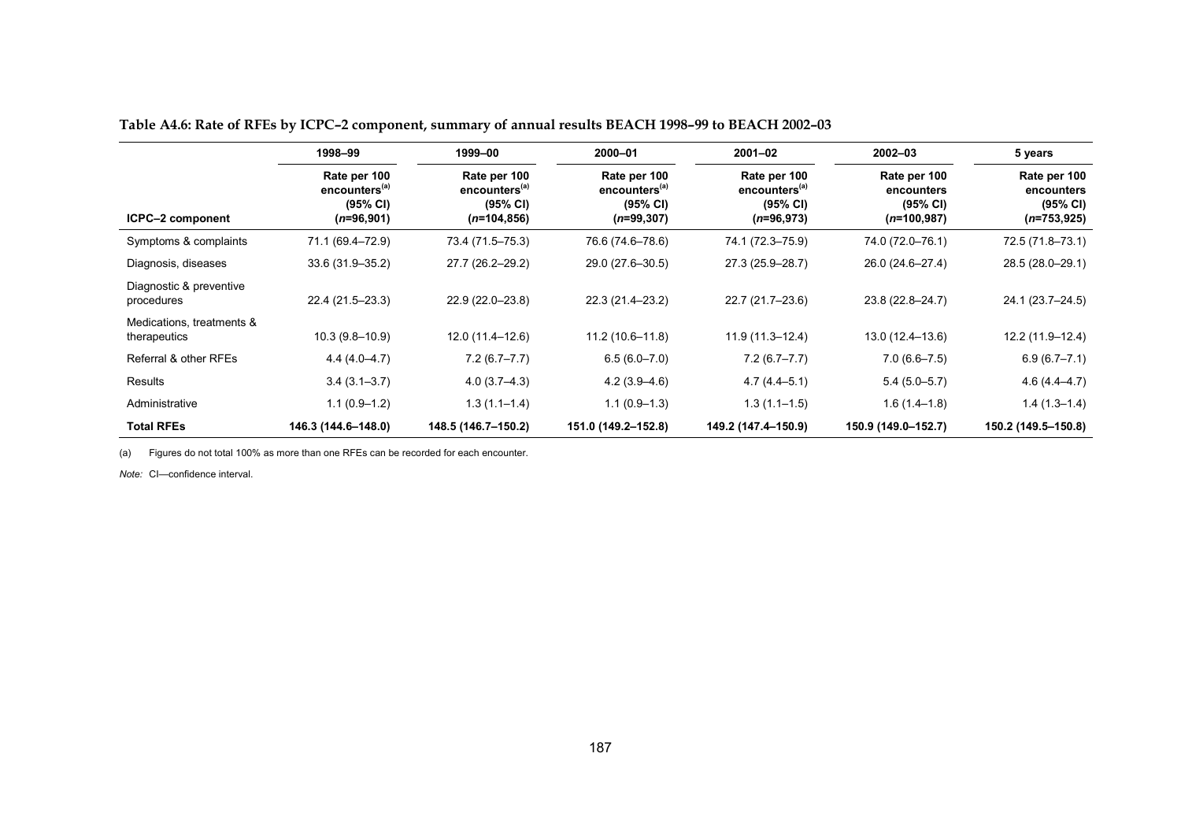|                                           | 1998-99                                                               | 1999-00                                                                 | 2000-01                                                               | $2001 - 02$                                                           | $2002 - 03$                                             | 5 years                                                 |
|-------------------------------------------|-----------------------------------------------------------------------|-------------------------------------------------------------------------|-----------------------------------------------------------------------|-----------------------------------------------------------------------|---------------------------------------------------------|---------------------------------------------------------|
| ICPC-2 component                          | Rate per 100<br>encounters <sup>(a)</sup><br>(95% CI)<br>$(n=96,901)$ | Rate per 100<br>encounters <sup>(a)</sup><br>(95% CI)<br>$(n=104, 856)$ | Rate per 100<br>encounters <sup>(a)</sup><br>(95% CI)<br>$(n=99,307)$ | Rate per 100<br>encounters <sup>(a)</sup><br>(95% CI)<br>$(n=96,973)$ | Rate per 100<br>encounters<br>(95% CI)<br>$(n=100,987)$ | Rate per 100<br>encounters<br>(95% CI)<br>$(n=753,925)$ |
| Symptoms & complaints                     | 71.1 (69.4–72.9)                                                      | 73.4 (71.5–75.3)                                                        | 76.6 (74.6-78.6)                                                      | 74.1 (72.3-75.9)                                                      | 74.0 (72.0–76.1)                                        | 72.5 (71.8-73.1)                                        |
| Diagnosis, diseases                       | 33.6 (31.9-35.2)                                                      | 27.7 (26.2-29.2)                                                        | 29.0 (27.6-30.5)                                                      | 27.3 (25.9-28.7)                                                      | 26.0 (24.6-27.4)                                        | 28.5 (28.0-29.1)                                        |
| Diagnostic & preventive<br>procedures     | 22.4 (21.5-23.3)                                                      | 22.9 (22.0-23.8)                                                        | 22.3 (21.4-23.2)                                                      | 22.7 (21.7-23.6)                                                      | 23.8 (22.8-24.7)                                        | 24.1 (23.7-24.5)                                        |
| Medications, treatments &<br>therapeutics | $10.3(9.8 - 10.9)$                                                    | 12.0 (11.4-12.6)                                                        | $11.2(10.6 - 11.8)$                                                   | $11.9(11.3 - 12.4)$                                                   | 13.0 (12.4-13.6)                                        | 12.2 (11.9-12.4)                                        |
| Referral & other RFEs                     | $4.4(4.0 - 4.7)$                                                      | $7.2(6.7 - 7.7)$                                                        | $6.5(6.0 - 7.0)$                                                      | $7.2(6.7 - 7.7)$                                                      | $7.0(6.6 - 7.5)$                                        | $6.9(6.7 - 7.1)$                                        |
| Results                                   | $3.4(3.1 - 3.7)$                                                      | $4.0(3.7-4.3)$                                                          | $4.2(3.9 - 4.6)$                                                      | $4.7(4.4 - 5.1)$                                                      | $5.4(5.0-5.7)$                                          | $4.6(4.4 - 4.7)$                                        |
| Administrative                            | $1.1(0.9-1.2)$                                                        | $1.3(1.1-1.4)$                                                          | $1.1(0.9-1.3)$                                                        | $1.3(1.1 - 1.5)$                                                      | $1.6(1.4-1.8)$                                          | $1.4(1.3-1.4)$                                          |
| <b>Total RFEs</b>                         | 146.3 (144.6-148.0)                                                   | 148.5 (146.7-150.2)                                                     | 151.0 (149.2-152.8)                                                   | 149.2 (147.4-150.9)                                                   | 150.9 (149.0-152.7)                                     | 150.2 (149.5-150.8)                                     |

**Table A4.6: Rate of RFEs by ICPC–2 component, summary of annual results BEACH 1998–99 to BEACH 2002–03**

(a) Figures do not total 100% as more than one RFEs can be recorded for each encounter.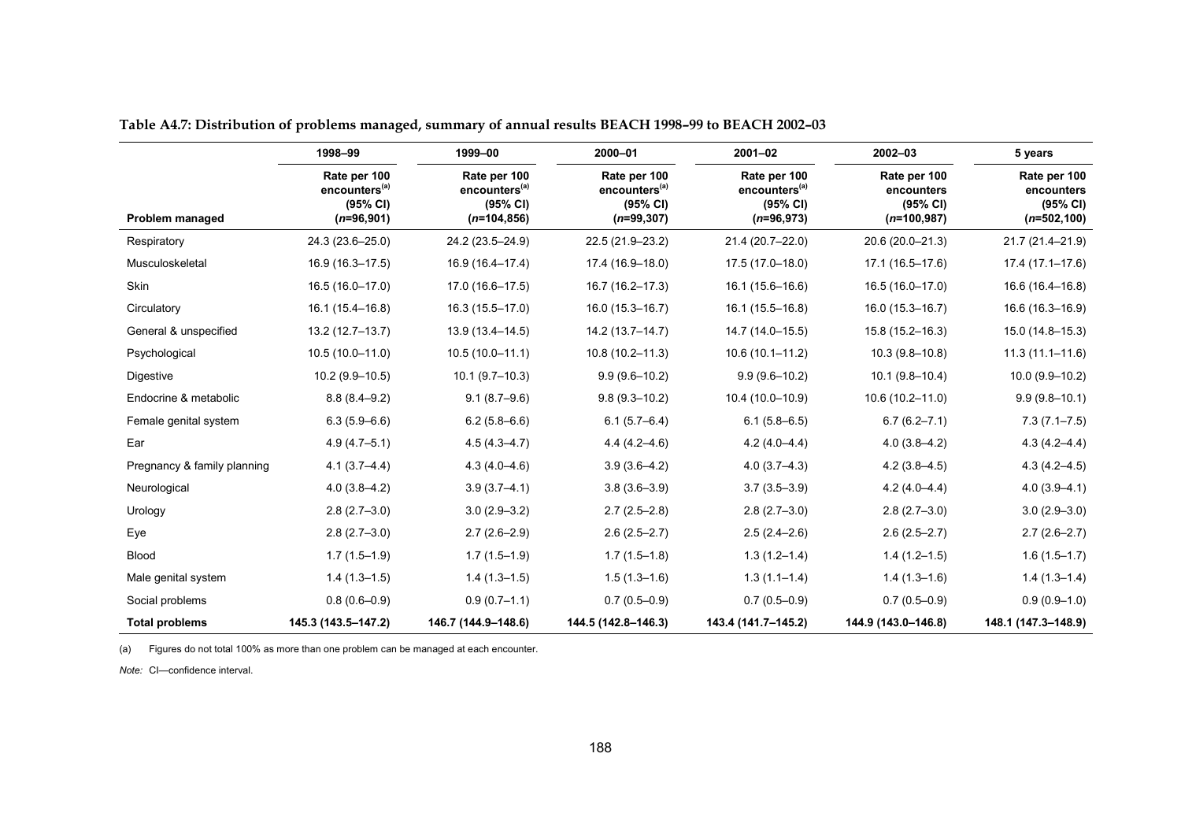|                             | 1998-99                                                               | 1999-00                                                                 | 2000-01                                                                | $2001 - 02$                                                           | 2002-03                                                 | 5 years                                                  |
|-----------------------------|-----------------------------------------------------------------------|-------------------------------------------------------------------------|------------------------------------------------------------------------|-----------------------------------------------------------------------|---------------------------------------------------------|----------------------------------------------------------|
| Problem managed             | Rate per 100<br>encounters <sup>(a)</sup><br>(95% CI)<br>$(n=96,901)$ | Rate per 100<br>encounters <sup>(a)</sup><br>(95% CI)<br>$(n=104, 856)$ | Rate per 100<br>encounters <sup>(a)</sup><br>(95% CI)<br>$(n=99, 307)$ | Rate per 100<br>encounters <sup>(a)</sup><br>(95% CI)<br>$(n=96,973)$ | Rate per 100<br>encounters<br>(95% CI)<br>$(n=100,987)$ | Rate per 100<br>encounters<br>(95% CI)<br>$(n=502, 100)$ |
| Respiratory                 | 24.3 (23.6-25.0)                                                      | 24.2 (23.5-24.9)                                                        | 22.5 (21.9-23.2)                                                       | 21.4 (20.7-22.0)                                                      | 20.6 (20.0-21.3)                                        | 21.7 (21.4-21.9)                                         |
| Musculoskeletal             | $16.9(16.3 - 17.5)$                                                   | 16.9 (16.4-17.4)                                                        | 17.4 (16.9-18.0)                                                       | 17.5 (17.0-18.0)                                                      | 17.1 (16.5-17.6)                                        | $17.4(17.1 - 17.6)$                                      |
| Skin                        | 16.5 (16.0-17.0)                                                      | $17.0(16.6 - 17.5)$                                                     | 16.7 (16.2-17.3)                                                       | 16.1 (15.6-16.6)                                                      | 16.5 (16.0-17.0)                                        | 16.6 (16.4-16.8)                                         |
| Circulatory                 | 16.1 (15.4-16.8)                                                      | 16.3 (15.5-17.0)                                                        | $16.0(15.3 - 16.7)$                                                    | 16.1 (15.5-16.8)                                                      | 16.0 (15.3-16.7)                                        | 16.6 (16.3-16.9)                                         |
| General & unspecified       | 13.2 (12.7-13.7)                                                      | 13.9 (13.4-14.5)                                                        | 14.2 (13.7-14.7)                                                       | 14.7 (14.0-15.5)                                                      | 15.8 (15.2-16.3)                                        | 15.0 (14.8-15.3)                                         |
| Psychological               | 10.5 (10.0-11.0)                                                      | $10.5(10.0 - 11.1)$                                                     | $10.8(10.2 - 11.3)$                                                    | $10.6(10.1 - 11.2)$                                                   | 10.3 (9.8-10.8)                                         | $11.3(11.1 - 11.6)$                                      |
| Digestive                   | $10.2(9.9 - 10.5)$                                                    | $10.1 (9.7 - 10.3)$                                                     | $9.9(9.6 - 10.2)$                                                      | $9.9(9.6 - 10.2)$                                                     | $10.1(9.8 - 10.4)$                                      | 10.0 (9.9-10.2)                                          |
| Endocrine & metabolic       | $8.8(8.4 - 9.2)$                                                      | $9.1(8.7-9.6)$                                                          | $9.8(9.3 - 10.2)$                                                      | 10.4 (10.0-10.9)                                                      | 10.6 (10.2-11.0)                                        | $9.9(9.8 - 10.1)$                                        |
| Female genital system       | $6.3(5.9 - 6.6)$                                                      | $6.2(5.8 - 6.6)$                                                        | $6.1(5.7 - 6.4)$                                                       | $6.1(5.8 - 6.5)$                                                      | $6.7(6.2 - 7.1)$                                        | $7.3(7.1 - 7.5)$                                         |
| Ear                         | $4.9(4.7 - 5.1)$                                                      | $4.5(4.3 - 4.7)$                                                        | $4.4(4.2 - 4.6)$                                                       | $4.2(4.0 - 4.4)$                                                      | $4.0(3.8-4.2)$                                          | $4.3(4.2 - 4.4)$                                         |
| Pregnancy & family planning | $4.1(3.7 - 4.4)$                                                      | $4.3(4.0 - 4.6)$                                                        | $3.9(3.6 - 4.2)$                                                       | $4.0(3.7-4.3)$                                                        | $4.2(3.8-4.5)$                                          | $4.3(4.2 - 4.5)$                                         |
| Neurological                | $4.0(3.8 - 4.2)$                                                      | $3.9(3.7 - 4.1)$                                                        | $3.8(3.6 - 3.9)$                                                       | $3.7(3.5 - 3.9)$                                                      | $4.2(4.0 - 4.4)$                                        | $4.0(3.9 - 4.1)$                                         |
| Urology                     | $2.8(2.7-3.0)$                                                        | $3.0(2.9 - 3.2)$                                                        | $2.7(2.5-2.8)$                                                         | $2.8(2.7-3.0)$                                                        | $2.8(2.7-3.0)$                                          | $3.0(2.9 - 3.0)$                                         |
| Eye                         | $2.8(2.7-3.0)$                                                        | $2.7(2.6-2.9)$                                                          | $2.6(2.5 - 2.7)$                                                       | $2.5(2.4 - 2.6)$                                                      | $2.6(2.5 - 2.7)$                                        | $2.7(2.6 - 2.7)$                                         |
| <b>Blood</b>                | $1.7(1.5-1.9)$                                                        | $1.7(1.5-1.9)$                                                          | $1.7(1.5-1.8)$                                                         | $1.3(1.2 - 1.4)$                                                      | $1.4(1.2 - 1.5)$                                        | $1.6(1.5-1.7)$                                           |
| Male genital system         | $1.4(1.3-1.5)$                                                        | $1.4(1.3-1.5)$                                                          | $1.5(1.3-1.6)$                                                         | $1.3(1.1-1.4)$                                                        | $1.4(1.3-1.6)$                                          | $1.4(1.3-1.4)$                                           |
| Social problems             | $0.8(0.6 - 0.9)$                                                      | $0.9(0.7-1.1)$                                                          | $0.7(0.5 - 0.9)$                                                       | $0.7(0.5 - 0.9)$                                                      | $0.7(0.5-0.9)$                                          | $0.9(0.9 - 1.0)$                                         |
| <b>Total problems</b>       | 145.3 (143.5-147.2)                                                   | 146.7 (144.9-148.6)                                                     | 144.5 (142.8-146.3)                                                    | 143.4 (141.7-145.2)                                                   | 144.9 (143.0-146.8)                                     | 148.1 (147.3-148.9)                                      |

**Table A4.7: Distribution of problems managed, summary of annual results BEACH 1998–99 to BEACH 2002–03**

(a) Figures do not total 100% as more than one problem can be managed at each encounter.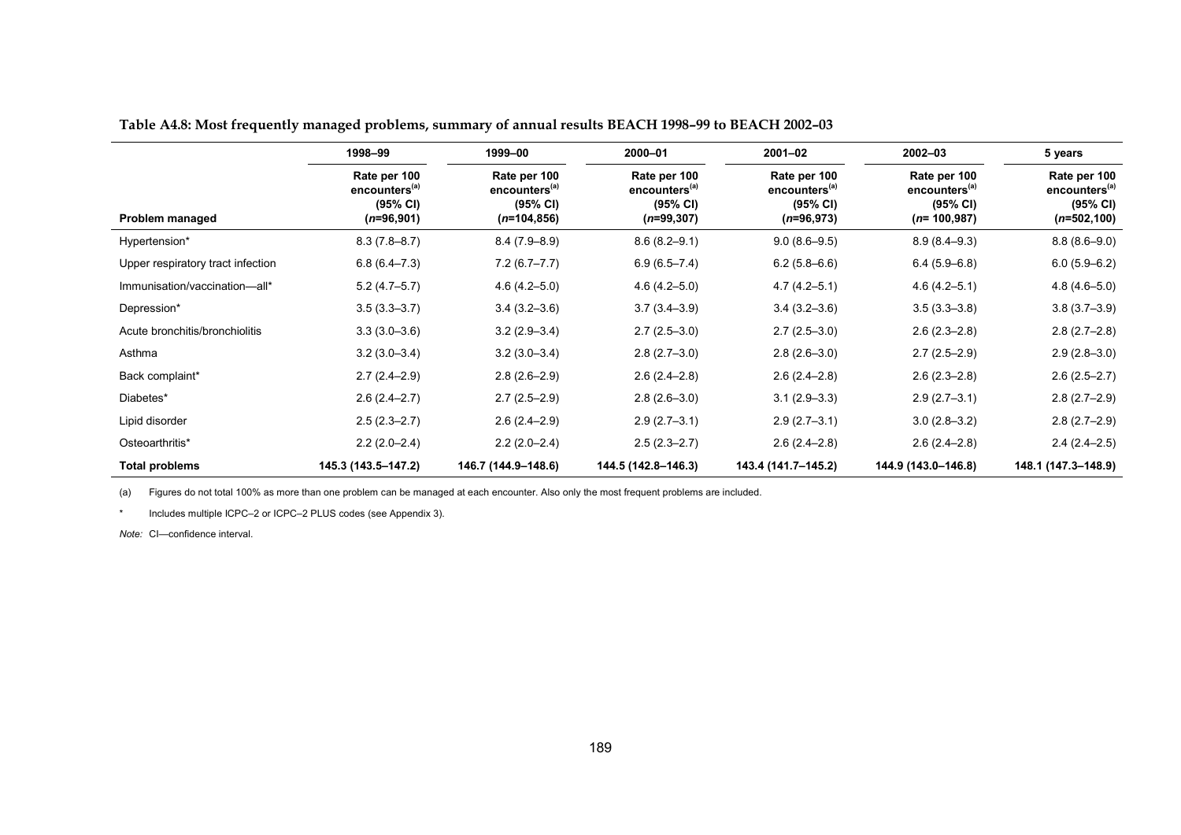|                                   | 1998-99                                                               | 1999-00                                                                 | 2000-01                                                               | 2001-02                                                               | 2002-03                                                                | 5 years                                                                 |
|-----------------------------------|-----------------------------------------------------------------------|-------------------------------------------------------------------------|-----------------------------------------------------------------------|-----------------------------------------------------------------------|------------------------------------------------------------------------|-------------------------------------------------------------------------|
| Problem managed                   | Rate per 100<br>encounters <sup>(a)</sup><br>(95% CI)<br>$(n=96,901)$ | Rate per 100<br>encounters <sup>(a)</sup><br>(95% CI)<br>$(n=104, 856)$ | Rate per 100<br>encounters <sup>(a)</sup><br>(95% CI)<br>$(n=99,307)$ | Rate per 100<br>encounters <sup>(a)</sup><br>(95% CI)<br>$(n=96,973)$ | Rate per 100<br>encounters <sup>(a)</sup><br>(95% CI)<br>$(n=100,987)$ | Rate per 100<br>encounters <sup>(a)</sup><br>(95% CI)<br>$(n=502, 100)$ |
| Hypertension*                     | $8.3(7.8 - 8.7)$                                                      | $8.4(7.9 - 8.9)$                                                        | $8.6(8.2 - 9.1)$                                                      | $9.0(8.6 - 9.5)$                                                      | $8.9(8.4 - 9.3)$                                                       | $8.8(8.6 - 9.0)$                                                        |
| Upper respiratory tract infection | $6.8(6.4 - 7.3)$                                                      | $7.2(6.7 - 7.7)$                                                        | $6.9(6.5 - 7.4)$                                                      | $6.2(5.8-6.6)$                                                        | $6.4(5.9-6.8)$                                                         | $6.0(5.9-6.2)$                                                          |
| Immunisation/vaccination-all*     | $5.2(4.7-5.7)$                                                        | $4.6(4.2 - 5.0)$                                                        | $4.6(4.2 - 5.0)$                                                      | $4.7(4.2 - 5.1)$                                                      | $4.6(4.2 - 5.1)$                                                       | $4.8(4.6 - 5.0)$                                                        |
| Depression*                       | $3.5(3.3 - 3.7)$                                                      | $3.4(3.2 - 3.6)$                                                        | $3.7(3.4 - 3.9)$                                                      | $3.4(3.2 - 3.6)$                                                      | $3.5(3.3 - 3.8)$                                                       | $3.8(3.7-3.9)$                                                          |
| Acute bronchitis/bronchiolitis    | $3.3(3.0 - 3.6)$                                                      | $3.2(2.9 - 3.4)$                                                        | $2.7(2.5-3.0)$                                                        | $2.7(2.5-3.0)$                                                        | $2.6(2.3 - 2.8)$                                                       | $2.8(2.7-2.8)$                                                          |
| Asthma                            | $3.2(3.0 - 3.4)$                                                      | $3.2(3.0 - 3.4)$                                                        | $2.8(2.7-3.0)$                                                        | $2.8(2.6-3.0)$                                                        | $2.7(2.5-2.9)$                                                         | $2.9(2.8-3.0)$                                                          |
| Back complaint*                   | $2.7(2.4 - 2.9)$                                                      | $2.8(2.6-2.9)$                                                          | $2.6(2.4 - 2.8)$                                                      | $2.6(2.4 - 2.8)$                                                      | $2.6(2.3 - 2.8)$                                                       | $2.6(2.5-2.7)$                                                          |
| Diabetes*                         | $2.6(2.4 - 2.7)$                                                      | $2.7(2.5-2.9)$                                                          | $2.8(2.6-3.0)$                                                        | $3.1(2.9 - 3.3)$                                                      | $2.9(2.7-3.1)$                                                         | $2.8(2.7-2.9)$                                                          |
| Lipid disorder                    | $2.5(2.3 - 2.7)$                                                      | $2.6(2.4 - 2.9)$                                                        | $2.9(2.7-3.1)$                                                        | $2.9(2.7-3.1)$                                                        | $3.0(2.8 - 3.2)$                                                       | $2.8(2.7-2.9)$                                                          |
| Osteoarthritis*                   | $2.2(2.0-2.4)$                                                        | $2.2(2.0-2.4)$                                                          | $2.5(2.3 - 2.7)$                                                      | $2.6(2.4 - 2.8)$                                                      | $2.6(2.4 - 2.8)$                                                       | $2.4(2.4-2.5)$                                                          |
| <b>Total problems</b>             | 145.3 (143.5-147.2)                                                   | 146.7 (144.9-148.6)                                                     | 144.5 (142.8-146.3)                                                   | 143.4 (141.7-145.2)                                                   | 144.9 (143.0-146.8)                                                    | 148.1 (147.3-148.9)                                                     |

**Table A4.8: Most frequently managed problems, summary of annual results BEACH 1998–99 to BEACH 2002–03**

(a) Figures do not total 100% as more than one problem can be managed at each encounter. Also only the most frequent problems are included.

\*Includes multiple ICPC–2 or ICPC–2 PLUS codes (see Appendix 3).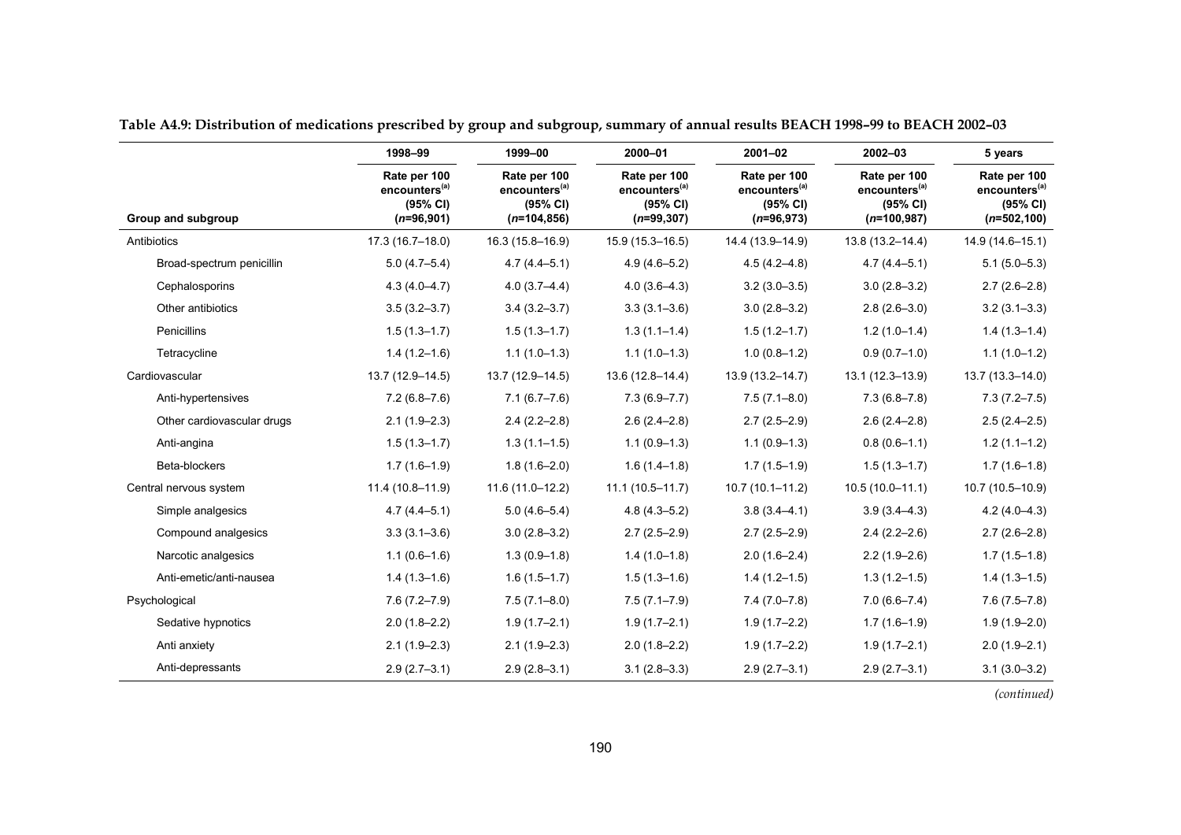|                            | 1998-99                                                               | 1999-00                                                                 | 2000-01                                                                | $2001 - 02$                                                           | $2002 - 03$                                                            | 5 years                                                                 |
|----------------------------|-----------------------------------------------------------------------|-------------------------------------------------------------------------|------------------------------------------------------------------------|-----------------------------------------------------------------------|------------------------------------------------------------------------|-------------------------------------------------------------------------|
| Group and subgroup         | Rate per 100<br>encounters <sup>(a)</sup><br>(95% CI)<br>$(n=96,901)$ | Rate per 100<br>encounters <sup>(a)</sup><br>(95% CI)<br>$(n=104, 856)$ | Rate per 100<br>encounters <sup>(a)</sup><br>(95% CI)<br>$(n=99, 307)$ | Rate per 100<br>encounters <sup>(a)</sup><br>(95% CI)<br>$(n=96,973)$ | Rate per 100<br>encounters <sup>(a)</sup><br>(95% CI)<br>$(n=100.987)$ | Rate per 100<br>encounters <sup>(a)</sup><br>(95% CI)<br>$(n=502, 100)$ |
| Antibiotics                | $17.3(16.7 - 18.0)$                                                   | $16.3(15.8 - 16.9)$                                                     | $15.9(15.3 - 16.5)$                                                    | 14.4 (13.9-14.9)                                                      | 13.8 (13.2-14.4)                                                       | $14.9(14.6 - 15.1)$                                                     |
| Broad-spectrum penicillin  | $5.0(4.7-5.4)$                                                        | $4.7(4.4 - 5.1)$                                                        | $4.9(4.6 - 5.2)$                                                       | $4.5(4.2 - 4.8)$                                                      | $4.7(4.4 - 5.1)$                                                       | $5.1(5.0-5.3)$                                                          |
| Cephalosporins             | $4.3(4.0 - 4.7)$                                                      | $4.0(3.7 - 4.4)$                                                        | $4.0(3.6-4.3)$                                                         | $3.2(3.0 - 3.5)$                                                      | $3.0(2.8 - 3.2)$                                                       | $2.7(2.6-2.8)$                                                          |
| Other antibiotics          | $3.5(3.2 - 3.7)$                                                      | $3.4(3.2 - 3.7)$                                                        | $3.3(3.1 - 3.6)$                                                       | $3.0(2.8 - 3.2)$                                                      | $2.8(2.6 - 3.0)$                                                       | $3.2(3.1 - 3.3)$                                                        |
| Penicillins                | $1.5(1.3 - 1.7)$                                                      | $1.5(1.3 - 1.7)$                                                        | $1.3(1.1-1.4)$                                                         | $1.5(1.2 - 1.7)$                                                      | $1.2(1.0-1.4)$                                                         | $1.4(1.3-1.4)$                                                          |
| Tetracycline               | $1.4(1.2 - 1.6)$                                                      | $1.1(1.0-1.3)$                                                          | $1.1(1.0-1.3)$                                                         | $1.0(0.8-1.2)$                                                        | $0.9(0.7-1.0)$                                                         | $1.1(1.0-1.2)$                                                          |
| Cardiovascular             | $13.7(12.9 - 14.5)$                                                   | 13.7 (12.9-14.5)                                                        | $13.6(12.8 - 14.4)$                                                    | 13.9 (13.2-14.7)                                                      | $13.1(12.3 - 13.9)$                                                    | $13.7(13.3 - 14.0)$                                                     |
| Anti-hypertensives         | $7.2(6.8 - 7.6)$                                                      | $7.1(6.7 - 7.6)$                                                        | $7.3(6.9 - 7.7)$                                                       | $7.5(7.1 - 8.0)$                                                      | $7.3(6.8 - 7.8)$                                                       | $7.3(7.2 - 7.5)$                                                        |
| Other cardiovascular drugs | $2.1(1.9-2.3)$                                                        | $2.4(2.2 - 2.8)$                                                        | $2.6(2.4 - 2.8)$                                                       | $2.7(2.5 - 2.9)$                                                      | $2.6(2.4 - 2.8)$                                                       | $2.5(2.4 - 2.5)$                                                        |
| Anti-angina                | $1.5(1.3 - 1.7)$                                                      | $1.3(1.1-1.5)$                                                          | $1.1(0.9-1.3)$                                                         | $1.1(0.9-1.3)$                                                        | $0.8(0.6 - 1.1)$                                                       | $1.2(1.1-1.2)$                                                          |
| Beta-blockers              | $1.7(1.6-1.9)$                                                        | $1.8(1.6 - 2.0)$                                                        | $1.6(1.4-1.8)$                                                         | $1.7(1.5-1.9)$                                                        | $1.5(1.3 - 1.7)$                                                       | $1.7(1.6-1.8)$                                                          |
| Central nervous system     | 11.4 (10.8-11.9)                                                      | $11.6(11.0-12.2)$                                                       | $11.1(10.5 - 11.7)$                                                    | $10.7(10.1 - 11.2)$                                                   | $10.5(10.0-11.1)$                                                      | 10.7 (10.5-10.9)                                                        |
| Simple analgesics          | $4.7(4.4 - 5.1)$                                                      | $5.0(4.6 - 5.4)$                                                        | $4.8(4.3 - 5.2)$                                                       | $3.8(3.4 - 4.1)$                                                      | $3.9(3.4 - 4.3)$                                                       | $4.2(4.0-4.3)$                                                          |
| Compound analgesics        | $3.3(3.1 - 3.6)$                                                      | $3.0(2.8 - 3.2)$                                                        | $2.7(2.5 - 2.9)$                                                       | $2.7(2.5 - 2.9)$                                                      | $2.4(2.2 - 2.6)$                                                       | $2.7(2.6-2.8)$                                                          |
| Narcotic analgesics        | $1.1(0.6-1.6)$                                                        | $1.3(0.9-1.8)$                                                          | $1.4(1.0-1.8)$                                                         | $2.0(1.6 - 2.4)$                                                      | $2.2(1.9 - 2.6)$                                                       | $1.7(1.5-1.8)$                                                          |
| Anti-emetic/anti-nausea    | $1.4(1.3-1.6)$                                                        | $1.6(1.5-1.7)$                                                          | $1.5(1.3-1.6)$                                                         | $1.4(1.2-1.5)$                                                        | $1.3(1.2 - 1.5)$                                                       | $1.4(1.3-1.5)$                                                          |
| Psychological              | $7.6(7.2 - 7.9)$                                                      | $7.5(7.1 - 8.0)$                                                        | $7.5(7.1 - 7.9)$                                                       | $7.4(7.0 - 7.8)$                                                      | $7.0(6.6 - 7.4)$                                                       | $7.6(7.5 - 7.8)$                                                        |
| Sedative hypnotics         | $2.0(1.8 - 2.2)$                                                      | $1.9(1.7 - 2.1)$                                                        | $1.9(1.7 - 2.1)$                                                       | $1.9(1.7 - 2.2)$                                                      | $1.7(1.6-1.9)$                                                         | $1.9(1.9 - 2.0)$                                                        |
| Anti anxiety               | $2.1(1.9-2.3)$                                                        | $2.1(1.9-2.3)$                                                          | $2.0(1.8-2.2)$                                                         | $1.9(1.7 - 2.2)$                                                      | $1.9(1.7 - 2.1)$                                                       | $2.0(1.9 - 2.1)$                                                        |
| Anti-depressants           | $2.9(2.7-3.1)$                                                        | $2.9(2.8-3.1)$                                                          | $3.1(2.8-3.3)$                                                         | $2.9(2.7-3.1)$                                                        | $2.9(2.7-3.1)$                                                         | $3.1(3.0 - 3.2)$                                                        |

**Table A4.9: Distribution of medications prescribed by group and subgroup, summary of annual results BEACH 1998–99 to BEACH 2002–03**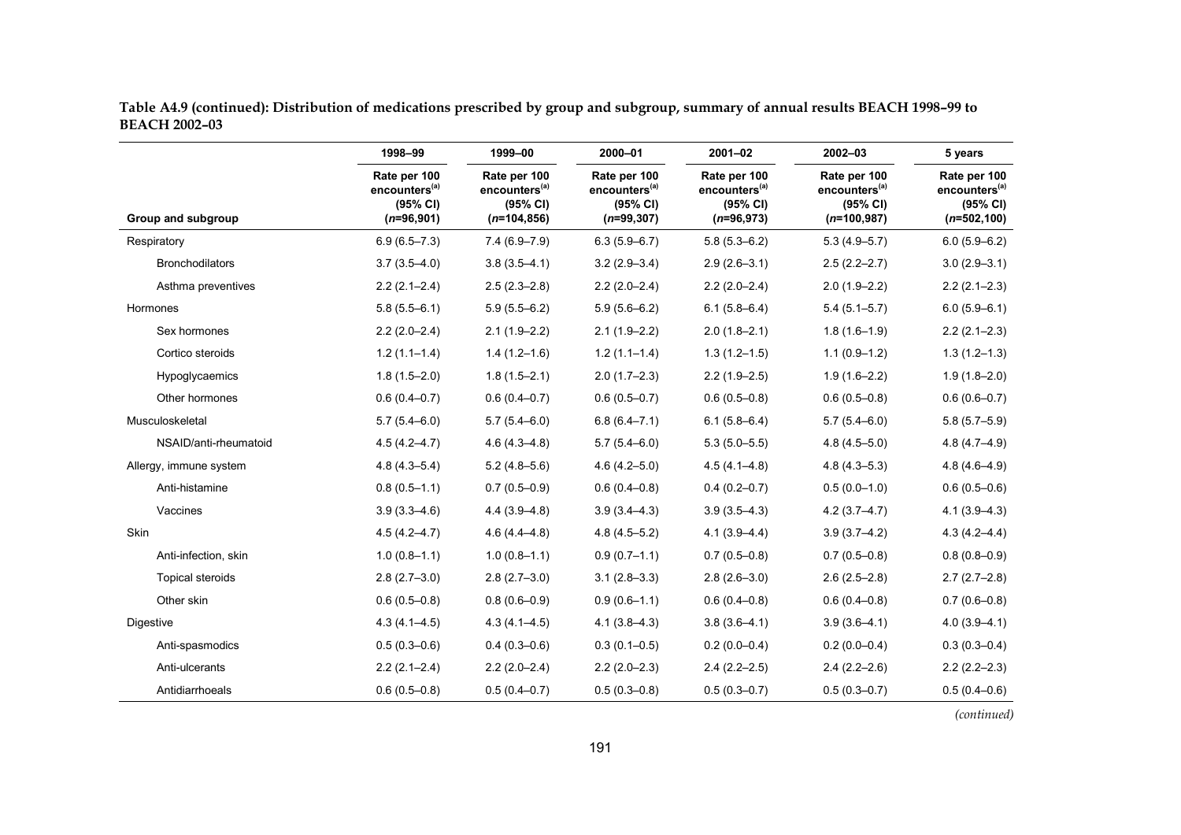|                      | Table A4.9 (continued): Distribution of medications prescribed by group and subgroup, summary of annual results BEACH 1998–99 to |  |  |
|----------------------|----------------------------------------------------------------------------------------------------------------------------------|--|--|
| <b>BEACH 2002-03</b> |                                                                                                                                  |  |  |

|                         | 1998-99                                                               | 1999-00                                                                 | 2000-01                                                                | $2001 - 02$                                                           | 2002-03                                                                 | 5 years                                                                 |
|-------------------------|-----------------------------------------------------------------------|-------------------------------------------------------------------------|------------------------------------------------------------------------|-----------------------------------------------------------------------|-------------------------------------------------------------------------|-------------------------------------------------------------------------|
| Group and subgroup      | Rate per 100<br>encounters <sup>(a)</sup><br>(95% CI)<br>$(n=96,901)$ | Rate per 100<br>encounters <sup>(a)</sup><br>(95% CI)<br>$(n=104, 856)$ | Rate per 100<br>encounters <sup>(a)</sup><br>(95% CI)<br>$(n=99, 307)$ | Rate per 100<br>encounters <sup>(a)</sup><br>(95% CI)<br>$(n=96,973)$ | Rate per 100<br>encounters <sup>(a)</sup><br>(95% CI)<br>$(n=100, 987)$ | Rate per 100<br>encounters <sup>(a)</sup><br>(95% CI)<br>$(n=502, 100)$ |
| Respiratory             | $6.9(6.5 - 7.3)$                                                      | $7.4(6.9 - 7.9)$                                                        | $6.3(5.9 - 6.7)$                                                       | $5.8(5.3 - 6.2)$                                                      | $5.3(4.9 - 5.7)$                                                        | $6.0(5.9 - 6.2)$                                                        |
| <b>Bronchodilators</b>  | $3.7(3.5 - 4.0)$                                                      | $3.8(3.5 - 4.1)$                                                        | $3.2(2.9 - 3.4)$                                                       | $2.9(2.6 - 3.1)$                                                      | $2.5(2.2 - 2.7)$                                                        | $3.0(2.9 - 3.1)$                                                        |
| Asthma preventives      | $2.2(2.1 - 2.4)$                                                      | $2.5(2.3 - 2.8)$                                                        | $2.2(2.0-2.4)$                                                         | $2.2(2.0-2.4)$                                                        | $2.0(1.9 - 2.2)$                                                        | $2.2(2.1-2.3)$                                                          |
| Hormones                | $5.8(5.5 - 6.1)$                                                      | $5.9(5.5 - 6.2)$                                                        | $5.9(5.6 - 6.2)$                                                       | $6.1(5.8 - 6.4)$                                                      | $5.4(5.1 - 5.7)$                                                        | $6.0(5.9 - 6.1)$                                                        |
| Sex hormones            | $2.2(2.0-2.4)$                                                        | $2.1(1.9 - 2.2)$                                                        | $2.1(1.9-2.2)$                                                         | $2.0(1.8 - 2.1)$                                                      | $1.8(1.6-1.9)$                                                          | $2.2(2.1 - 2.3)$                                                        |
| Cortico steroids        | $1.2(1.1-1.4)$                                                        | $1.4(1.2-1.6)$                                                          | $1.2(1.1 - 1.4)$                                                       | $1.3(1.2 - 1.5)$                                                      | $1.1(0.9-1.2)$                                                          | $1.3(1.2 - 1.3)$                                                        |
| Hypoglycaemics          | $1.8(1.5 - 2.0)$                                                      | $1.8(1.5 - 2.1)$                                                        | $2.0(1.7-2.3)$                                                         | $2.2(1.9-2.5)$                                                        | $1.9(1.6 - 2.2)$                                                        | $1.9(1.8 - 2.0)$                                                        |
| Other hormones          | $0.6(0.4 - 0.7)$                                                      | $0.6(0.4-0.7)$                                                          | $0.6(0.5 - 0.7)$                                                       | $0.6(0.5 - 0.8)$                                                      | $0.6(0.5 - 0.8)$                                                        | $0.6(0.6 - 0.7)$                                                        |
| Musculoskeletal         | $5.7(5.4 - 6.0)$                                                      | $5.7(5.4 - 6.0)$                                                        | $6.8(6.4 - 7.1)$                                                       | $6.1(5.8 - 6.4)$                                                      | $5.7(5.4 - 6.0)$                                                        | $5.8(5.7 - 5.9)$                                                        |
| NSAID/anti-rheumatoid   | $4.5(4.2 - 4.7)$                                                      | $4.6(4.3 - 4.8)$                                                        | $5.7(5.4 - 6.0)$                                                       | $5.3(5.0 - 5.5)$                                                      | $4.8(4.5 - 5.0)$                                                        | $4.8(4.7 - 4.9)$                                                        |
| Allergy, immune system  | $4.8(4.3 - 5.4)$                                                      | $5.2(4.8 - 5.6)$                                                        | $4.6(4.2 - 5.0)$                                                       | $4.5(4.1 - 4.8)$                                                      | $4.8(4.3 - 5.3)$                                                        | $4.8(4.6 - 4.9)$                                                        |
| Anti-histamine          | $0.8(0.5 - 1.1)$                                                      | $0.7(0.5 - 0.9)$                                                        | $0.6(0.4 - 0.8)$                                                       | $0.4(0.2 - 0.7)$                                                      | $0.5(0.0-1.0)$                                                          | $0.6(0.5 - 0.6)$                                                        |
| Vaccines                | $3.9(3.3 - 4.6)$                                                      | $4.4(3.9 - 4.8)$                                                        | $3.9(3.4 - 4.3)$                                                       | $3.9(3.5 - 4.3)$                                                      | $4.2(3.7 - 4.7)$                                                        | $4.1(3.9 - 4.3)$                                                        |
| <b>Skin</b>             | $4.5(4.2 - 4.7)$                                                      | $4.6(4.4 - 4.8)$                                                        | $4.8(4.5 - 5.2)$                                                       | $4.1(3.9 - 4.4)$                                                      | $3.9(3.7 - 4.2)$                                                        | $4.3(4.2 - 4.4)$                                                        |
| Anti-infection, skin    | $1.0(0.8-1.1)$                                                        | $1.0(0.8 - 1.1)$                                                        | $0.9(0.7-1.1)$                                                         | $0.7(0.5 - 0.8)$                                                      | $0.7(0.5 - 0.8)$                                                        | $0.8(0.8 - 0.9)$                                                        |
| <b>Topical steroids</b> | $2.8(2.7-3.0)$                                                        | $2.8(2.7-3.0)$                                                          | $3.1(2.8 - 3.3)$                                                       | $2.8(2.6 - 3.0)$                                                      | $2.6(2.5 - 2.8)$                                                        | $2.7(2.7-2.8)$                                                          |
| Other skin              | $0.6(0.5 - 0.8)$                                                      | $0.8(0.6 - 0.9)$                                                        | $0.9(0.6 - 1.1)$                                                       | $0.6(0.4 - 0.8)$                                                      | $0.6(0.4 - 0.8)$                                                        | $0.7(0.6 - 0.8)$                                                        |
| Digestive               | $4.3(4.1 - 4.5)$                                                      | $4.3(4.1 - 4.5)$                                                        | $4.1(3.8 - 4.3)$                                                       | $3.8(3.6 - 4.1)$                                                      | $3.9(3.6 - 4.1)$                                                        | $4.0(3.9 - 4.1)$                                                        |
| Anti-spasmodics         | $0.5(0.3 - 0.6)$                                                      | $0.4(0.3 - 0.6)$                                                        | $0.3(0.1 - 0.5)$                                                       | $0.2(0.0-0.4)$                                                        | $0.2(0.0 - 0.4)$                                                        | $0.3(0.3 - 0.4)$                                                        |
| Anti-ulcerants          | $2.2(2.1 - 2.4)$                                                      | $2.2(2.0-2.4)$                                                          | $2.2(2.0-2.3)$                                                         | $2.4(2.2 - 2.5)$                                                      | $2.4(2.2 - 2.6)$                                                        | $2.2(2.2 - 2.3)$                                                        |
| Antidiarrhoeals         | $0.6(0.5 - 0.8)$                                                      | $0.5(0.4 - 0.7)$                                                        | $0.5(0.3 - 0.8)$                                                       | $0.5(0.3 - 0.7)$                                                      | $0.5(0.3 - 0.7)$                                                        | $0.5(0.4 - 0.6)$                                                        |
|                         |                                                                       |                                                                         |                                                                        |                                                                       |                                                                         | (continued)                                                             |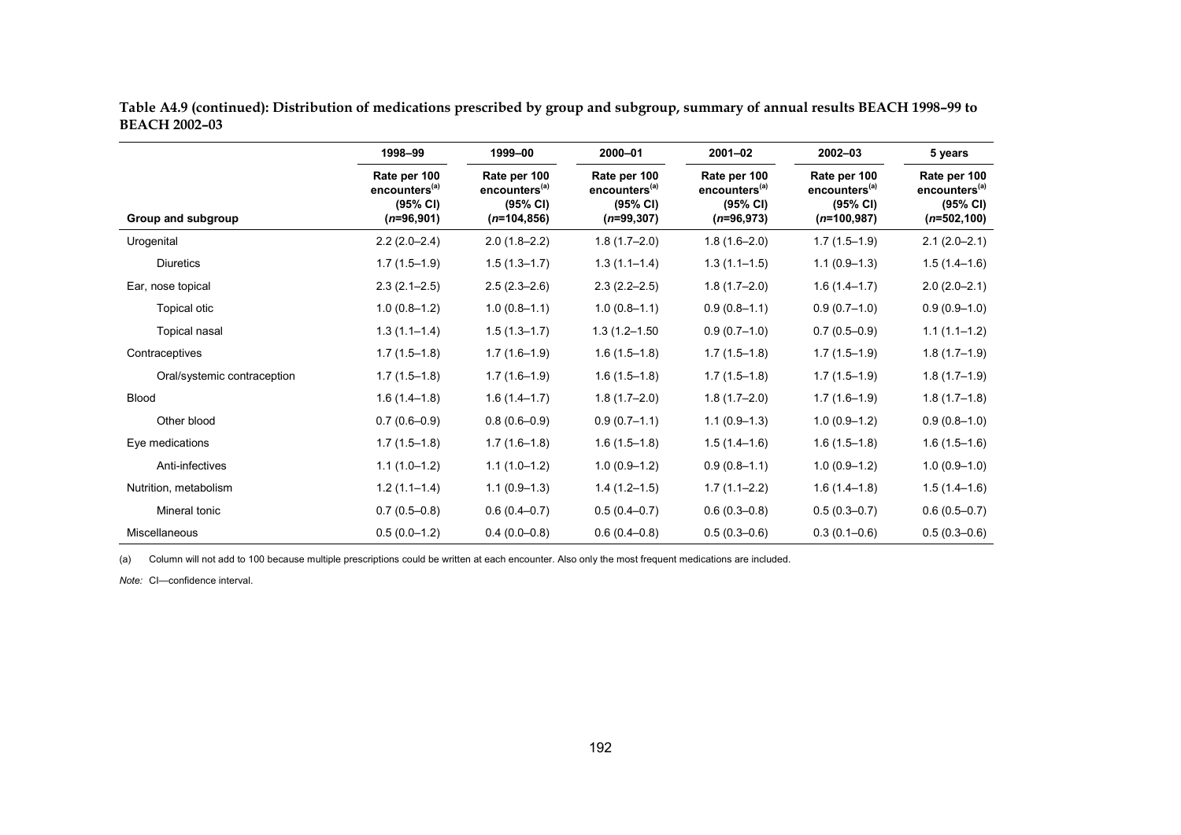|                             | 1998-99                                                               | 1999-00                                                                 | 2000-01                                                               | $2001 - 02$                                                           | 2002-03                                                                           | 5 years                                                                 |  |
|-----------------------------|-----------------------------------------------------------------------|-------------------------------------------------------------------------|-----------------------------------------------------------------------|-----------------------------------------------------------------------|-----------------------------------------------------------------------------------|-------------------------------------------------------------------------|--|
| Group and subgroup          | Rate per 100<br>encounters <sup>(a)</sup><br>(95% CI)<br>$(n=96,901)$ | Rate per 100<br>encounters <sup>(a)</sup><br>(95% CI)<br>$(n=104, 856)$ | Rate per 100<br>encounters <sup>(a)</sup><br>(95% CI)<br>$(n=99,307)$ | Rate per 100<br>encounters <sup>(a)</sup><br>(95% CI)<br>$(n=96,973)$ | Rate per 100<br>encounters <sup>(a)</sup><br>$(95% \text{ Cl})$<br>$(n=100, 987)$ | Rate per 100<br>encounters <sup>(a)</sup><br>(95% CI)<br>$(n=502, 100)$ |  |
| Urogenital                  | $2.2(2.0-2.4)$                                                        | $2.0(1.8-2.2)$                                                          | $1.8(1.7-2.0)$                                                        | $1.8(1.6 - 2.0)$                                                      | $1.7(1.5-1.9)$                                                                    | $2.1(2.0-2.1)$                                                          |  |
| <b>Diuretics</b>            | $1.7(1.5-1.9)$                                                        | $1.5(1.3-1.7)$                                                          | $1.3(1.1-1.4)$                                                        | $1.3(1.1-1.5)$                                                        | $1.1(0.9-1.3)$                                                                    | $1.5(1.4-1.6)$                                                          |  |
| Ear, nose topical           | $2.3(2.1-2.5)$                                                        | $2.5(2.3-2.6)$                                                          | $2.3(2.2 - 2.5)$                                                      | $1.8(1.7-2.0)$                                                        | $1.6(1.4 - 1.7)$                                                                  | $2.0(2.0-2.1)$                                                          |  |
| Topical otic                | $1.0(0.8-1.2)$                                                        | $1.0(0.8-1.1)$                                                          | $1.0(0.8-1.1)$                                                        | $0.9(0.8-1.1)$                                                        | $0.9(0.7-1.0)$                                                                    | $0.9(0.9 - 1.0)$                                                        |  |
| Topical nasal               | $1.3(1.1-1.4)$                                                        | $1.5(1.3 - 1.7)$                                                        | $1.3(1.2 - 1.50)$                                                     | $0.9(0.7-1.0)$                                                        | $0.7(0.5 - 0.9)$                                                                  | $1.1(1.1-1.2)$                                                          |  |
| Contraceptives              | $1.7(1.5-1.8)$                                                        | $1.7(1.6-1.9)$                                                          | $1.6(1.5-1.8)$                                                        | $1.7(1.5-1.8)$                                                        | $1.7(1.5-1.9)$                                                                    | $1.8(1.7-1.9)$                                                          |  |
| Oral/systemic contraception | $1.7(1.5-1.8)$                                                        | $1.7(1.6-1.9)$                                                          | $1.6(1.5-1.8)$                                                        | $1.7(1.5-1.8)$                                                        | $1.7(1.5-1.9)$                                                                    | $1.8(1.7-1.9)$                                                          |  |
| <b>Blood</b>                | $1.6(1.4-1.8)$                                                        | $1.6(1.4-1.7)$                                                          | $1.8(1.7-2.0)$                                                        | $1.8(1.7-2.0)$                                                        | $1.7(1.6-1.9)$                                                                    | $1.8(1.7-1.8)$                                                          |  |
| Other blood                 | $0.7(0.6 - 0.9)$                                                      | $0.8(0.6 - 0.9)$                                                        | $0.9(0.7-1.1)$                                                        | $1.1(0.9-1.3)$                                                        | $1.0(0.9-1.2)$                                                                    | $0.9(0.8-1.0)$                                                          |  |
| Eye medications             | $1.7(1.5-1.8)$                                                        | $1.7(1.6-1.8)$                                                          | $1.6(1.5-1.8)$                                                        | $1.5(1.4-1.6)$                                                        | $1.6(1.5-1.8)$                                                                    | $1.6(1.5-1.6)$                                                          |  |
| Anti-infectives             | $1.1(1.0-1.2)$                                                        | $1.1(1.0-1.2)$                                                          | $1.0(0.9-1.2)$                                                        | $0.9(0.8-1.1)$                                                        | $1.0(0.9-1.2)$                                                                    | $1.0(0.9-1.0)$                                                          |  |
| Nutrition, metabolism       | $1.2(1.1-1.4)$                                                        | $1.1(0.9-1.3)$                                                          | $1.4(1.2-1.5)$                                                        | $1.7(1.1 - 2.2)$                                                      | $1.6(1.4-1.8)$                                                                    | $1.5(1.4-1.6)$                                                          |  |
| Mineral tonic               | $0.7(0.5 - 0.8)$                                                      | $0.6(0.4 - 0.7)$                                                        | $0.5(0.4 - 0.7)$                                                      | $0.6(0.3 - 0.8)$                                                      | $0.5(0.3 - 0.7)$                                                                  | $0.6(0.5 - 0.7)$                                                        |  |
| <b>Miscellaneous</b>        | $0.5(0.0-1.2)$                                                        | $0.4(0.0-0.8)$                                                          | $0.6(0.4 - 0.8)$                                                      | $0.5(0.3 - 0.6)$                                                      | $0.3(0.1 - 0.6)$                                                                  | $0.5(0.3 - 0.6)$                                                        |  |

**Table A4.9 (continued): Distribution of medications prescribed by group and subgroup, summary of annual results BEACH 1998–99 to BEACH 2002–03**

(a) Column will not add to 100 because multiple prescriptions could be written at each encounter. Also only the most frequent medications are included.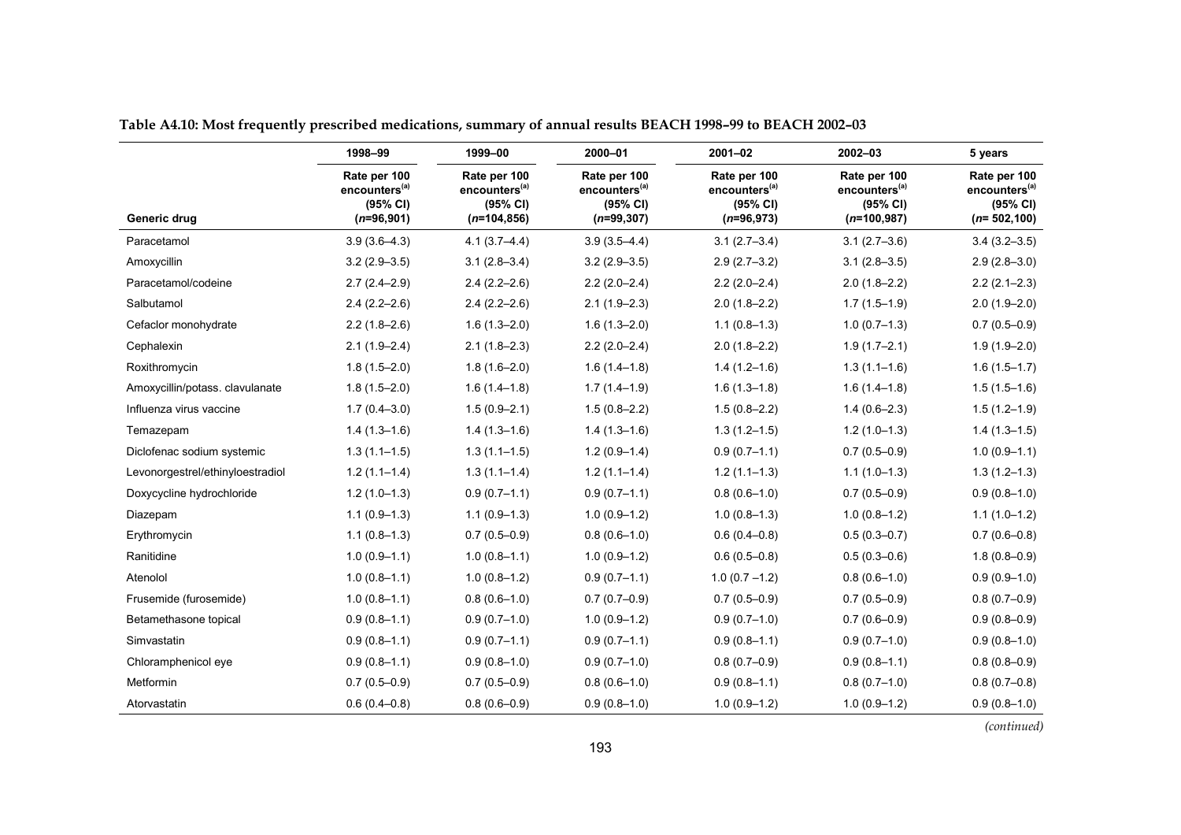|                                  | 1998-99                                                               | 1999-00                                                                 | 2000-01                                                                | $2001 - 02$                                                           | 2002-03                                                                | 5 years                                                                |
|----------------------------------|-----------------------------------------------------------------------|-------------------------------------------------------------------------|------------------------------------------------------------------------|-----------------------------------------------------------------------|------------------------------------------------------------------------|------------------------------------------------------------------------|
| Generic drug                     | Rate per 100<br>encounters <sup>(a)</sup><br>(95% CI)<br>$(n=96,901)$ | Rate per 100<br>encounters <sup>(a)</sup><br>(95% CI)<br>$(n=104, 856)$ | Rate per 100<br>encounters <sup>(a)</sup><br>(95% CI)<br>$(n=99, 307)$ | Rate per 100<br>encounters <sup>(a)</sup><br>(95% CI)<br>$(n=96,973)$ | Rate per 100<br>encounters <sup>(a)</sup><br>(95% CI)<br>$(n=100,987)$ | Rate per 100<br>encounters <sup>(a)</sup><br>(95% CI)<br>$(n=502,100)$ |
| Paracetamol                      | $3.9(3.6 - 4.3)$                                                      | $4.1(3.7 - 4.4)$                                                        | $3.9(3.5 - 4.4)$                                                       | $3.1(2.7-3.4)$                                                        | $3.1(2.7-3.6)$                                                         | $3.4(3.2 - 3.5)$                                                       |
| Amoxycillin                      | $3.2(2.9 - 3.5)$                                                      | $3.1(2.8 - 3.4)$                                                        | $3.2(2.9 - 3.5)$                                                       | $2.9(2.7-3.2)$                                                        | $3.1(2.8 - 3.5)$                                                       | $2.9(2.8-3.0)$                                                         |
| Paracetamol/codeine              | $2.7(2.4 - 2.9)$                                                      | $2.4(2.2 - 2.6)$                                                        | $2.2(2.0-2.4)$                                                         | $2.2(2.0-2.4)$                                                        | $2.0(1.8-2.2)$                                                         | $2.2(2.1 - 2.3)$                                                       |
| Salbutamol                       | $2.4(2.2 - 2.6)$                                                      | $2.4(2.2 - 2.6)$                                                        | $2.1(1.9-2.3)$                                                         | $2.0(1.8-2.2)$                                                        | $1.7(1.5-1.9)$                                                         | $2.0(1.9 - 2.0)$                                                       |
| Cefaclor monohydrate             | $2.2(1.8-2.6)$                                                        | $1.6(1.3 - 2.0)$                                                        | $1.6(1.3 - 2.0)$                                                       | $1.1(0.8-1.3)$                                                        | $1.0(0.7-1.3)$                                                         | $0.7(0.5-0.9)$                                                         |
| Cephalexin                       | $2.1(1.9 - 2.4)$                                                      | $2.1(1.8-2.3)$                                                          | $2.2(2.0-2.4)$                                                         | $2.0(1.8-2.2)$                                                        | $1.9(1.7-2.1)$                                                         | $1.9(1.9-2.0)$                                                         |
| Roxithromycin                    | $1.8(1.5 - 2.0)$                                                      | $1.8(1.6 - 2.0)$                                                        | $1.6(1.4-1.8)$                                                         | $1.4(1.2-1.6)$                                                        | $1.3(1.1-1.6)$                                                         | $1.6(1.5-1.7)$                                                         |
| Amoxycillin/potass. clavulanate  | $1.8(1.5 - 2.0)$                                                      | $1.6(1.4-1.8)$                                                          | $1.7(1.4-1.9)$                                                         | $1.6(1.3-1.8)$                                                        | $1.6(1.4-1.8)$                                                         | $1.5(1.5-1.6)$                                                         |
| Influenza virus vaccine          | $1.7(0.4 - 3.0)$                                                      | $1.5(0.9 - 2.1)$                                                        | $1.5(0.8 - 2.2)$                                                       | $1.5(0.8 - 2.2)$                                                      | $1.4(0.6-2.3)$                                                         | $1.5(1.2-1.9)$                                                         |
| Temazepam                        | $1.4(1.3-1.6)$                                                        | $1.4(1.3-1.6)$                                                          | $1.4(1.3-1.6)$                                                         | $1.3(1.2 - 1.5)$                                                      | $1.2(1.0-1.3)$                                                         | $1.4(1.3-1.5)$                                                         |
| Diclofenac sodium systemic       | $1.3(1.1 - 1.5)$                                                      | $1.3(1.1 - 1.5)$                                                        | $1.2(0.9-1.4)$                                                         | $0.9(0.7-1.1)$                                                        | $0.7(0.5 - 0.9)$                                                       | $1.0(0.9-1.1)$                                                         |
| Levonorgestrel/ethinyloestradiol | $1.2(1.1-1.4)$                                                        | $1.3(1.1 - 1.4)$                                                        | $1.2(1.1-1.4)$                                                         | $1.2(1.1-1.3)$                                                        | $1.1(1.0-1.3)$                                                         | $1.3(1.2 - 1.3)$                                                       |
| Doxycycline hydrochloride        | $1.2(1.0-1.3)$                                                        | $0.9(0.7-1.1)$                                                          | $0.9(0.7-1.1)$                                                         | $0.8(0.6-1.0)$                                                        | $0.7(0.5 - 0.9)$                                                       | $0.9(0.8-1.0)$                                                         |
| Diazepam                         | $1.1(0.9-1.3)$                                                        | $1.1(0.9-1.3)$                                                          | $1.0(0.9-1.2)$                                                         | $1.0(0.8-1.3)$                                                        | $1.0(0.8-1.2)$                                                         | $1.1(1.0-1.2)$                                                         |
| Erythromycin                     | $1.1(0.8-1.3)$                                                        | $0.7(0.5 - 0.9)$                                                        | $0.8(0.6 - 1.0)$                                                       | $0.6(0.4 - 0.8)$                                                      | $0.5(0.3 - 0.7)$                                                       | $0.7(0.6-0.8)$                                                         |
| Ranitidine                       | $1.0(0.9 - 1.1)$                                                      | $1.0(0.8-1.1)$                                                          | $1.0(0.9-1.2)$                                                         | $0.6(0.5 - 0.8)$                                                      | $0.5(0.3 - 0.6)$                                                       | $1.8(0.8 - 0.9)$                                                       |
| Atenolol                         | $1.0(0.8-1.1)$                                                        | $1.0(0.8-1.2)$                                                          | $0.9(0.7-1.1)$                                                         | $1.0(0.7 - 1.2)$                                                      | $0.8(0.6-1.0)$                                                         | $0.9(0.9-1.0)$                                                         |
| Frusemide (furosemide)           | $1.0(0.8-1.1)$                                                        | $0.8(0.6-1.0)$                                                          | $0.7(0.7-0.9)$                                                         | $0.7(0.5 - 0.9)$                                                      | $0.7(0.5 - 0.9)$                                                       | $0.8(0.7-0.9)$                                                         |
| Betamethasone topical            | $0.9(0.8 - 1.1)$                                                      | $0.9(0.7-1.0)$                                                          | $1.0(0.9-1.2)$                                                         | $0.9(0.7-1.0)$                                                        | $0.7(0.6 - 0.9)$                                                       | $0.9(0.8 - 0.9)$                                                       |
| Simvastatin                      | $0.9(0.8-1.1)$                                                        | $0.9(0.7-1.1)$                                                          | $0.9(0.7-1.1)$                                                         | $0.9(0.8 - 1.1)$                                                      | $0.9(0.7-1.0)$                                                         | $0.9(0.8-1.0)$                                                         |
| Chloramphenicol eye              | $0.9(0.8 - 1.1)$                                                      | $0.9(0.8-1.0)$                                                          | $0.9(0.7-1.0)$                                                         | $0.8(0.7-0.9)$                                                        | $0.9(0.8-1.1)$                                                         | $0.8(0.8-0.9)$                                                         |
| Metformin                        | $0.7(0.5 - 0.9)$                                                      | $0.7(0.5 - 0.9)$                                                        | $0.8(0.6 - 1.0)$                                                       | $0.9(0.8-1.1)$                                                        | $0.8(0.7-1.0)$                                                         | $0.8(0.7-0.8)$                                                         |
| Atorvastatin                     | $0.6(0.4 - 0.8)$                                                      | $0.8(0.6 - 0.9)$                                                        | $0.9(0.8 - 1.0)$                                                       | $1.0(0.9-1.2)$                                                        | $1.0(0.9-1.2)$                                                         | $0.9(0.8-1.0)$                                                         |

**Table A4.10: Most frequently prescribed medications, summary of annual results BEACH 1998–99 to BEACH 2002–03**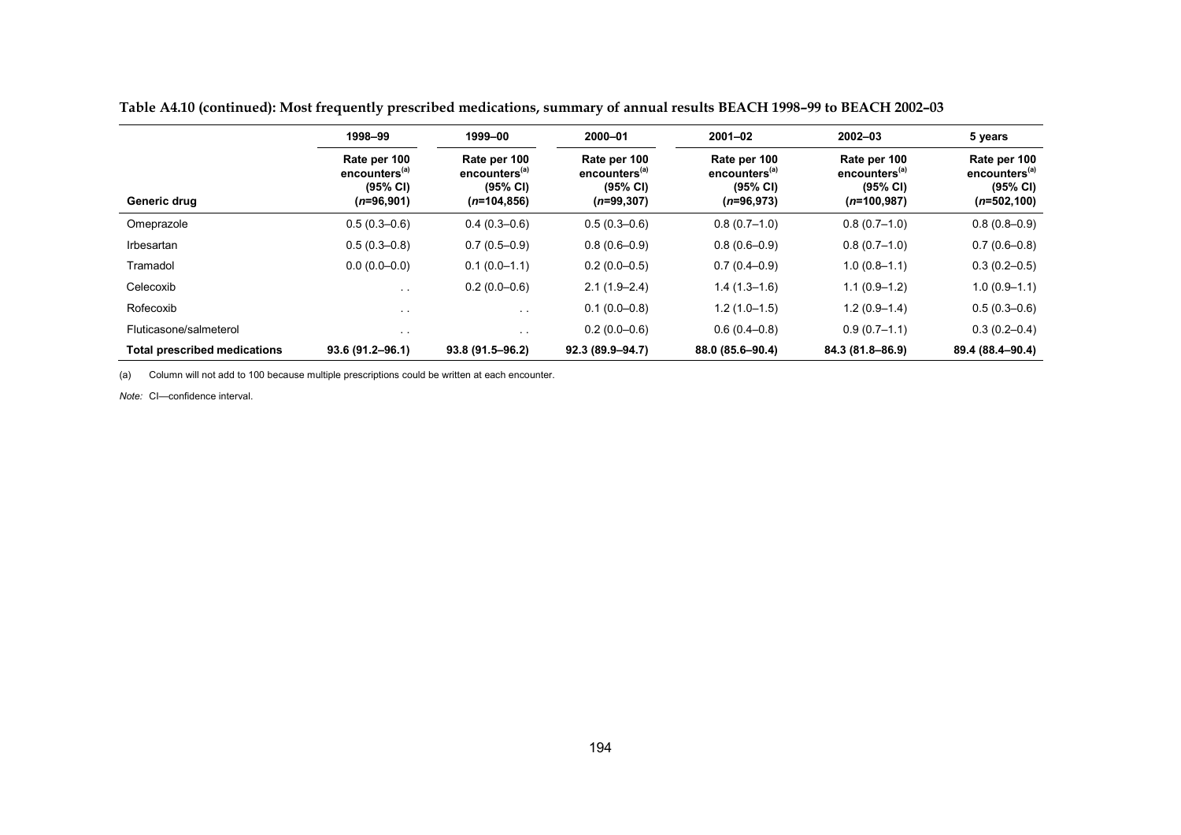|                                     | 1998-99                                                               | 1999-00                                                                 | 2000-01                                                                | $2001 - 02$                                                           | $2002 - 03$                                                            | 5 years                                                                 |
|-------------------------------------|-----------------------------------------------------------------------|-------------------------------------------------------------------------|------------------------------------------------------------------------|-----------------------------------------------------------------------|------------------------------------------------------------------------|-------------------------------------------------------------------------|
| Generic drug                        | Rate per 100<br>encounters <sup>(a)</sup><br>(95% CI)<br>$(n=96,901)$ | Rate per 100<br>encounters <sup>(a)</sup><br>(95% CI)<br>$(n=104, 856)$ | Rate per 100<br>encounters <sup>(a)</sup><br>(95% CI)<br>$(n=99, 307)$ | Rate per 100<br>encounters <sup>(a)</sup><br>(95% CI)<br>$(n=96,973)$ | Rate per 100<br>encounters <sup>(a)</sup><br>(95% CI)<br>$(n=100,987)$ | Rate per 100<br>encounters <sup>(a)</sup><br>(95% CI)<br>$(n=502, 100)$ |
| Omeprazole                          | $0.5(0.3 - 0.6)$                                                      | $0.4(0.3-0.6)$                                                          | $0.5(0.3 - 0.6)$                                                       | $0.8(0.7-1.0)$                                                        | $0.8(0.7-1.0)$                                                         | $0.8(0.8-0.9)$                                                          |
| Irbesartan                          | $0.5(0.3 - 0.8)$                                                      | $0.7(0.5-0.9)$                                                          | $0.8(0.6 - 0.9)$                                                       | $0.8(0.6 - 0.9)$                                                      | $0.8(0.7-1.0)$                                                         | $0.7(0.6 - 0.8)$                                                        |
| Tramadol                            | $0.0(0.0-0.0)$                                                        | $0.1(0.0-1.1)$                                                          | $0.2(0.0-0.5)$                                                         | $0.7(0.4 - 0.9)$                                                      | $1.0(0.8-1.1)$                                                         | $0.3(0.2 - 0.5)$                                                        |
| Celecoxib                           | $\sim$ $\sim$                                                         | $0.2(0.0-0.6)$                                                          | $2.1(1.9-2.4)$                                                         | $1.4(1.3-1.6)$                                                        | $1.1(0.9-1.2)$                                                         | $1.0(0.9-1.1)$                                                          |
| Rofecoxib                           | $\sim$ $\sim$                                                         | $\sim$ 10 $\pm$                                                         | $0.1(0.0-0.8)$                                                         | $1.2(1.0-1.5)$                                                        | $1.2(0.9-1.4)$                                                         | $0.5(0.3-0.6)$                                                          |
| Fluticasone/salmeterol              | $\sim$ $\sim$                                                         | $\sim$                                                                  | $0.2(0.0-0.6)$                                                         | $0.6(0.4-0.8)$                                                        | $0.9(0.7-1.1)$                                                         | $0.3(0.2 - 0.4)$                                                        |
| <b>Total prescribed medications</b> | 93.6 (91.2-96.1)                                                      | 93.8 (91.5-96.2)                                                        | 92.3 (89.9-94.7)                                                       | 88.0 (85.6-90.4)                                                      | 84.3 (81.8-86.9)                                                       | 89.4 (88.4-90.4)                                                        |

**Table A4.10 (continued): Most frequently prescribed medications, summary of annual results BEACH 1998–99 to BEACH 2002–03**

(a) Column will not add to 100 because multiple prescriptions could be written at each encounter.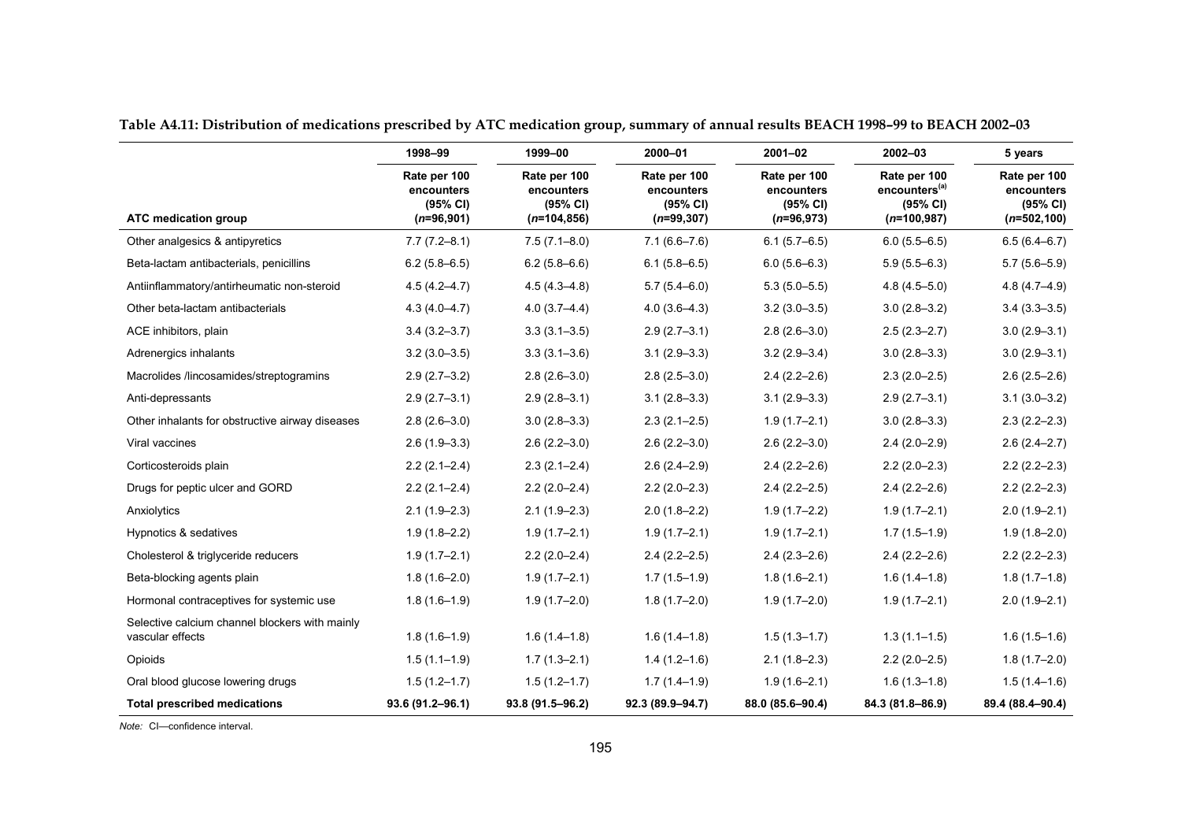|                                                                    | 1998-99                                                | 1999-00                                                  | 2000-01                                                | $2001 - 02$                                            | $2002 - 03$                                                            | 5 years                                                  |
|--------------------------------------------------------------------|--------------------------------------------------------|----------------------------------------------------------|--------------------------------------------------------|--------------------------------------------------------|------------------------------------------------------------------------|----------------------------------------------------------|
| ATC medication group                                               | Rate per 100<br>encounters<br>(95% CI)<br>$(n=96,901)$ | Rate per 100<br>encounters<br>(95% CI)<br>$(n=104, 856)$ | Rate per 100<br>encounters<br>(95% CI)<br>$(n=99,307)$ | Rate per 100<br>encounters<br>(95% CI)<br>$(n=96,973)$ | Rate per 100<br>encounters <sup>(a)</sup><br>(95% CI)<br>$(n=100,987)$ | Rate per 100<br>encounters<br>(95% CI)<br>$(n=502, 100)$ |
| Other analgesics & antipyretics                                    | $7.7(7.2 - 8.1)$                                       | $7.5(7.1 - 8.0)$                                         | $7.1(6.6 - 7.6)$                                       | $6.1(5.7-6.5)$                                         | $6.0(5.5 - 6.5)$                                                       | $6.5(6.4 - 6.7)$                                         |
| Beta-lactam antibacterials, penicillins                            | $6.2(5.8 - 6.5)$                                       | $6.2(5.8 - 6.6)$                                         | $6.1(5.8 - 6.5)$                                       | $6.0(5.6 - 6.3)$                                       | $5.9(5.5 - 6.3)$                                                       | $5.7(5.6 - 5.9)$                                         |
| Antiinflammatory/antirheumatic non-steroid                         | $4.5(4.2 - 4.7)$                                       | $4.5(4.3 - 4.8)$                                         | $5.7(5.4 - 6.0)$                                       | $5.3(5.0-5.5)$                                         | $4.8(4.5 - 5.0)$                                                       | $4.8(4.7 - 4.9)$                                         |
| Other beta-lactam antibacterials                                   | $4.3(4.0 - 4.7)$                                       | $4.0(3.7 - 4.4)$                                         | $4.0(3.6-4.3)$                                         | $3.2(3.0 - 3.5)$                                       | $3.0(2.8 - 3.2)$                                                       | $3.4(3.3 - 3.5)$                                         |
| ACE inhibitors, plain                                              | $3.4(3.2 - 3.7)$                                       | $3.3(3.1 - 3.5)$                                         | $2.9(2.7-3.1)$                                         | $2.8(2.6-3.0)$                                         | $2.5(2.3 - 2.7)$                                                       | $3.0(2.9 - 3.1)$                                         |
| Adrenergics inhalants                                              | $3.2(3.0 - 3.5)$                                       | $3.3(3.1 - 3.6)$                                         | $3.1(2.9 - 3.3)$                                       | $3.2(2.9 - 3.4)$                                       | $3.0(2.8 - 3.3)$                                                       | $3.0(2.9 - 3.1)$                                         |
| Macrolides /lincosamides/streptogramins                            | $2.9(2.7-3.2)$                                         | $2.8(2.6 - 3.0)$                                         | $2.8(2.5 - 3.0)$                                       | $2.4(2.2 - 2.6)$                                       | $2.3(2.0-2.5)$                                                         | $2.6(2.5-2.6)$                                           |
| Anti-depressants                                                   | $2.9(2.7-3.1)$                                         | $2.9(2.8 - 3.1)$                                         | $3.1(2.8-3.3)$                                         | $3.1(2.9-3.3)$                                         | $2.9(2.7-3.1)$                                                         | $3.1(3.0 - 3.2)$                                         |
| Other inhalants for obstructive airway diseases                    | $2.8(2.6 - 3.0)$                                       | $3.0(2.8 - 3.3)$                                         | $2.3(2.1 - 2.5)$                                       | $1.9(1.7-2.1)$                                         | $3.0(2.8 - 3.3)$                                                       | $2.3(2.2 - 2.3)$                                         |
| Viral vaccines                                                     | $2.6(1.9-3.3)$                                         | $2.6(2.2 - 3.0)$                                         | $2.6(2.2 - 3.0)$                                       | $2.6(2.2 - 3.0)$                                       | $2.4(2.0-2.9)$                                                         | $2.6(2.4 - 2.7)$                                         |
| Corticosteroids plain                                              | $2.2(2.1 - 2.4)$                                       | $2.3(2.1 - 2.4)$                                         | $2.6(2.4 - 2.9)$                                       | $2.4(2.2 - 2.6)$                                       | $2.2(2.0-2.3)$                                                         | $2.2(2.2-2.3)$                                           |
| Drugs for peptic ulcer and GORD                                    | $2.2(2.1 - 2.4)$                                       | $2.2(2.0-2.4)$                                           | $2.2(2.0-2.3)$                                         | $2.4(2.2 - 2.5)$                                       | $2.4(2.2 - 2.6)$                                                       | $2.2(2.2-2.3)$                                           |
| Anxiolytics                                                        | $2.1(1.9-2.3)$                                         | $2.1(1.9-2.3)$                                           | $2.0(1.8-2.2)$                                         | $1.9(1.7-2.2)$                                         | $1.9(1.7 - 2.1)$                                                       | $2.0(1.9 - 2.1)$                                         |
| Hypnotics & sedatives                                              | $1.9(1.8 - 2.2)$                                       | $1.9(1.7-2.1)$                                           | $1.9(1.7-2.1)$                                         | $1.9(1.7-2.1)$                                         | $1.7(1.5-1.9)$                                                         | $1.9(1.8 - 2.0)$                                         |
| Cholesterol & triglyceride reducers                                | $1.9(1.7 - 2.1)$                                       | $2.2(2.0-2.4)$                                           | $2.4(2.2 - 2.5)$                                       | $2.4(2.3 - 2.6)$                                       | $2.4(2.2 - 2.6)$                                                       | $2.2(2.2-2.3)$                                           |
| Beta-blocking agents plain                                         | $1.8(1.6 - 2.0)$                                       | $1.9(1.7-2.1)$                                           | $1.7(1.5-1.9)$                                         | $1.8(1.6 - 2.1)$                                       | $1.6(1.4-1.8)$                                                         | $1.8(1.7-1.8)$                                           |
| Hormonal contraceptives for systemic use                           | $1.8(1.6-1.9)$                                         | $1.9(1.7 - 2.0)$                                         | $1.8(1.7-2.0)$                                         | $1.9(1.7-2.0)$                                         | $1.9(1.7-2.1)$                                                         | $2.0(1.9 - 2.1)$                                         |
| Selective calcium channel blockers with mainly<br>vascular effects | $1.8(1.6-1.9)$                                         | $1.6(1.4-1.8)$                                           | $1.6(1.4-1.8)$                                         | $1.5(1.3 - 1.7)$                                       | $1.3(1.1-1.5)$                                                         | $1.6(1.5-1.6)$                                           |
| Opioids                                                            | $1.5(1.1-1.9)$                                         | $1.7(1.3 - 2.1)$                                         | $1.4(1.2-1.6)$                                         | $2.1(1.8-2.3)$                                         | $2.2(2.0-2.5)$                                                         | $1.8(1.7-2.0)$                                           |
| Oral blood glucose lowering drugs                                  | $1.5(1.2 - 1.7)$                                       | $1.5(1.2 - 1.7)$                                         | $1.7(1.4-1.9)$                                         | $1.9(1.6 - 2.1)$                                       | $1.6(1.3-1.8)$                                                         | $1.5(1.4-1.6)$                                           |
| <b>Total prescribed medications</b>                                | 93.6 (91.2-96.1)                                       | 93.8 (91.5-96.2)                                         | 92.3 (89.9-94.7)                                       | 88.0 (85.6-90.4)                                       | 84.3 (81.8-86.9)                                                       | 89.4 (88.4-90.4)                                         |

**Table A4.11: Distribution of medications prescribed by ATC medication group, summary of annual results BEACH 1998–99 to BEACH 2002–03**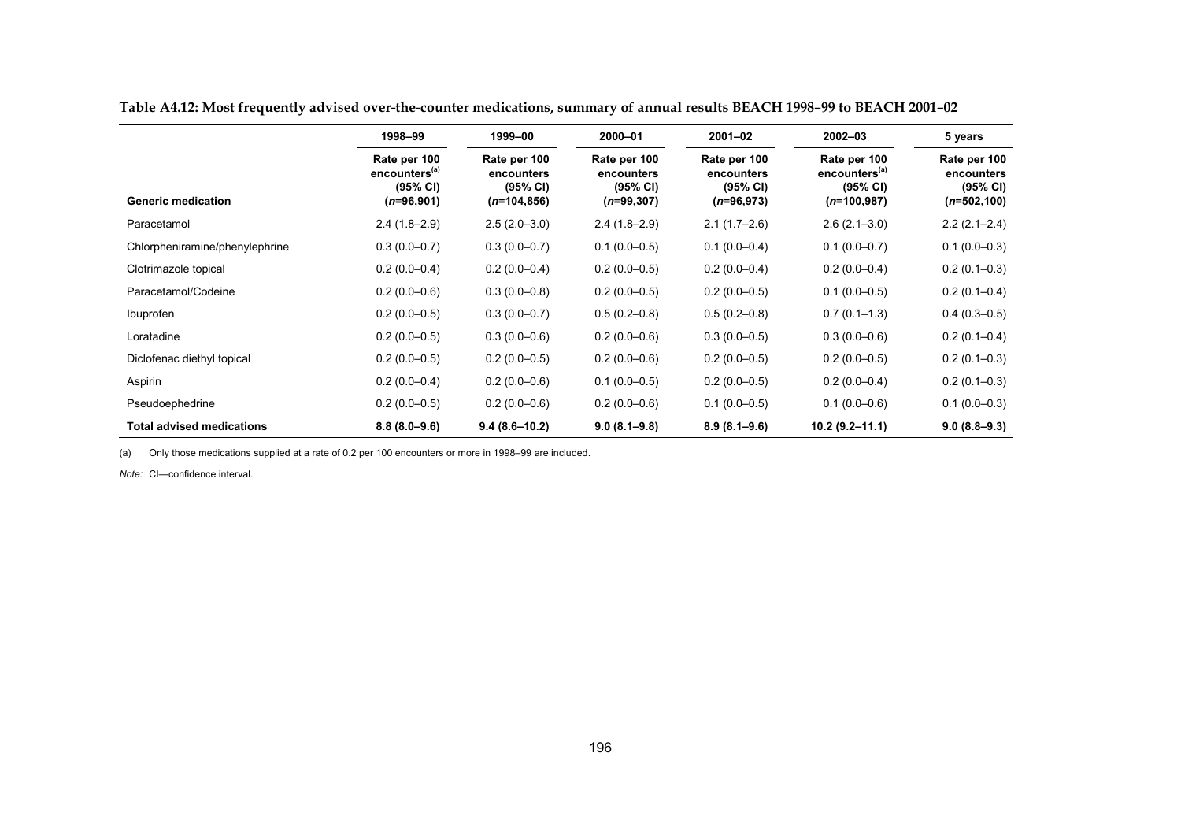|                                  | 1998-99                                                               | 1999-00                                                  | 2000-01                                                | $2001 - 02$                                            | $2002 - 03$                                                            | 5 years                                                  |
|----------------------------------|-----------------------------------------------------------------------|----------------------------------------------------------|--------------------------------------------------------|--------------------------------------------------------|------------------------------------------------------------------------|----------------------------------------------------------|
| <b>Generic medication</b>        | Rate per 100<br>encounters <sup>(a)</sup><br>(95% CI)<br>$(n=96,901)$ | Rate per 100<br>encounters<br>(95% CI)<br>$(n=104, 856)$ | Rate per 100<br>encounters<br>(95% CI)<br>$(n=99,307)$ | Rate per 100<br>encounters<br>(95% CI)<br>$(n=96,973)$ | Rate per 100<br>encounters <sup>(a)</sup><br>(95% CI)<br>$(n=100,987)$ | Rate per 100<br>encounters<br>(95% CI)<br>$(n=502, 100)$ |
| Paracetamol                      | $2.4(1.8-2.9)$                                                        | $2.5(2.0-3.0)$                                           | $2.4(1.8-2.9)$                                         | $2.1(1.7-2.6)$                                         | $2.6(2.1 - 3.0)$                                                       | $2.2(2.1 - 2.4)$                                         |
| Chlorpheniramine/phenylephrine   | $0.3(0.0-0.7)$                                                        | $0.3(0.0-0.7)$                                           | $0.1(0.0-0.5)$                                         | $0.1(0.0-0.4)$                                         | $0.1(0.0-0.7)$                                                         | $0.1(0.0-0.3)$                                           |
| Clotrimazole topical             | $0.2(0.0-0.4)$                                                        | $0.2(0.0-0.4)$                                           | $0.2(0.0-0.5)$                                         | $0.2(0.0-0.4)$                                         | $0.2(0.0-0.4)$                                                         | $0.2(0.1-0.3)$                                           |
| Paracetamol/Codeine              | $0.2(0.0-0.6)$                                                        | $0.3(0.0-0.8)$                                           | $0.2(0.0-0.5)$                                         | $0.2(0.0-0.5)$                                         | $0.1(0.0-0.5)$                                                         | $0.2(0.1 - 0.4)$                                         |
| Ibuprofen                        | $0.2(0.0-0.5)$                                                        | $0.3(0.0-0.7)$                                           | $0.5(0.2 - 0.8)$                                       | $0.5(0.2 - 0.8)$                                       | $0.7(0.1-1.3)$                                                         | $0.4(0.3-0.5)$                                           |
| Loratadine                       | $0.2(0.0-0.5)$                                                        | $0.3(0.0-0.6)$                                           | $0.2(0.0-0.6)$                                         | $0.3(0.0-0.5)$                                         | $0.3(0.0-0.6)$                                                         | $0.2(0.1 - 0.4)$                                         |
| Diclofenac diethyl topical       | $0.2(0.0-0.5)$                                                        | $0.2(0.0-0.5)$                                           | $0.2(0.0-0.6)$                                         | $0.2(0.0-0.5)$                                         | $0.2(0.0-0.5)$                                                         | $0.2(0.1-0.3)$                                           |
| Aspirin                          | $0.2(0.0-0.4)$                                                        | $0.2(0.0-0.6)$                                           | $0.1(0.0-0.5)$                                         | $0.2(0.0-0.5)$                                         | $0.2(0.0-0.4)$                                                         | $0.2(0.1-0.3)$                                           |
| Pseudoephedrine                  | $0.2(0.0-0.5)$                                                        | $0.2(0.0-0.6)$                                           | $0.2(0.0-0.6)$                                         | $0.1(0.0-0.5)$                                         | $0.1(0.0-0.6)$                                                         | $0.1(0.0-0.3)$                                           |
| <b>Total advised medications</b> | $8.8(8.0 - 9.6)$                                                      | $9.4(8.6 - 10.2)$                                        | $9.0(8.1 - 9.8)$                                       | $8.9(8.1 - 9.6)$                                       | $10.2(9.2 - 11.1)$                                                     | $9.0(8.8-9.3)$                                           |

**Table A4.12: Most frequently advised over-the-counter medications, summary of annual results BEACH 1998–99 to BEACH 2001–02**

(a) Only those medications supplied at a rate of 0.2 per 100 encounters or more in 1998–99 are included.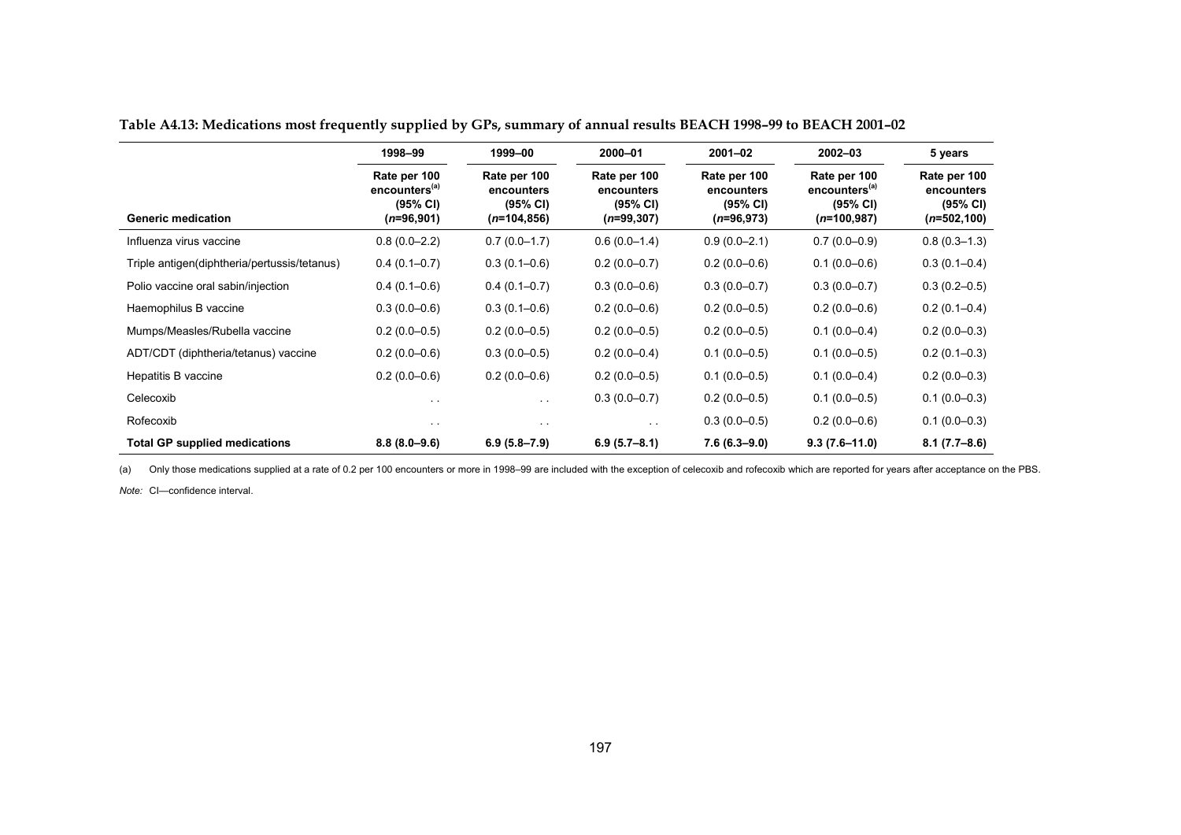|                                              | 1998-99                                                                      | 1999-00                                                  | 2000-01                                                | $2001 - 02$                                            | $2002 - 03$                                                            | 5 years                                                  |
|----------------------------------------------|------------------------------------------------------------------------------|----------------------------------------------------------|--------------------------------------------------------|--------------------------------------------------------|------------------------------------------------------------------------|----------------------------------------------------------|
| <b>Generic medication</b>                    | Rate per 100<br>encounters <sup>(a)</sup><br>(95% CI)<br>( <i>n</i> =96,901) | Rate per 100<br>encounters<br>(95% CI)<br>$(n=104, 856)$ | Rate per 100<br>encounters<br>(95% CI)<br>$(n=99,307)$ | Rate per 100<br>encounters<br>(95% CI)<br>$(n=96,973)$ | Rate per 100<br>encounters <sup>(a)</sup><br>(95% CI)<br>$(n=100,987)$ | Rate per 100<br>encounters<br>(95% CI)<br>$(n=502, 100)$ |
| Influenza virus vaccine                      | $0.8(0.0-2.2)$                                                               | $0.7(0.0-1.7)$                                           | $0.6(0.0-1.4)$                                         | $0.9(0.0 - 2.1)$                                       | $0.7(0.0-0.9)$                                                         | $0.8(0.3 - 1.3)$                                         |
| Triple antigen(diphtheria/pertussis/tetanus) | $0.4(0.1-0.7)$                                                               | $0.3(0.1 - 0.6)$                                         | $0.2(0.0-0.7)$                                         | $0.2(0.0-0.6)$                                         | $0.1(0.0 - 0.6)$                                                       | $0.3(0.1 - 0.4)$                                         |
| Polio vaccine oral sabin/injection           | $0.4(0.1-0.6)$                                                               | $0.4(0.1-0.7)$                                           | $0.3(0.0-0.6)$                                         | $0.3(0.0-0.7)$                                         | $0.3(0.0-0.7)$                                                         | $0.3(0.2 - 0.5)$                                         |
| Haemophilus B vaccine                        | $0.3(0.0-0.6)$                                                               | $0.3(0.1-0.6)$                                           | $0.2(0.0-0.6)$                                         | $0.2(0.0-0.5)$                                         | $0.2(0.0-0.6)$                                                         | $0.2(0.1 - 0.4)$                                         |
| Mumps/Measles/Rubella vaccine                | $0.2(0.0-0.5)$                                                               | $0.2(0.0-0.5)$                                           | $0.2(0.0-0.5)$                                         | $0.2(0.0-0.5)$                                         | $0.1(0.0 - 0.4)$                                                       | $0.2(0.0-0.3)$                                           |
| ADT/CDT (diphtheria/tetanus) vaccine         | $0.2(0.0-0.6)$                                                               | $0.3(0.0-0.5)$                                           | $0.2(0.0-0.4)$                                         | $0.1(0.0-0.5)$                                         | $0.1(0.0-0.5)$                                                         | $0.2(0.1-0.3)$                                           |
| Hepatitis B vaccine                          | $0.2(0.0-0.6)$                                                               | $0.2(0.0-0.6)$                                           | $0.2(0.0-0.5)$                                         | $0.1(0.0-0.5)$                                         | $0.1(0.0 - 0.4)$                                                       | $0.2(0.0-0.3)$                                           |
| Celecoxib                                    | $\sim$ $\sim$                                                                | $\sim$ $\sim$                                            | $0.3(0.0-0.7)$                                         | $0.2(0.0-0.5)$                                         | $0.1(0.0 - 0.5)$                                                       | $0.1(0.0-0.3)$                                           |
| Rofecoxib                                    | $\sim$ $\sim$                                                                | $\sim$ $\sim$                                            | $\sim$ $\sim$                                          | $0.3(0.0-0.5)$                                         | $0.2(0.0-0.6)$                                                         | $0.1(0.0-0.3)$                                           |
| <b>Total GP supplied medications</b>         | $8.8(8.0 - 9.6)$                                                             | $6.9(5.8 - 7.9)$                                         | $6.9(5.7-8.1)$                                         | 7.6 (6.3–9.0)                                          | $9.3(7.6 - 11.0)$                                                      | $8.1(7.7-8.6)$                                           |

**Table A4.13: Medications most frequently supplied by GPs, summary of annual results BEACH 1998–99 to BEACH 2001–02**

(a) Only those medications supplied at a rate of 0.2 per 100 encounters or more in 1998–99 are included with the exception of celecoxib and rofecoxib which are reported for years after acceptance on the PBS.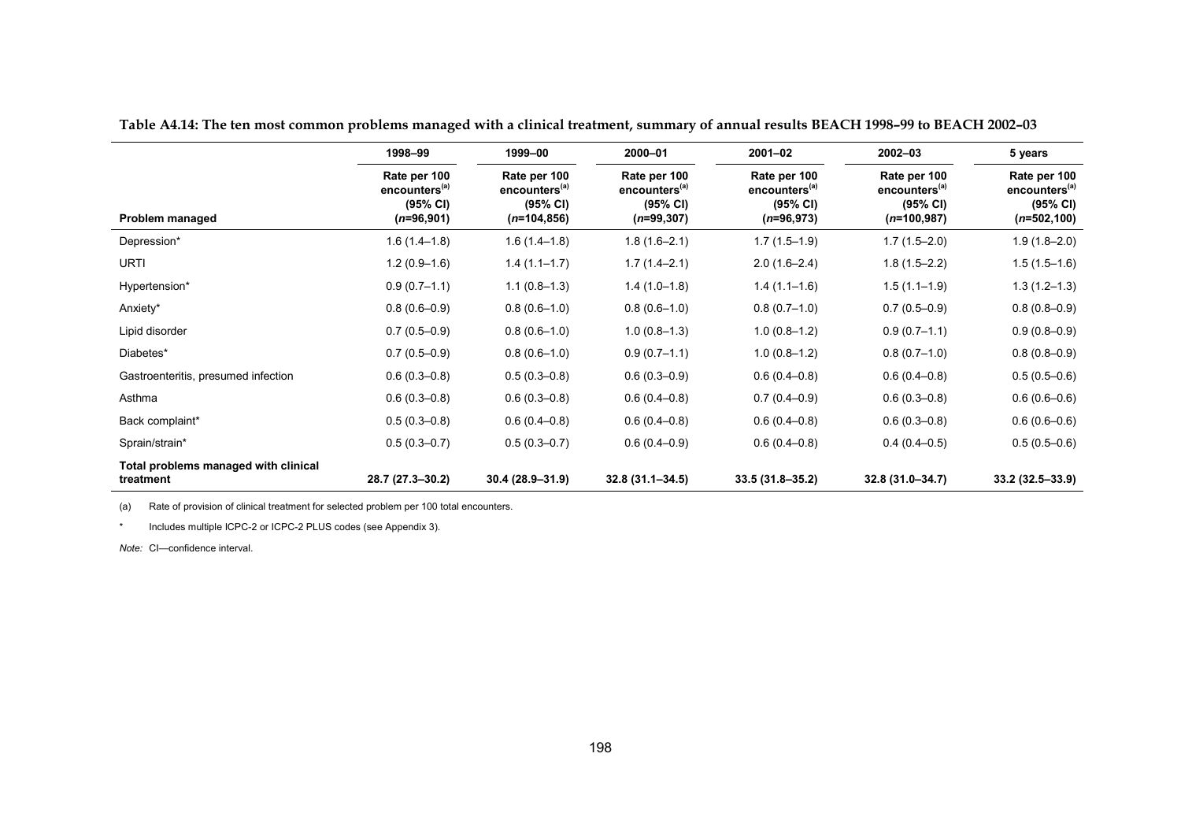|                                                   | 1998-99                                                               | 1999-00                                                                 | 2000-01                                                               | $2001 - 02$                                                           | $2002 - 03$                                                            | 5 years                                                                 |
|---------------------------------------------------|-----------------------------------------------------------------------|-------------------------------------------------------------------------|-----------------------------------------------------------------------|-----------------------------------------------------------------------|------------------------------------------------------------------------|-------------------------------------------------------------------------|
| Problem managed                                   | Rate per 100<br>encounters <sup>(a)</sup><br>(95% CI)<br>$(n=96,901)$ | Rate per 100<br>encounters <sup>(a)</sup><br>(95% CI)<br>$(n=104, 856)$ | Rate per 100<br>encounters <sup>(a)</sup><br>(95% CI)<br>$(n=99,307)$ | Rate per 100<br>encounters <sup>(a)</sup><br>(95% CI)<br>$(n=96,973)$ | Rate per 100<br>encounters <sup>(a)</sup><br>(95% CI)<br>$(n=100,987)$ | Rate per 100<br>encounters <sup>(a)</sup><br>(95% CI)<br>$(n=502, 100)$ |
| Depression*                                       | $1.6(1.4-1.8)$                                                        | $1.6(1.4-1.8)$                                                          | $1.8(1.6 - 2.1)$                                                      | $1.7(1.5-1.9)$                                                        | $1.7(1.5-2.0)$                                                         | $1.9(1.8-2.0)$                                                          |
| <b>URTI</b>                                       | $1.2(0.9-1.6)$                                                        | $1.4(1.1-1.7)$                                                          | $1.7(1.4-2.1)$                                                        | $2.0(1.6-2.4)$                                                        | $1.8(1.5-2.2)$                                                         | $1.5(1.5-1.6)$                                                          |
| Hypertension*                                     | $0.9(0.7-1.1)$                                                        | $1.1(0.8-1.3)$                                                          | $1.4(1.0-1.8)$                                                        | $1.4(1.1-1.6)$                                                        | $1.5(1.1-1.9)$                                                         | $1.3(1.2-1.3)$                                                          |
| Anxiety*                                          | $0.8(0.6 - 0.9)$                                                      | $0.8(0.6-1.0)$                                                          | $0.8(0.6-1.0)$                                                        | $0.8(0.7-1.0)$                                                        | $0.7(0.5-0.9)$                                                         | $0.8(0.8-0.9)$                                                          |
| Lipid disorder                                    | $0.7(0.5 - 0.9)$                                                      | $0.8(0.6-1.0)$                                                          | $1.0(0.8-1.3)$                                                        | $1.0(0.8-1.2)$                                                        | $0.9(0.7-1.1)$                                                         | $0.9(0.8-0.9)$                                                          |
| Diabetes*                                         | $0.7(0.5-0.9)$                                                        | $0.8(0.6-1.0)$                                                          | $0.9(0.7-1.1)$                                                        | $1.0(0.8-1.2)$                                                        | $0.8(0.7-1.0)$                                                         | $0.8(0.8-0.9)$                                                          |
| Gastroenteritis, presumed infection               | $0.6(0.3 - 0.8)$                                                      | $0.5(0.3 - 0.8)$                                                        | $0.6(0.3 - 0.9)$                                                      | $0.6(0.4-0.8)$                                                        | $0.6(0.4-0.8)$                                                         | $0.5(0.5-0.6)$                                                          |
| Asthma                                            | $0.6(0.3-0.8)$                                                        | $0.6(0.3 - 0.8)$                                                        | $0.6(0.4-0.8)$                                                        | $0.7(0.4 - 0.9)$                                                      | $0.6(0.3 - 0.8)$                                                       | $0.6(0.6-0.6)$                                                          |
| Back complaint*                                   | $0.5(0.3 - 0.8)$                                                      | $0.6(0.4-0.8)$                                                          | $0.6(0.4 - 0.8)$                                                      | $0.6(0.4 - 0.8)$                                                      | $0.6(0.3 - 0.8)$                                                       | $0.6(0.6-0.6)$                                                          |
| Sprain/strain*                                    | $0.5(0.3 - 0.7)$                                                      | $0.5(0.3 - 0.7)$                                                        | $0.6(0.4 - 0.9)$                                                      | $0.6(0.4 - 0.8)$                                                      | $0.4(0.4-0.5)$                                                         | $0.5(0.5-0.6)$                                                          |
| Total problems managed with clinical<br>treatment | 28.7 (27.3-30.2)                                                      | $30.4(28.9 - 31.9)$                                                     | $32.8(31.1 - 34.5)$                                                   | $33.5(31.8 - 35.2)$                                                   | 32.8 (31.0-34.7)                                                       | $33.2(32.5 - 33.9)$                                                     |

**Table A4.14: The ten most common problems managed with a clinical treatment, summary of annual results BEACH 1998–99 to BEACH 2002–03**

(a) Rate of provision of clinical treatment for selected problem per 100 total encounters.

\*Includes multiple ICPC-2 or ICPC-2 PLUS codes (see Appendix 3).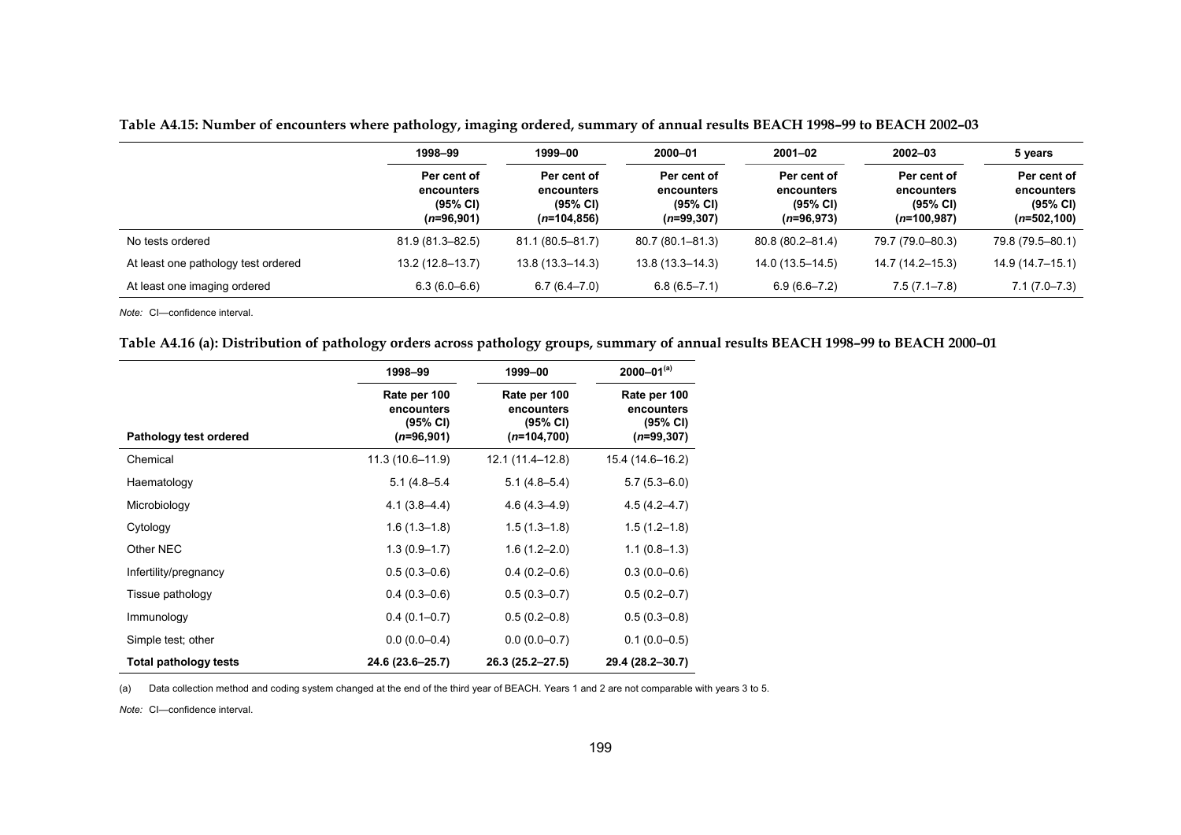|                                     | 1998-99                                               | 1999–00<br>2000-01                                     | $2001 - 02$                                           | $2002 - 03$                                           | 5 years                                                |                                                         |  |
|-------------------------------------|-------------------------------------------------------|--------------------------------------------------------|-------------------------------------------------------|-------------------------------------------------------|--------------------------------------------------------|---------------------------------------------------------|--|
|                                     | Per cent of<br>encounters<br>(95% CI)<br>$(n=96,901)$ | Per cent of<br>encounters<br>(95% CI)<br>$(n=104,856)$ | Per cent of<br>encounters<br>(95% CI)<br>$(n=99,307)$ | Per cent of<br>encounters<br>(95% CI)<br>$(n=96,973)$ | Per cent of<br>encounters<br>(95% CI)<br>$(n=100.987)$ | Per cent of<br>encounters<br>(95% CI)<br>$(n=502, 100)$ |  |
| No tests ordered                    | 81.9 (81.3-82.5)                                      | 81.1 (80.5–81.7)                                       | $80.7(80.1 - 81.3)$                                   | 80.8 (80.2-81.4)                                      | 79.7 (79.0–80.3)                                       | 79.8 (79.5-80.1)                                        |  |
| At least one pathology test ordered | $13.2(12.8 - 13.7)$                                   | $13.8(13.3 - 14.3)$                                    | $13.8(13.3 - 14.3)$                                   | $14.0(13.5 - 14.5)$                                   | 14.7 (14.2–15.3)                                       | $14.9(14.7 - 15.1)$                                     |  |
| At least one imaging ordered        | $6.3(6.0 - 6.6)$                                      | $6.7(6.4 - 7.0)$                                       | $6.8(6.5 - 7.1)$                                      | $6.9(6.6 - 7.2)$                                      | $7.5(7.1 - 7.8)$                                       | $7.1(7.0 - 7.3)$                                        |  |

**Table A4.15: Number of encounters where pathology, imaging ordered, summary of annual results BEACH 1998–99 to BEACH 2002–03**

*Note:* CI—confidence interval.

#### **Table A4.16 (a): Distribution of pathology orders across pathology groups, summary of annual results BEACH 1998–99 to BEACH 2000–01**

|                        | 1998-99                                                | 1999-00                                                 | $2000 - 01^{(a)}$                                      |
|------------------------|--------------------------------------------------------|---------------------------------------------------------|--------------------------------------------------------|
| Pathology test ordered | Rate per 100<br>encounters<br>(95% CI)<br>$(n=96,901)$ | Rate per 100<br>encounters<br>(95% CI)<br>$(n=104,700)$ | Rate per 100<br>encounters<br>(95% CI)<br>$(n=99,307)$ |
| Chemical               | 11.3 (10.6-11.9)                                       | 12.1 (11.4–12.8)                                        | 15.4 (14.6-16.2)                                       |
| Haematology            | $5.1(4.8 - 5.4)$                                       | $5.1(4.8 - 5.4)$                                        | $5.7(5.3 - 6.0)$                                       |
| Microbiology           | $4.1(3.8 - 4.4)$                                       | $4.6(4.3 - 4.9)$                                        | $4.5(4.2 - 4.7)$                                       |
| Cytology               | $1.6(1.3 - 1.8)$                                       | $1.5(1.3 - 1.8)$                                        | $1.5(1.2 - 1.8)$                                       |
| Other NEC              | $1.3(0.9 - 1.7)$                                       | $1.6(1.2 - 2.0)$                                        | $1.1(0.8-1.3)$                                         |
| Infertility/pregnancy  | $0.5(0.3 - 0.6)$                                       | $0.4(0.2 - 0.6)$                                        | $0.3(0.0-0.6)$                                         |
| Tissue pathology       | $0.4(0.3-0.6)$                                         | $0.5(0.3 - 0.7)$                                        | $0.5(0.2 - 0.7)$                                       |
| Immunology             | $0.4(0.1 - 0.7)$                                       | $0.5(0.2 - 0.8)$                                        | $0.5(0.3 - 0.8)$                                       |
| Simple test; other     | $0.0(0.0-0.4)$                                         | $0.0(0.0-0.7)$                                          | $0.1(0.0-0.5)$                                         |
| Total pathology tests  | 24.6 (23.6-25.7)                                       | 26.3 (25.2-27.5)                                        | 29.4 (28.2-30.7)                                       |

(a) Data collection method and coding system changed at the end of the third year of BEACH. Years 1 and 2 are not comparable with years 3 to 5.